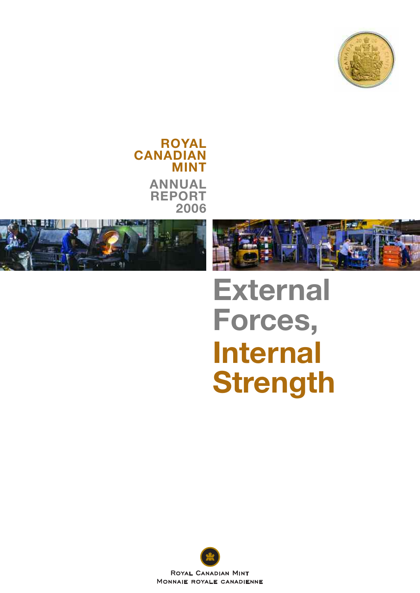

**ROYAL CANADIAN MINT ANNUAL REPORT 2006**





## **External Forces, Internal Strength**

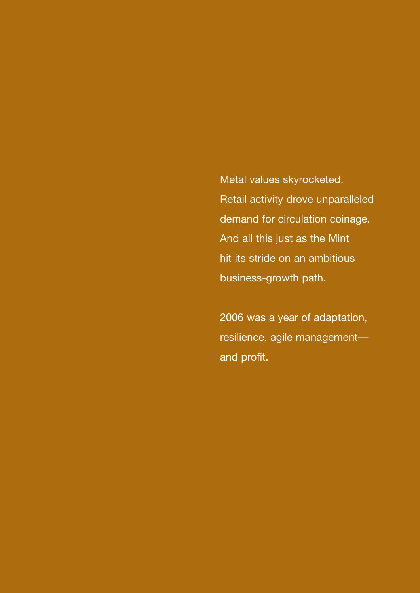Metal values skyrocketed. Retail activity drove unparalleled demand for circulation coinage. And all this just as the Mint hit its stride on an ambitious business-growth path.

2006 was a year of adaptation, resilience, agile management and profit.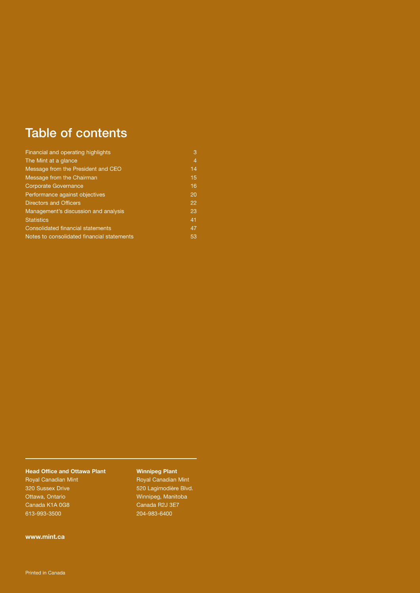### Table of contents

| Financial and operating highlights         | 3  |
|--------------------------------------------|----|
| The Mint at a glance                       | 4  |
| Message from the President and CEO         | 14 |
| Message from the Chairman                  | 15 |
| <b>Corporate Governance</b>                | 16 |
| Performance against objectives             | 20 |
| <b>Directors and Officers</b>              | 22 |
| Management's discussion and analysis       | 23 |
| <b>Statistics</b>                          | 41 |
| <b>Consolidated financial statements</b>   | 47 |
| Notes to consolidated financial statements | 53 |

#### **Head Office and Ottawa Plant**

Royal Canadian Mint 320 Sussex Drive Ottawa, Ontario Canada K1A 0G8 613-993-3500

#### **Winnipeg Plant**

Royal Canadian Mint 520 Lagimodière Blvd. Winnipeg, Manitoba Canada R2J 3E7 204-983-6400

**www.mint.ca**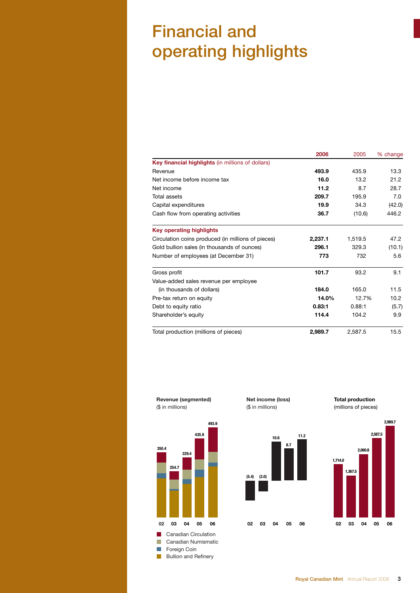## Financial and operating highlights

|                                                    | 2006    | 2005    | % change |
|----------------------------------------------------|---------|---------|----------|
| Key financial highlights (in millions of dollars)  |         |         |          |
| Revenue                                            | 493.9   | 435.9   | 13.3     |
| Net income before income tax                       | 16.0    | 13.2    | 21.2     |
| Net income                                         | 11.2    | 8.7     | 28.7     |
| Total assets                                       | 209.7   | 195.9   | 7.0      |
| Capital expenditures                               | 19.9    | 34.3    | (42.0)   |
| Cash flow from operating activities                | 36.7    | (10.6)  | 446.2    |
| <b>Key operating highlights</b>                    |         |         |          |
| Circulation coins produced (in millions of pieces) | 2.237.1 | 1.519.5 | 47.2     |
| Gold bullion sales (in thousands of ounces)        | 296.1   | 329.3   | (10.1)   |
| Number of employees (at December 31)               | 773     | 732     | 5.6      |
| Gross profit                                       | 101.7   | 93.2    | 9.1      |
| Value-added sales revenue per employee             |         |         |          |
| (in thousands of dollars)                          | 184.0   | 165.0   | 11.5     |
| Pre-tax return on equity                           | 14.0%   | 12.7%   | 10.2     |
| Debt to equity ratio                               | 0.83:1  | 0.88:1  | (5.7)    |
| Shareholder's equity                               | 114.4   | 104.2   | 9.9      |
| Total production (millions of pieces)              | 2,989.7 | 2,587.5 | 15.5     |



**Net income (loss)** (\$ in millions)

**10.6**

**8.7**

**11.2**

**06**

**02 03 05**

**04**

**(5.4)**

**(3.0)**

**Total production**



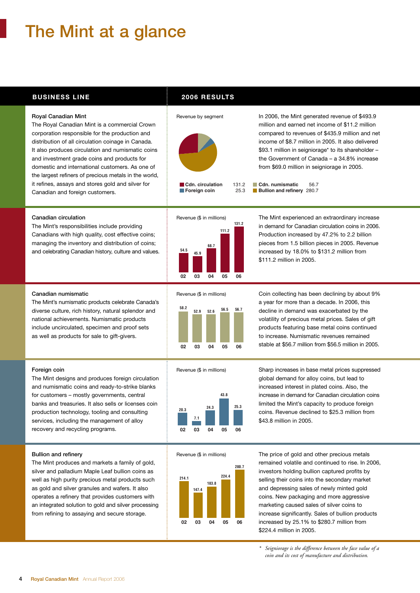## The Mint at a glance

#### **BUSINESS LINE 2006 RESULTS**

Revenue by segment



corporation responsible for the production and distribution of all circulation coinage in Canada. It also produces circulation and numismatic coins and investment grade coins and products for domestic and international customers. As one of the largest refiners of precious metals in the world, it refines, assays and stores gold and silver for Canadian and foreign customers.



**68.7**

**04 05**

**06**

million and earned net income of \$11.2 million compared to revenues of \$435.9 million and net income of \$8.7 million in 2005. It also delivered \$93.1 million in seigniorage\* to its shareholder – the Government of Canada – a 34.8% increase from \$69.0 million in seigniorage in 2005.

In 2006, the Mint generated revenue of \$493.9

**Cdn. numismatic** 56.7 **Bullion and refinery** 280.7

#### Canadian circulation

The Mint's responsibilities include providing Canadians with high quality, cost effective coins; managing the inventory and distribution of coins; and celebrating Canadian history, culture and values.



 $0<sub>2</sub>$ 

F

**54.5 45.9**



**<sup>2</sup> 131.2** in demand for Canadian circulation coins in 2006. The Mint experienced an extraordinary increase Production increased by 47.2% to 2.2 billion pieces from 1.5 billion pieces in 2005. Revenue increased by 18.0% to \$131.2 million from \$111.2 million in 2005.

Coin collecting has been declining by about 9% a year for more than a decade. In 2006, this decline in demand was exacerbated by the volatility of precious metal prices. Sales of gift products featuring base metal coins continued to increase. Numismatic revenues remained stable at \$56.7 million from \$56.5 million in 2005.

#### Canadian numismatic

The Mint's numismatic products celebrate Canada's diverse culture, rich history, natural splendor and national achievements. Numismatic products include uncirculated, specimen and proof sets as well as products for sale to gift-givers.



Revenue (\$ in millions)



B Revenue (\$ in millions)



Sharp increases in base metal prices suppressed global demand for alloy coins, but lead to increased interest in plated coins. Also, the increase in demand for Canadian circulation coins limited the Mint's capacity to produce foreign coins. Revenue declined to \$25.3 million from \$43.8 million in 2005.

The price of gold and other precious metals remained volatile and continued to rise. In 2006, investors holding bullion captured profits by selling their coins into the secondary market and depressing sales of newly minted gold coins. New packaging and more aggressive marketing caused sales of silver coins to increase significantly. Sales of bullion products increased by 25.1% to \$280.7 million from \$224.4 million in 2005.

*\* Seigniorage is the difference between the face value of a coin and its cost of manufacture and distribution.*

#### Foreign coin

The Mint designs and produces foreign circulation and numismatic coins and ready-to-strike blanks for customers – mostly governments, central **5** banks and treasuries. It also sells or licenses coin production technology, tooling and consulting services, including the management of alloy recovery and recycling programs.

#### Bullion and refinery

The Mint produces and markets a family of gold, silver and palladium Maple Leaf bullion coins as well as high purity precious metal products such as gold and silver granules and wafers. It also operates a refinery that provides customers with **2** an integrated solution to gold and silver processing from refining to assaying and secure storage.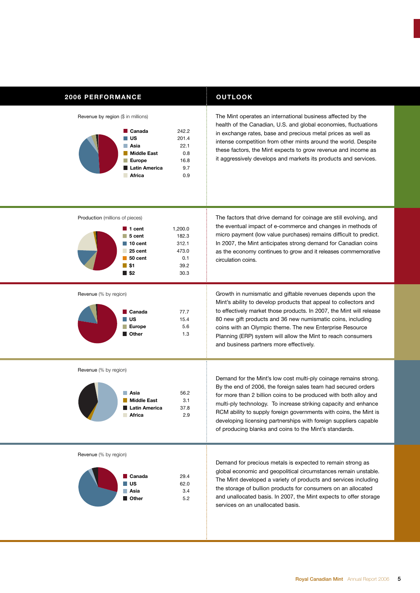#### **2006 PERFORMANCE OUTLOOK**

Revenue by region (\$ in millions)



The Mint operates an international business affected by the health of the Canadian, U.S. and global economies, fluctuations in exchange rates, base and precious metal prices as well as intense competition from other mints around the world. Despite these factors, the Mint expects to grow revenue and income as it aggressively develops and markets its products and services.

Production (millions of pieces)



**\$2** 30.3

Revenue (% by region)



micro payment (low value purchases) remains difficult to predict. In 2007, the Mint anticipates strong demand for Canadian coins as the economy continues to grow and it releases commemorative circulation coins.

The factors that drive demand for coinage are still evolving, and the eventual impact of e-commerce and changes in methods of

Growth in numismatic and giftable revenues depends upon the Mint's ability to develop products that appeal to collectors and to effectively market those products. In 2007, the Mint will release 80 new gift products and 36 new numismatic coins, including coins with an Olympic theme. The new Enterprise Resource Planning (ERP) system will allow the Mint to reach consumers and business partners more effectively.

Revenue (% by region)



Demand for the Mint's low cost multi-ply coinage remains strong. By the end of 2006, the foreign sales team had secured orders for more than 2 billion coins to be produced with both alloy and multi-ply technology. To increase striking capacity and enhance RCM ability to supply foreign governments with coins, the Mint is developing licensing partnerships with foreign suppliers capable of producing blanks and coins to the Mint's standards.

Revenue (% by region)



Demand for precious metals is expected to remain strong as global economic and geopolitical circumstances remain unstable. The Mint developed a variety of products and services including the storage of bullion products for consumers on an allocated and unallocated basis. In 2007, the Mint expects to offer storage services on an unallocated basis.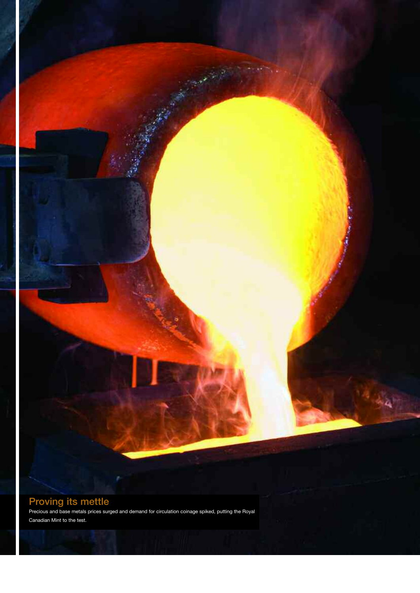#### Proving its mettle

Precious and base metals prices surged and demand for circulation coinage spiked, putting the Royal Canadian Mint to the test.

٩٩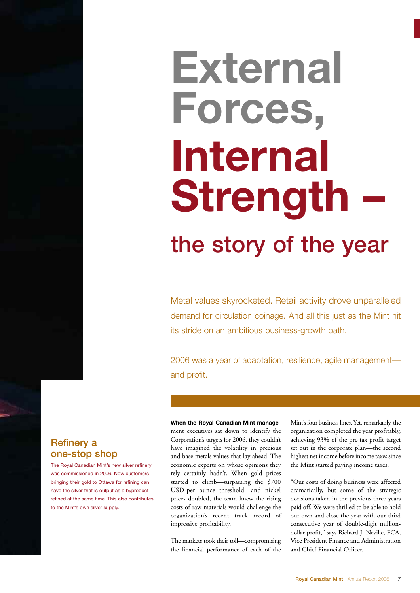# the story of the year **External Forces, Internal Strength –**

Metal values skyrocketed. Retail activity drove unparalleled demand for circulation coinage. And all this just as the Mint hit its stride on an ambitious business-growth path.

2006 was a year of adaptation, resilience, agile management and profit.

**When the Royal Canadian Mint manage**ment executives sat down to identify the Corporation's targets for 2006, they couldn't have imagined the volatility in precious and base metals values that lay ahead. The economic experts on whose opinions they rely certainly hadn't. When gold prices started to climb—surpassing the \$700 USD-per ounce threshold—and nickel prices doubled, the team knew the rising costs of raw materials would challenge the organization's recent track record of impressive profitability.

The markets took their toll—compromising the financial performance of each of the

Mint's four business lines. Yet, remarkably, the organization completed the year profitably, achieving 93% of the pre-tax profit target set out in the corporate plan—the second highest net income before income taxes since the Mint started paying income taxes.

"Our costs of doing business were affected dramatically, but some of the strategic decisions taken in the previous three years paid off. We were thrilled to be able to hold our own and close the year with our third consecutive year of double-digit milliondollar profit," says Richard J. Neville, FCA, Vice President Finance and Administration and Chief Financial Officer.

#### Refinery a one-stop shop

The Royal Canadian Mint's new silver refinery was commissioned in 2006. Now customers bringing their gold to Ottawa for refining can have the silver that is output as a byproduct refined at the same time. This also contributes to the Mint's own silver supply.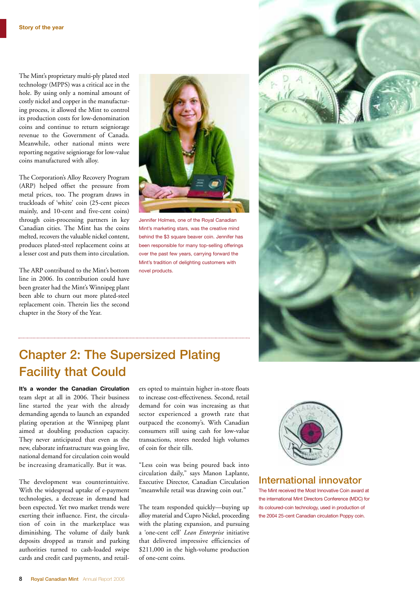The Mint's proprietary multi-ply plated steel technology (MPPS) was a critical ace in the hole. By using only a nominal amount of costly nickel and copper in the manufacturing process, it allowed the Mint to control its production costs for low-denomination coins and continue to return seigniorage revenue to the Government of Canada. Meanwhile, other national mints were reporting negative seigniorage for low-value coins manufactured with alloy.

The Corporation's Alloy Recovery Program (ARP) helped offset the pressure from metal prices, too. The program draws in truckloads of 'white' coin (25-cent pieces mainly, and 10-cent and five-cent coins) through coin-processing partners in key Canadian cities. The Mint has the coins melted, recovers the valuable nickel content, produces plated-steel replacement coins at a lesser cost and puts them into circulation.

The ARP contributed to the Mint's bottom line in 2006. Its contribution could have been greater had the Mint's Winnipeg plant been able to churn out more plated-steel replacement coin. Therein lies the second chapter in the Story of the Year.



Jennifer Holmes, one of the Royal Canadian Mint's marketing stars, was the creative mind behind the \$3 square beaver coin. Jennifer has been responsible for many top-selling offerings over the past few years, carrying forward the Mint's tradition of delighting customers with novel products.



### Chapter 2: The Supersized Plating Facility that Could

**It's a wonder the Canadian Circulation** team slept at all in 2006. Their business line started the year with the already demanding agenda to launch an expanded plating operation at the Winnipeg plant aimed at doubling production capacity. They never anticipated that even as the new, elaborate infrastructure was going live, national demand for circulation coin would be increasing dramatically. But it was.

The development was counterintuitive. With the widespread uptake of e-payment technologies, a decrease in demand had been expected. Yet two market trends were exerting their influence. First, the circulation of coin in the marketplace was diminishing. The volume of daily bank deposits dropped as transit and parking authorities turned to cash-loaded swipe cards and credit card payments, and retailers opted to maintain higher in-store floats to increase cost-effectiveness. Second, retail demand for coin was increasing as that sector experienced a growth rate that outpaced the economy's. With Canadian consumers still using cash for low-value transactions, stores needed high volumes of coin for their tills.

"Less coin was being poured back into circulation daily," says Manon Laplante, Executive Director, Canadian Circulation "meanwhile retail was drawing coin out."

The team responded quickly—buying up alloy material and Cupro Nickel, proceeding with the plating expansion, and pursuing a 'one-cent cell' *Lean Enterprise* initiative that delivered impressive efficiencies of \$211,000 in the high-volume production of one-cent coins.



#### International innovator

The Mint received the Most Innovative Coin award at the international Mint Directors Conference (MDC) for its coloured-coin technology, used in production of the 2004 25-cent Canadian circulation Poppy coin.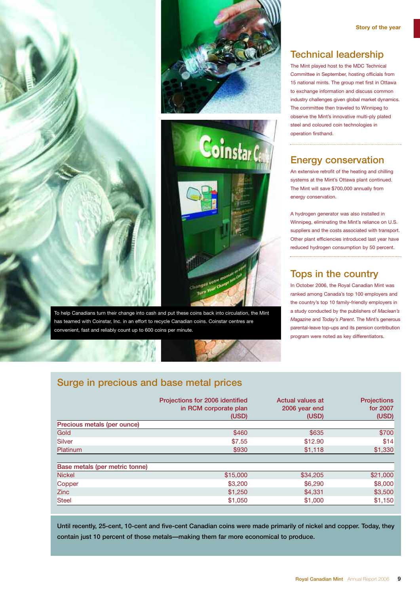



To help Canadians turn their change into cash and put these coins back into circulation, the Mint has teamed with Coinstar, Inc. in an effort to recycle Canadian coins. Coinstar centres are convenient, fast and reliably count up to 600 coins per minute.

#### Technical leadership

The Mint played host to the MDC Technical Committee in September, hosting officials from 15 national mints. The group met first in Ottawa to exchange information and discuss common industry challenges given global market dynamics. The committee then traveled to Winnipeg to observe the Mint's innovative multi-ply plated steel and coloured coin technologies in operation firsthand.

#### Energy conservation

An extensive retrofit of the heating and chilling systems at the Mint's Ottawa plant continued. The Mint will save \$700,000 annually from energy conservation.

A hydrogen generator was also installed in Winnipeg, eliminating the Mint's reliance on U.S. suppliers and the costs associated with transport. Other plant efficiencies introduced last year have reduced hydrogen consumption by 50 percent.

#### Tops in the country

In October 2006, the Royal Canadian Mint was ranked among Canada's top 100 employers and the country's top 10 family-friendly employers in a study conducted by the publishers of *Maclean's Magazine* and *Today's Parent*. The Mint's generous parental-leave top-ups and its pension contribution program were noted as key differentiators.

#### Surge in precious and base metal prices

|                                | Projections for 2006 identified<br>in RCM corporate plan<br>(USD) | Actual values at<br>2006 year end<br>(USD) | <b>Projections</b><br>for 2007<br>(USD) |
|--------------------------------|-------------------------------------------------------------------|--------------------------------------------|-----------------------------------------|
| Precious metals (per ounce)    |                                                                   |                                            |                                         |
| Gold                           | \$460                                                             | \$635                                      | \$700                                   |
| Silver                         | \$7.55                                                            | \$12.90                                    | \$14                                    |
| <b>Platinum</b>                | \$930                                                             | \$1,118                                    | \$1,330                                 |
|                                |                                                                   |                                            |                                         |
| Base metals (per metric tonne) |                                                                   |                                            |                                         |
| <b>Nickel</b>                  | \$15,000                                                          | \$34,205                                   | \$21,000                                |
| Copper                         | \$3,200                                                           | \$6,290                                    | \$8,000                                 |
| <b>Zinc</b>                    | \$1,250                                                           | \$4.331                                    | \$3,500                                 |
| <b>Steel</b>                   | \$1,050                                                           | \$1,000                                    | \$1,150                                 |

Until recently, 25-cent, 10-cent and five-cent Canadian coins were made primarily of nickel and copper. Today, they contain just 10 percent of those metals—making them far more economical to produce.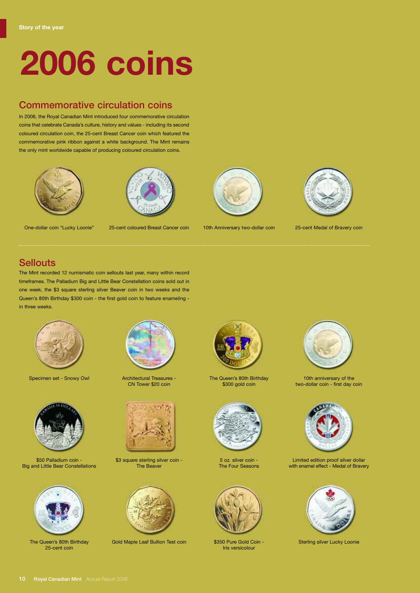# **2006 coins**

#### Commemorative circulation coins

In 2006, the Royal Canadian Mint introduced four commemorative circulation coins that celebrate Canada's culture, history and values - including its second coloured circulation coin, the 25-cent Breast Cancer coin which featured the commemorative pink ribbon against a white background. The Mint remains the only mint worldwide capable of producing coloured circulation coins.





One-dollar coin "Lucky Loonie"

25-cent coloured Breast Cancer coin



10th Anniversary two-dollar coin



25-cent Medal of Bravery coin

**Sellouts** 

The Mint recorded 12 numismatic coin sellouts last year, many within record timeframes. The Palladium Big and Little Bear Constellation coins sold out in one week, the \$3 square sterling silver Beaver coin in two weeks and the Queen's 80th Birthday \$300 coin - the first gold coin to feature enameling in three weeks.



Specimen set - Snowy Owl **Architectural Treasures -**



\$50 Palladium coin - Big and Little Bear Constellations



The Queen's 80th Birthday 25-cent coin



CN Tower \$20 coin



\$3 square sterling silver coin -The Beaver



Gold Maple Leaf Bullion Test coin State Sterling silver Lucky Loonie Cold Coin - Sterling silver Lucky Loonie



The Queen's 80th Birthday \$300 gold coin



5 oz. silver coin - The Four Seasons



\$350 Pure Gold Coin - Iris versicolour



10th anniversary of the two-dollar coin - first day coin



Limited edition proof silver dollar with enamel effect - Medal of Bravery

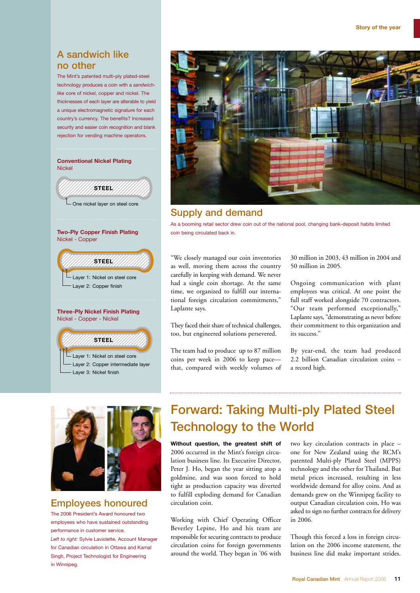#### A sandwich like no other

The Mint's patented multi-ply plated-steel technology produces a coin with a *sandwichlike* core of nickel, copper and nickel. The thicknesses of each layer are alterable to yield a unique electromagnetic signature for each country's currency. The benefits? Increased security and easier coin recognition and blank rejection for vending machine operators.



Layer 2: Copper intermediate layer Layer 3: Nickel finish



#### Supply and demand

As a booming retail sector drew coin out of the national pool, changing bank-deposit habits limited

"We closely managed our coin inventories as well, moving them across the country carefully in keeping with demand. We never had a single coin shortage. At the same time, we organized to fulfill our international foreign circulation commitments," Laplante says.

They faced their share of technical challenges, too, but engineered solutions persevered.

The team had to produce up to 87 million coins per week in 2006 to keep pace that, compared with weekly volumes of 30 million in 2003, 43 million in 2004 and 50 million in 2005.

Ongoing communication with plant employees was critical. At one point the full staff worked alongside 70 contractors. "Our team performed exceptionally," Laplante says, "demonstrating as never before their commitment to this organization and its success."

By year-end, the team had produced 2.2 billion Canadian circulation coins – a record high.



#### Employees honoured

The 2006 President's Award honoured two employees who have sustained outstanding performance in customer service. *Left to right:* Sylvie Laviolette, Account Manager

for Canadian circulation in Ottawa and Kamal Singh, Project Technologist for Engineering in Winnipeg.

### Forward: Taking Multi-ply Plated Steel Technology to the World

**Without question, the greatest shift of** 2006 occurred in the Mint's foreign circulation business line. Its Executive Director, Peter J. Ho, began the year sitting atop a goldmine, and was soon forced to hold tight as production capacity was diverted to fulfill exploding demand for Canadian circulation coin.

Working with Chief Operating Officer Beverley Lepine, Ho and his team are responsible for securing contracts to produce circulation coins for foreign governments around the world. They began in '06 with

two key circulation contracts in place – one for New Zealand using the RCM's patented Multi-ply Plated Steel (MPPS) technology and the other for Thailand. But metal prices increased, resulting in less worldwide demand for alloy coins. And as demands grew on the Winnipeg facility to output Canadian circulation coin, Ho was asked to sign no further contracts for delivery in 2006.

Though this forced a loss in foreign circulation on the 2006 income statement, the business line did make important strides.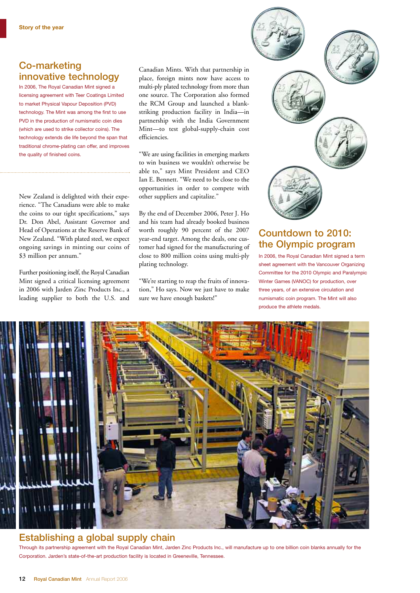#### Co-marketing innovative technology

In 2006, The Royal Canadian Mint signed a licensing agreement with Teer Coatings Limited to market Physical Vapour Deposition (PVD) technology. The Mint was among the first to use PVD in the production of numismatic coin dies (which are used to strike collector coins). The technology extends die life beyond the span that traditional chrome-plating can offer, and improves the quality of finished coins.

New Zealand is delighted with their experience. "The Canadians were able to make the coins to our tight specifications," says Dr. Don Abel, Assistant Governor and Head of Operations at the Reserve Bank of New Zealand. "With plated steel, we expect ongoing savings in minting our coins of \$3 million per annum."

Further positioning itself, the Royal Canadian Mint signed a critical licensing agreement in 2006 with Jarden Zinc Products Inc., a leading supplier to both the U.S. and Canadian Mints. With that partnership in place, foreign mints now have access to multi-ply plated technology from more than one source. The Corporation also formed the RCM Group and launched a blankstriking production facility in India—in partnership with the India Government Mint—to test global-supply-chain cost efficiencies.

"We are using facilities in emerging markets to win business we wouldn't otherwise be able to," says Mint President and CEO Ian E. Bennett. "We need to be close to the opportunities in order to compete with other suppliers and capitalize."

By the end of December 2006, Peter J. Ho and his team had already booked business worth roughly 90 percent of the 2007 year-end target. Among the deals, one customer had signed for the manufacturing of close to 800 million coins using multi-ply plating technology.

"We're starting to reap the fruits of innovation," Ho says. Now we just have to make sure we have enough baskets!"



#### Countdown to 2010: the Olympic program

In 2006, the Royal Canadian Mint signed a term sheet agreement with the Vancouver Organizing Committee for the 2010 Olympic and Paralympic Winter Games (VANOC) for production, over three years, of an extensive circulation and numismatic coin program. The Mint will also produce the athlete medals.



#### Establishing a global supply chain

Through its partnership agreement with the Royal Canadian Mint, Jarden Zinc Products Inc., will manufacture up to one billion coin blanks annually for the Corporation. Jarden's state-of-the-art production facility is located in Greeneville, Tennessee.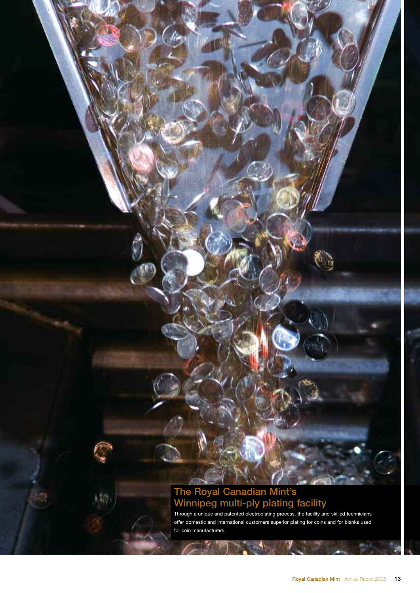#### The Royal Canadian Mint's Winnipeg multi-ply plating facility

Through a unique and patented electroplating process, the facility and skilled technicians offer domestic and international customers superior plating for coins and for blanks used for coin manufacturers.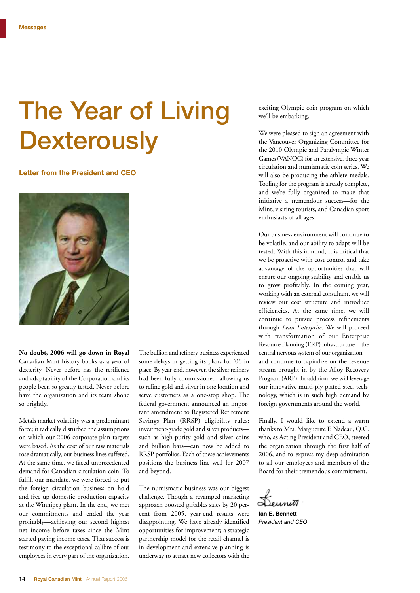## The Year of Living **Dexterously**

#### **Letter from the President and CEO**



**No doubt, 2006 will go down in Royal** Canadian Mint history books as a year of dexterity. Never before has the resilience and adaptability of the Corporation and its people been so greatly tested. Never before have the organization and its team shone so brightly.

Metals market volatility was a predominant force; it radically disturbed the assumptions on which our 2006 corporate plan targets were based. As the cost of our raw materials rose dramatically, our business lines suffered. At the same time, we faced unprecedented demand for Canadian circulation coin. To fulfill our mandate, we were forced to put the foreign circulation business on hold and free up domestic production capacity at the Winnipeg plant. In the end, we met our commitments and ended the year profitably—achieving our second highest net income before taxes since the Mint started paying income taxes. That success is testimony to the exceptional calibre of our employees in every part of the organization. The bullion and refinery business experienced some delays in getting its plans for '06 in place. By year-end, however, the silver refinery had been fully commissioned, allowing us to refine gold and silver in one location and serve customers as a one-stop shop. The federal government announced an important amendment to Registered Retirement Savings Plan (RRSP) eligibility rules: investment-grade gold and silver products such as high-purity gold and silver coins and bullion bars—can now be added to RRSP portfolios. Each of these achievements positions the business line well for 2007 and beyond.

The numismatic business was our biggest challenge. Though a revamped marketing approach boosted giftables sales by 20 percent from 2005, year-end results were disappointing. We have already identified opportunities for improvement; a strategic partnership model for the retail channel is in development and extensive planning is underway to attract new collectors with the

exciting Olympic coin program on which we'll be embarking.

We were pleased to sign an agreement with the Vancouver Organizing Committee for the 2010 Olympic and Paralympic Winter Games (VANOC) for an extensive, three-year circulation and numismatic coin series. We will also be producing the athlete medals. Tooling for the program is already complete, and we're fully organized to make that initiative a tremendous success—for the Mint, visiting tourists, and Canadian sport enthusiasts of all ages.

Our business environment will continue to be volatile, and our ability to adapt will be tested. With this in mind, it is critical that we be proactive with cost control and take advantage of the opportunities that will ensure our ongoing stability and enable us to grow profitably. In the coming year, working with an external consultant, we will review our cost structure and introduce efficiencies. At the same time, we will continue to pursue process refinements through *Lean Enterprise*. We will proceed with transformation of our Enterprise Resource Planning (ERP) infrastructure—the central nervous system of our organization and continue to capitalize on the revenue stream brought in by the Alloy Recovery Program (ARP). In addition, we will leverage our innovative multi-ply plated steel technology, which is in such high demand by foreign governments around the world.

Finally, I would like to extend a warm thanks to Mrs. Marguerite F. Nadeau, Q.C. who, as Acting President and CEO, steered the organization through the first half of 2006, and to express my deep admiration to all our employees and members of the Board for their tremendous commitment.

Leunit

**Ian E. Bennett** *President and CEO*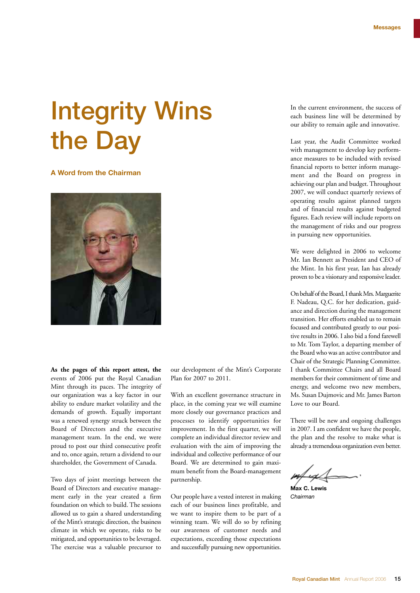## Integrity Wins the Day

#### **A Word from the Chairman**



**As the pages of this report attest, the** events of 2006 put the Royal Canadian Mint through its paces. The integrity of our organization was a key factor in our ability to endure market volatility and the demands of growth. Equally important was a renewed synergy struck between the Board of Directors and the executive management team. In the end, we were proud to post our third consecutive profit and to, once again, return a dividend to our shareholder, the Government of Canada.

Two days of joint meetings between the Board of Directors and executive management early in the year created a firm foundation on which to build. The sessions allowed us to gain a shared understanding of the Mint's strategic direction, the business climate in which we operate, risks to be mitigated, and opportunities to be leveraged. The exercise was a valuable precursor to

our development of the Mint's Corporate Plan for 2007 to 2011.

With an excellent governance structure in place, in the coming year we will examine more closely our governance practices and processes to identify opportunities for improvement. In the first quarter, we will complete an individual director review and evaluation with the aim of improving the individual and collective performance of our Board. We are determined to gain maximum benefit from the Board-management partnership.

Our people have a vested interest in making each of our business lines profitable, and we want to inspire them to be part of a winning team. We will do so by refining our awareness of customer needs and expectations, exceeding those expectations and successfully pursuing new opportunities.

In the current environment, the success of each business line will be determined by our ability to remain agile and innovative.

Last year, the Audit Committee worked with management to develop key performance measures to be included with revised financial reports to better inform management and the Board on progress in achieving our plan and budget. Throughout 2007, we will conduct quarterly reviews of operating results against planned targets and of financial results against budgeted figures. Each review will include reports on the management of risks and our progress in pursuing new opportunities.

We were delighted in 2006 to welcome Mr. Ian Bennett as President and CEO of the Mint. In his first year, Ian has already proven to be a visionary and responsiveleader.

On behalf of the Board, I thank Mrs. Marguerite F. Nadeau, Q.C. for her dedication, guidance and direction during the management transition. Her efforts enabled us to remain focused and contributed greatly to our positive results in 2006. I also bid a fond farewell to Mr. Tom Taylor, a departing member of the Board who was an active contributor and Chair of the Strategic Planning Committee. I thank Committee Chairs and all Board members for their commitment of time and energy, and welcome two new members, Ms. Susan Dujmovic and Mr. James Barton Love to our Board.

There will be new and ongoing challenges in 2007. I am confident we have the people, the plan and the resolve to make what is already a tremendous organization even better.

**Max C. Lewis**

*Chairman*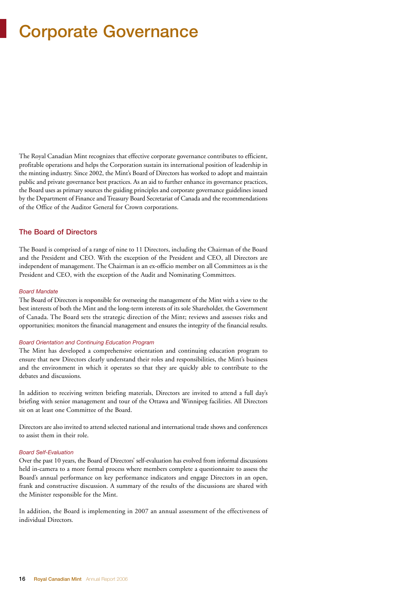## Corporate Governance

The Royal Canadian Mint recognizes that effective corporate governance contributes to efficient, profitable operations and helps the Corporation sustain its international position of leadership in the minting industry. Since 2002, the Mint's Board of Directors has worked to adopt and maintain public and private governance best practices. As an aid to further enhance its governance practices, the Board uses as primary sources the guiding principles and corporate governance guidelines issued by the Department of Finance and Treasury Board Secretariat of Canada and the recommendations of the Office of the Auditor General for Crown corporations.

#### The Board of Directors

The Board is comprised of a range of nine to 11 Directors, including the Chairman of the Board and the President and CEO. With the exception of the President and CEO, all Directors are independent of management. The Chairman is an ex-officio member on all Committees as is the President and CEO, with the exception of the Audit and Nominating Committees.

#### *Board Mandate*

The Board of Directors is responsible for overseeing the management of the Mint with a view to the best interests of both the Mint and the long-term interests of its sole Shareholder, the Government of Canada. The Board sets the strategic direction of the Mint; reviews and assesses risks and opportunities; monitors the financial management and ensures the integrity of the financial results.

#### *Board Orientation and Continuing Education Program*

The Mint has developed a comprehensive orientation and continuing education program to ensure that new Directors clearly understand their roles and responsibilities, the Mint's business and the environment in which it operates so that they are quickly able to contribute to the debates and discussions.

In addition to receiving written briefing materials, Directors are invited to attend a full day's briefing with senior management and tour of the Ottawa and Winnipeg facilities. All Directors sit on at least one Committee of the Board.

Directors are also invited to attend selected national and international trade shows and conferences to assist them in their role.

#### *Board Self-Evaluation*

Over the past 10 years, the Board of Directors' self-evaluation has evolved from informal discussions held in-camera to a more formal process where members complete a questionnaire to assess the Board's annual performance on key performance indicators and engage Directors in an open, frank and constructive discussion. A summary of the results of the discussions are shared with the Minister responsible for the Mint.

In addition, the Board is implementing in 2007 an annual assessment of the effectiveness of individual Directors.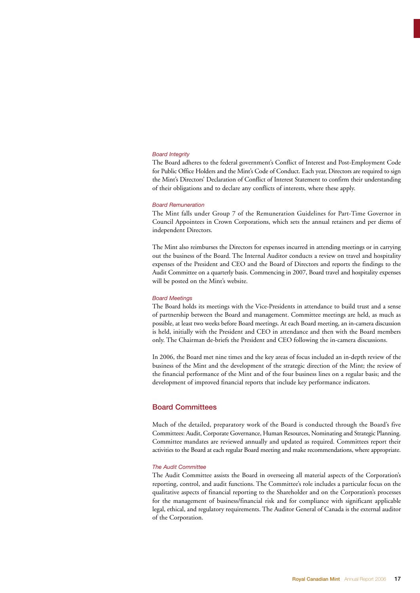#### *Board Integrity*

The Board adheres to the federal government's Conflict of Interest and Post-Employment Code for Public Office Holders and the Mint's Code of Conduct. Each year, Directors are required to sign the Mint's Directors' Declaration of Conflict of Interest Statement to confirm their understanding of their obligations and to declare any conflicts of interests, where these apply.

#### *Board Remuneration*

The Mint falls under Group 7 of the Remuneration Guidelines for Part-Time Governor in Council Appointees in Crown Corporations, which sets the annual retainers and per diems of independent Directors.

The Mint also reimburses the Directors for expenses incurred in attending meetings or in carrying out the business of the Board. The Internal Auditor conducts a review on travel and hospitality expenses of the President and CEO and the Board of Directors and reports the findings to the Audit Committee on a quarterly basis. Commencing in 2007, Board travel and hospitality expenses will be posted on the Mint's website.

#### *Board Meetings*

The Board holds its meetings with the Vice-Presidents in attendance to build trust and a sense of partnership between the Board and management. Committee meetings are held, as much as possible, at least two weeks before Board meetings. At each Board meeting, an in-camera discussion is held, initially with the President and CEO in attendance and then with the Board members only. The Chairman de-briefs the President and CEO following the in-camera discussions.

In 2006, the Board met nine times and the key areas of focus included an in-depth review of the business of the Mint and the development of the strategic direction of the Mint; the review of the financial performance of the Mint and of the four business lines on a regular basis; and the development of improved financial reports that include key performance indicators.

#### Board Committees

Much of the detailed, preparatory work of the Board is conducted through the Board's five Committees: Audit, Corporate Governance, Human Resources, Nominating and Strategic Planning. Committee mandates are reviewed annually and updated as required. Committees report their activities to the Board at each regular Board meeting and make recommendations, where appropriate.

#### *The Audit Committee*

The Audit Committee assists the Board in overseeing all material aspects of the Corporation's reporting, control, and audit functions. The Committee's role includes a particular focus on the qualitative aspects of financial reporting to the Shareholder and on the Corporation's processes for the management of business/financial risk and for compliance with significant applicable legal, ethical, and regulatory requirements. The Auditor General of Canada is the external auditor of the Corporation.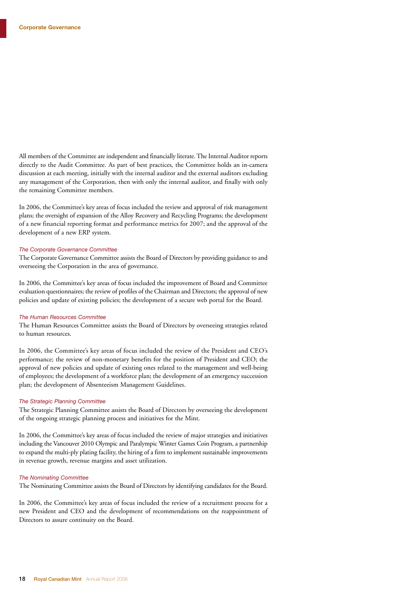All members of the Committee are independent and financially literate. The Internal Auditor reports directly to the Audit Committee. As part of best practices, the Committee holds an in-camera discussion at each meeting, initially with the internal auditor and the external auditors excluding any management of the Corporation, then with only the internal auditor, and finally with only the remaining Committee members.

In 2006, the Committee's key areas of focus included the review and approval of risk management plans; the oversight of expansion of the Alloy Recovery and Recycling Programs; the development of a new financial reporting format and performance metrics for 2007; and the approval of the development of a new ERP system.

#### *The Corporate Governance Committee*

The Corporate Governance Committee assists the Board of Directors by providing guidance to and overseeing the Corporation in the area of governance.

In 2006, the Committee's key areas of focus included the improvement of Board and Committee evaluation questionnaires; the review of profiles of the Chairman and Directors; the approval of new policies and update of existing policies; the development of a secure web portal for the Board.

#### *The Human Resources Committee*

The Human Resources Committee assists the Board of Directors by overseeing strategies related to human resources.

In 2006, the Committee's key areas of focus included the review of the President and CEO's performance; the review of non-monetary benefits for the position of President and CEO; the approval of new policies and update of existing ones related to the management and well-being of employees; the development of a workforce plan; the development of an emergency succession plan; the development of Absenteeism Management Guidelines.

#### *The Strategic Planning Committee*

The Strategic Planning Committee assists the Board of Directors by overseeing the development of the ongoing strategic planning process and initiatives for the Mint.

In 2006, the Committee's key areas of focus included the review of major strategies and initiatives including the Vancouver 2010 Olympic and Paralympic Winter Games Coin Program, a partnership to expand the multi-ply plating facility, the hiring of a firm to implement sustainable improvements in revenue growth, revenue margins and asset utilization.

#### *The Nominating Committee*

The Nominating Committee assists the Board of Directors by identifying candidates for the Board.

In 2006, the Committee's key areas of focus included the review of a recruitment process for a new President and CEO and the development of recommendations on the reappointment of Directors to assure continuity on the Board.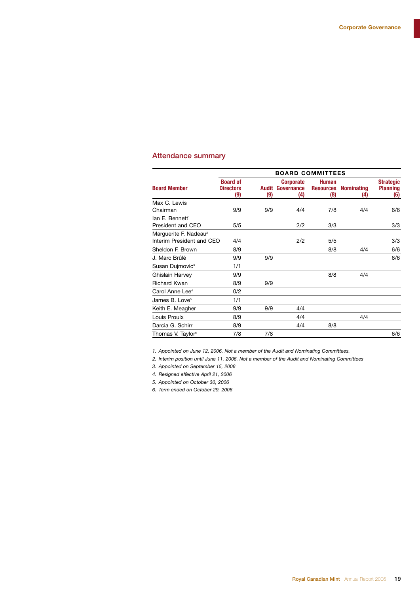#### Attendance summary

|                                                                | <b>BOARD COMMITTEES</b>                    |              |                                       |                                         |                          |                                            |
|----------------------------------------------------------------|--------------------------------------------|--------------|---------------------------------------|-----------------------------------------|--------------------------|--------------------------------------------|
| <b>Board Member</b>                                            | <b>Board of</b><br><b>Directors</b><br>(9) | Audit<br>(9) | <b>Corporate</b><br>Governance<br>(4) | <b>Human</b><br><b>Resources</b><br>(8) | <b>Nominating</b><br>(4) | <b>Strategic</b><br><b>Planning</b><br>(6) |
| Max C. Lewis                                                   |                                            |              |                                       |                                         |                          |                                            |
| Chairman                                                       | 9/9                                        | 9/9          | 4/4                                   | 7/8                                     | 4/4                      | 6/6                                        |
| lan F. Bennett <sup>1</sup>                                    |                                            |              |                                       |                                         |                          |                                            |
| President and CEO                                              | 5/5                                        |              | 2/2                                   | 3/3                                     |                          | 3/3                                        |
| Marguerite F. Nadeau <sup>2</sup><br>Interim President and CEO | 4/4                                        |              | 2/2                                   | 5/5                                     |                          | 3/3                                        |
| Sheldon F. Brown                                               | 8/9                                        |              |                                       | 8/8                                     | 4/4                      | 6/6                                        |
| J. Marc Brûlé                                                  | 9/9                                        | 9/9          |                                       |                                         |                          | 6/6                                        |
| Susan Dujmovic <sup>3</sup>                                    | 1/1                                        |              |                                       |                                         |                          |                                            |
| Ghislain Harvey                                                | 9/9                                        |              |                                       | 8/8                                     | 4/4                      |                                            |
| <b>Richard Kwan</b>                                            | 8/9                                        | 9/9          |                                       |                                         |                          |                                            |
| Carol Anne Lee <sup>4</sup>                                    | 0/2                                        |              |                                       |                                         |                          |                                            |
| James B. Love <sup>5</sup>                                     | 1/1                                        |              |                                       |                                         |                          |                                            |
| Keith E. Meagher                                               | 9/9                                        | 9/9          | 4/4                                   |                                         |                          |                                            |
| Louis Proulx                                                   | 8/9                                        |              | 4/4                                   |                                         | 4/4                      |                                            |
| Darcia G. Schirr                                               | 8/9                                        |              | 4/4                                   | 8/8                                     |                          |                                            |
| Thomas V. Taylor <sup>6</sup>                                  | 7/8                                        | 7/8          |                                       |                                         |                          | 6/6                                        |

*1. Appointed on June 12, 2006. Not a member of the Audit and Nominating Committees.*

*2. Interim position until June 11, 2006. Not a member of the Audit and Nominating Committees*

*3. Appointed on September 15, 2006*

*4. Resigned effective April 21, 2006*

*5. Appointed on October 30, 2006*

*6. Term ended on October 29, 2006*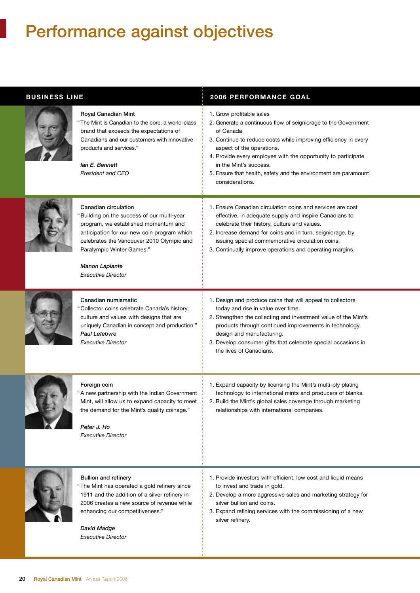## Performance against objectives

| <b>BUSINESS LINE</b> |                                                                                                                                                                                                                                                                                           | <b>2006 PERFORMANCE GOAL</b>                                                                                                                                                                                                                                                                                                                                                             |
|----------------------|-------------------------------------------------------------------------------------------------------------------------------------------------------------------------------------------------------------------------------------------------------------------------------------------|------------------------------------------------------------------------------------------------------------------------------------------------------------------------------------------------------------------------------------------------------------------------------------------------------------------------------------------------------------------------------------------|
|                      | Royal Canadian Mint<br>"The Mint is Canadian to the core, a world-class<br>brand that exceeds the expectations of<br>Canadians and our customers with innovative<br>products and services."<br>lan E. Bennett<br>President and CEO                                                        | 1. Grow profitable sales<br>2. Generate a continuous flow of seigniorage to the Government<br>of Canada<br>3. Continue to reduce costs while improving efficiency in every<br>aspect of the operations.<br>4. Provide every employee with the opportunity to participate<br>in the Mint's success.<br>5. Ensure that health, safety and the environment are paramount<br>considerations. |
|                      | Canadian circulation<br>"Building on the success of our multi-year<br>program, we established momentum and<br>anticipation for our new coin program which<br>celebrates the Vancouver 2010 Olympic and<br>Paralympic Winter Games."<br><b>Manon Laplante</b><br><b>Executive Director</b> | 1. Ensure Canadian circulation coins and services are cost<br>effective, in adequate supply and inspire Canadians to<br>celebrate their history, culture and values.<br>2. Increase demand for coins and in turn, seigniorage, by<br>issuing special commemorative circulation coins.<br>3. Continually improve operations and operating margins.                                        |
|                      | Canadian numismatic<br>"Collector coins celebrate Canada's history,<br>culture and values with designs that are<br>uniquely Canadian in concept and production."<br>Paul Lefebvre<br><b>Executive Director</b>                                                                            | 1. Design and produce coins that will appeal to collectors<br>today and rise in value over time.<br>2. Strengthen the collecting and investment value of the Mint's<br>products through continued improvements in technology,<br>design and manufacturing.<br>3. Develop consumer gifts that celebrate special occasions in<br>the lives of Canadians.                                   |
|                      | Foreign coin<br>"A new partnership with the Indian Government<br>Mint, will allow us to expand capacity to meet<br>the demand for the Mint's quality coinage."<br>Peter J. Ho<br><b>Executive Director</b>                                                                                | 1. Expand capacity by licensing the Mint's multi-ply plating<br>technology to international mints and producers of blanks.<br>2. Build the Mint's global sales coverage through marketing<br>relationships with international companies.                                                                                                                                                 |
|                      | <b>Bullion and refinery</b><br>"The Mint has operated a gold refinery since<br>1911 and the addition of a silver refinery in<br>2006 creates a new source of revenue while<br>enhancing our competitiveness."<br><b>David Madge</b><br><b>Executive Director</b>                          | 1. Provide investors with efficient, low cost and liquid means<br>to invest and trade in gold.<br>2. Develop a more aggressive sales and marketing strategy for<br>silver bullion and coins.<br>3. Expand refining services with the commissioning of a new<br>silver refinery.                                                                                                          |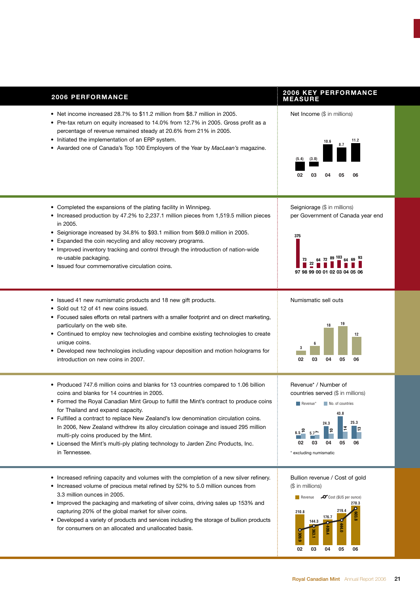| <b>2006 PERFORMANCE</b>                                                                                                                                                                                                                                                                                                                                                                                                                                                                                                                                                                     | <b>2006 KEY PERFORMANCE</b><br><b>MEASURE</b>                                                                                                                                                       |
|---------------------------------------------------------------------------------------------------------------------------------------------------------------------------------------------------------------------------------------------------------------------------------------------------------------------------------------------------------------------------------------------------------------------------------------------------------------------------------------------------------------------------------------------------------------------------------------------|-----------------------------------------------------------------------------------------------------------------------------------------------------------------------------------------------------|
| • Net income increased 28.7% to \$11.2 million from \$8.7 million in 2005.<br>• Pre-tax return on equity increased to 14.0% from 12.7% in 2005. Gross profit as a<br>percentage of revenue remained steady at 20.6% from 21% in 2005.<br>• Initiated the implementation of an ERP system.<br>• Awarded one of Canada's Top 100 Employers of the Year by MacLean's magazine.                                                                                                                                                                                                                 | Net Income (\$ in millions)<br>11.2<br>10.6<br>8.7<br>(3.0)<br>(5.4)<br>02<br>05<br>06<br>03<br>04                                                                                                  |
| • Completed the expansions of the plating facility in Winnipeg.<br>• Increased production by 47.2% to 2,237.1 million pieces from 1,519.5 million pieces<br>in 2005.<br>• Seigniorage increased by 34.8% to \$93.1 million from \$69.0 million in 2005.<br>• Expanded the coin recycling and alloy recovery programs.<br>• Improved inventory tracking and control through the introduction of nation-wide<br>re-usable packaging.<br>• Issued four commemorative circulation coins.                                                                                                        | Seigniorage (\$ in millions)<br>per Government of Canada year end<br>375<br>97 98 99 00 01 02 03 04 05 06                                                                                           |
| • Issued 41 new numismatic products and 18 new gift products.<br>• Sold out 12 of 41 new coins issued.<br>• Focused sales efforts on retail partners with a smaller footprint and on direct marketing,<br>particularly on the web site.<br>• Continued to employ new technologies and combine existing technologies to create<br>unique coins.<br>• Developed new technologies including vapour deposition and motion holograms for<br>introduction on new coins in 2007.                                                                                                                   | Numismatic sell outs<br>19<br>18<br>12<br>03<br>02<br>04<br>05<br>06                                                                                                                                |
| • Produced 747.6 million coins and blanks for 13 countries compared to 1.06 billion<br>coins and blanks for 14 countries in 2005.<br>• Formed the Royal Canadian Mint Group to fulfill the Mint's contract to produce coins<br>for Thailand and expand capacity.<br>• Fulfilled a contract to replace New Zealand's low denomination circulation coins.<br>In 2006, New Zealand withdrew its alloy circulation coinage and issued 295 million<br>multi-ply coins produced by the Mint.<br>• Licensed the Mint's multi-ply plating technology to Jarden Zinc Products, Inc.<br>in Tennessee. | Revenue* / Number of<br>countries served (\$ in millions)<br>Revenue*<br>No. of countries<br>43.8<br>25.3<br>24.3<br>∣≘<br>5.7 <sup>5</sup><br>02<br>03<br>04<br>05<br>06<br>* excluding numismatic |
| • Increased refining capacity and volumes with the completion of a new silver refinery.<br>• Increased volume of precious metal refined by 52% to 5.0 million ounces from<br>3.3 million ounces in 2005.<br>• Improved the packaging and marketing of silver coins, driving sales up 153% and<br>capturing 20% of the global market for silver coins.<br>• Developed a variety of products and services including the storage of bullion products<br>for consumers on an allocated and unallocated basis.                                                                                   | Bullion revenue / Cost of gold<br>(\$ in millions)<br>$\bullet$ Cost (\$US per ounce)<br>Revenue<br>270.3<br>219.4<br>210.8<br>176.7<br>144.3<br>44.0                                               |

**02 03 04 05 06**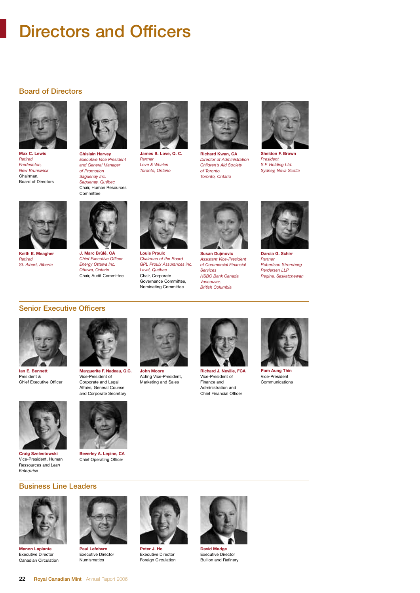## Directors and Officers

#### Board of Directors



**Max C. Lewis** *Retired Fredericton, New Brunswick* Chairman, Board of Directors



*Executive Vice President and General Manager of Promotion Saguenay Inc. Saguenay, Québec* Chair, Human Resources **Committee** 



**James B. Love, Q. C.** *Partner Love & Whalen Toronto, Ontario*



**Richard Kwan, CA**  *Director of Administration Children's Aid Society of Toronto Toronto, Ontario*



*President S.F. Holding Ltd. Sydney, Nova Scotia*



**Louis Proulx** *Chairman of the Board Laval, Québec* Chair, Corporate Governance Committee,



**Susan Dujmovic** *Assistant Vice-President of Commercial Financial Services HSBC Bank Canada Vancouver, British Columbia* 



**Darcia G. Schirr** *Partner Robertson Stromberg Perdersen LLP Regina, Saskatchewan*



# **J. Marc Brûlé, CA**

**Chief Executive Office** *Energy Ottawa Inc. Ottawa, Ontario* Chair, Audit Committee



*GPL Proulx Assurances inc.* Nominating Committee





**Pam Aung Thin** Vice-President Communications





**Ian E. Bennett** President & Chief Executive Officer



Vice-President, Human Ressources and *Lean*



**Marguerite F. Nadeau, Q.C.** Vice-President of Corporate and Legal Affairs, General Counsel

**Beverley A. Lepine, CA** Chief Operating Officer

**John Moore** Acting Vice-President, Marketing and Sales



Vice-President of Finance and Administration and Chief Financial Officer



**David Madge**

Executive Director Bullion and Refinery





**Manon Laplante** Executive Director Canadian Circulation



Numismatics



Executive Director Foreign Circulation



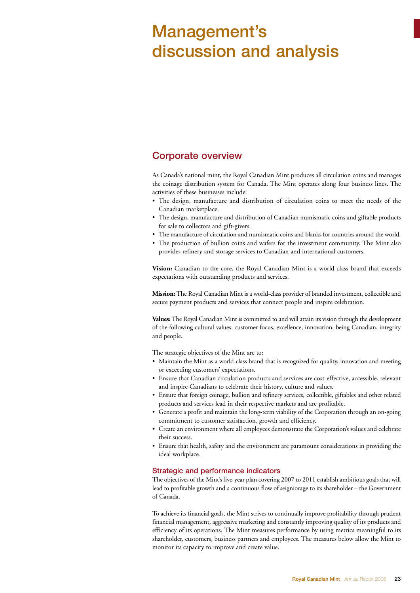## Management's discussion and analysis

#### Corporate overview

As Canada's national mint, the Royal Canadian Mint produces all circulation coins and manages the coinage distribution system for Canada. The Mint operates along four business lines. The activities of these businesses include:

- The design, manufacture and distribution of circulation coins to meet the needs of the Canadian marketplace.
- The design, manufacture and distribution of Canadian numismatic coins and giftable products for sale to collectors and gift-givers.
- The manufacture of circulation and numismatic coins and blanks for countries around the world.
- The production of bullion coins and wafers for the investment community. The Mint also provides refinery and storage services to Canadian and international customers.

**Vision:** Canadian to the core, the Royal Canadian Mint is a world-class brand that exceeds expectations with outstanding products and services.

**Mission:**The Royal Canadian Mint is a world-class provider of branded investment, collectible and secure payment products and services that connect people and inspire celebration.

**Values:**The Royal Canadian Mint is committed to and will attain its vision through the development of the following cultural values: customer focus, excellence, innovation, being Canadian, integrity and people.

The strategic objectives of the Mint are to:

- Maintain the Mint as a world-class brand that is recognized for quality, innovation and meeting or exceeding customers' expectations.
- Ensure that Canadian circulation products and services are cost-effective, accessible, relevant and inspire Canadians to celebrate their history, culture and values.
- Ensure that foreign coinage, bullion and refinery services, collectible, giftables and other related products and services lead in their respective markets and are profitable.
- Generate a profit and maintain the long-term viability of the Corporation through an on-going commitment to customer satisfaction, growth and efficiency.
- Create an environment where all employees demonstrate the Corporation's values and celebrate their success.
- Ensure that health, safety and the environment are paramount considerations in providing the ideal workplace.

#### Strategic and performance indicators

The objectives of the Mint's five-year plan covering 2007 to 2011 establish ambitious goals that will lead to profitable growth and a continuous flow of seigniorage to its shareholder – the Government of Canada.

To achieve its financial goals, the Mint strives to continually improve profitability through prudent financial management, aggressive marketing and constantly improving quality of its products and efficiency of its operations. The Mint measures performance by using metrics meaningful to its shareholder, customers, business partners and employees. The measures below allow the Mint to monitor its capacity to improve and create value.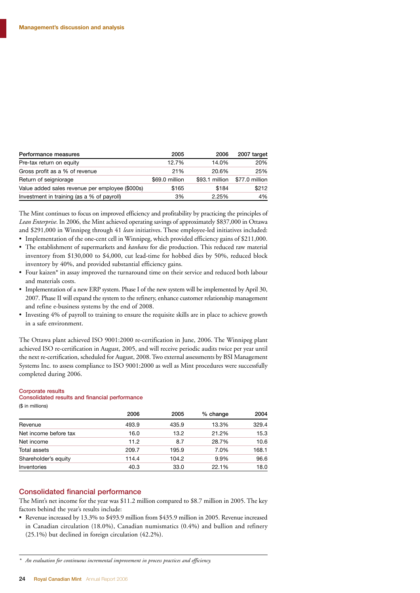| Performance measures                            | 2005           | 2006           | 2007 target    |
|-------------------------------------------------|----------------|----------------|----------------|
| Pre-tax return on equity                        | 12.7%          | 14.0%          | 20%            |
| Gross profit as a % of revenue                  | 21%            | 20.6%          | 25%            |
| Return of seigniorage                           | \$69.0 million | \$93.1 million | \$77.0 million |
| Value added sales revenue per employee (\$000s) | \$165          | \$184          | \$212          |
| Investment in training (as a % of payroll)      | 3%             | 2.25%          | 4%             |

The Mint continues to focus on improved efficiency and profitability by practicing the principles of *Lean Enterprise*. In 2006, the Mint achieved operating savings of approximately \$837,000 in Ottawa and \$291,000 in Winnipeg through 41 *lean* initiatives. These employee-led initiatives included:

- Implementation of the one-cent cell in Winnipeg, which provided efficiency gains of \$211,000.
- The establishment of supermarkets and *kanbans* for die production. This reduced raw material inventory from \$130,000 to \$4,000, cut lead-time for hobbed dies by 50%, reduced block inventory by 40%, and provided substantial efficiency gains.
- Four kaizen\* in assay improved the turnaround time on their service and reduced both labour and materials costs.
- Implementation of a new ERP system. Phase I of the new system will be implemented by April 30, 2007. Phase II will expand the system to the refinery, enhance customer relationship management and refine e-business systems by the end of 2008.
- Investing 4% of payroll to training to ensure the requisite skills are in place to achieve growth in a safe environment.

The Ottawa plant achieved ISO 9001:2000 re-certification in June, 2006. The Winnipeg plant achieved ISO re-certification in August, 2005, and will receive periodic audits twice per year until the next re-certification, scheduled for August, 2008. Two external assessments by BSI Management Systems Inc. to assess compliance to ISO 9001:2000 as well as Mint procedures were successfully completed during 2006.

#### Corporate results

#### Consolidated results and financial performance

(\$ in millions)

|                       | 2006  | 2005  | % change | 2004  |
|-----------------------|-------|-------|----------|-------|
| Revenue               | 493.9 | 435.9 | 13.3%    | 329.4 |
| Net income before tax | 16.0  | 13.2  | 21.2%    | 15.3  |
| Net income            | 11.2  | 8.7   | 28.7%    | 10.6  |
| Total assets          | 209.7 | 195.9 | 7.0%     | 168.1 |
| Shareholder's equity  | 114.4 | 104.2 | 9.9%     | 96.6  |
| Inventories           | 40.3  | 33.0  | 22.1%    | 18.0  |

#### Consolidated financial performance

The Mint's net income for the year was \$11.2 million compared to \$8.7 million in 2005. The key factors behind the year's results include:

• Revenue increased by 13.3% to \$493.9 million from \$435.9 million in 2005. Revenue increased in Canadian circulation (18.0%), Canadian numismatics (0.4%) and bullion and refinery (25.1%) but declined in foreign circulation (42.2%).

*<sup>\*</sup> An evaluation for continuous incremental improvement in process practices and efficiency.*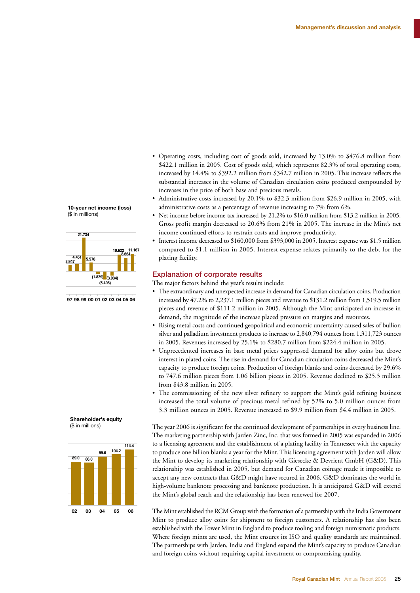- Operating costs, including cost of goods sold, increased by 13.0% to \$476.8 million from \$422.1 million in 2005. Cost of goods sold, which represents 82.3% of total operating costs, increased by 14.4% to \$392.2 million from \$342.7 million in 2005. This increase reflects the substantial increases in the volume of Canadian circulation coins produced compounded by increases in the price of both base and precious metals.
- Administrative costs increased by 20.1% to \$32.3 million from \$26.9 million in 2005, with **C** administrative costs as a percentage of revenue increasing to 7% from 6%.
- Net income before income tax increased by 21.2% to \$16.0 million from \$13.2 million in 2005. Gross profit margin decreased to 20.6% from 21% in 2005. The increase in the Mint's net income continued efforts to restrain costs and improve productivity.
- Interest income decreased to \$160,000 from \$393,000 in 2005. Interest expense was \$1.5 million compared to \$1.1 million in 2005. Interest expense relates primarily to the debt for the plating facility.

#### Explanation of corporate results

The major factors behind the year's results include:

- The extraordinary and unexpected increase in demand for Canadian circulation coins. Production increased by 47.2% to 2,237.1 million pieces and revenue to \$131.2 million from 1,519.5 million **97 05 98 99 00 01 02 03 0** pieces and revenue of \$111.2 million in 2005. Although the Mint anticipated an increase in demand, the magnitude of the increase placed pressure on margins and resources.
	- Rising metal costs and continued geopolitical and economic uncertainty caused sales of bullion silver and palladium investment products to increase to 2,840,794 ounces from 1,311,723 ounces in 2005. Revenues increased by 25.1% to \$280.7 million from \$224.4 million in 2005.
	- Unprecedented increases in base metal prices suppressed demand for alloy coins but drove interest in plated coins. The rise in demand for Canadian circulation coins decreased the Mint's capacity to produce foreign coins. Production of foreign blanks and coins decreased by 29.6% to 747.6 million pieces from 1.06 billion pieces in 2005. Revenue declined to \$25.3 million from \$43.8 million in 2005.
	- The commissioning of the new silver refinery to support the Mint's gold refining business increased the total volume of precious metal refined by 52% to 5.0 million ounces from 3.3 million ounces in 2005. Revenue increased to \$9.9 million from \$4.4 million in 2005.

The year 2006 is significant for the continued development of partnerships in every business line. The marketing partnership with Jarden Zinc, Inc. that was formed in 2005 was expanded in 2006 to a licensing agreement and the establishment of a plating facility in Tennessee with the capacity to produce one billion blanks a year for the Mint. This licensing agreement with Jarden will allow the Mint to develop its marketing relationship with Giesecke & Devrient GmbH (G&D). This relationship was established in 2005, but demand for Canadian coinage made it impossible to accept any new contracts that G&D might have secured in 2006. G&D dominates the world in high-volume banknote processing and banknote production. It is anticipated G&D will extend the Mint's global reach and the relationship has been renewed for 2007.

The Mint established the RCM Group with the formation of a partnership with the India Government Mint to produce alloy coins for shipment to foreign customers. A relationship has also been established with the Tower Mint in England to produce tooling and foreign numismatic products. Where foreign mints are used, the Mint ensures its ISO and quality standards are maintained. The partnerships with Jarden, India and England expand the Mint's capacity to produce Canadian and foreign coins without requiring capital investment or compromising quality.

#### **10-year net income (loss)** (\$ in millions)



97 98 99 00 01 02 03 04 05 06



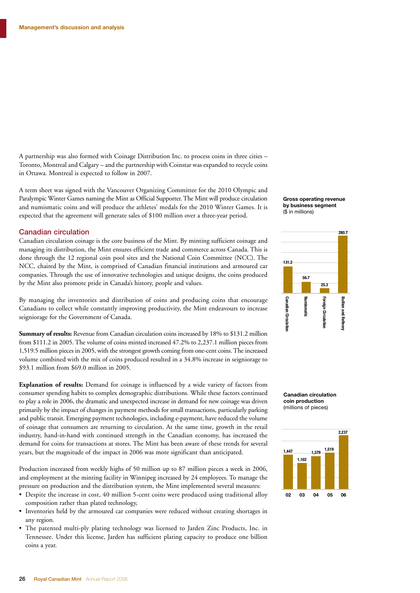A partnership was also formed with Coinage Distribution Inc. to process coins in three cities – Toronto, Montreal and Calgary – and the partnership with Coinstar was expanded to recycle coins in Ottawa. Montreal is expected to follow in 2007.

A term sheet was signed with the Vancouver Organizing Committee for the 2010 Olympic and Paralympic Winter Games naming the Mint as Official Supporter. The Mint will produce circulation and numismatic coins and will produce the athletes' medals for the 2010 Winter Games. It is expected that the agreement will generate sales of \$100 million over a three-year period.

#### Canadian circulation

Canadian circulation coinage is the core business of the Mint. By minting sufficient coinage and managing its distribution, the Mint ensures efficient trade and commerce across Canada. This is done through the 12 regional coin pool sites and the National Coin Committee (NCC). The NCC, chaired by the Mint, is comprised of Canadian financial institutions and armoured car companies. Through the use of innovative technologies and unique designs, the coins produced by the Mint also promote pride in Canada's history, people and values.

By managing the inventories and distribution of coins and producing coins that encourage Canadians to collect while constantly improving productivity, the Mint endeavours to increase seigniorage for the Government of Canada.

**Summary of results:** Revenue from Canadian circulation coins increased by 18% to \$131.2 million from \$111.2 in 2005. The volume of coins minted increased 47.2% to 2,237.1 million pieces from 1,519.5 million pieces in 2005, with the strongest growth coming from one-cent coins. The increased volume combined with the mix of coins produced resulted in a 34.8% increase in seigniorage to \$93.1 million from \$69.0 million in 2005.

**Explanation of results:** Demand for coinage is influenced by a wide variety of factors from consumer spending habits to complex demographic distributions. While these factors continued to play a role in 2006, the dramatic and unexpected increase in demand for new coinage was driven primarily by the impact of changes in payment methods for small transactions, particularly parking and public transit. Emerging payment technologies, including e-payment, have reduced the volume of coinage that consumers are returning to circulation. At the same time, growth in the retail industry, hand-in-hand with continued strength in the Canadian economy, has increased the demand for coins for transactions at stores. The Mint has been aware of these trends for several years, but the magnitude of the impact in 2006 was more significant than anticipated.

Production increased from weekly highs of 50 million up to 87 million pieces a week in 2006, and employment at the minting facility in Winnipeg increased by 24 employees. To manage the pressure on production and the distribution system, the Mint implemented several measures:

- Despite the increase in cost, 40 million 5-cent coins were produced using traditional alloy composition rather than plated technology,
- Inventories held by the armoured car companies were reduced without creating shortages in any region.
- The patented multi-ply plating technology was licensed to Jarden Zinc Products, Inc. in Tennessee. Under this license, Jarden has sufficient plating capacity to produce one billion coins a year.





**Canadian circulation coin production**  (millions of pieces)

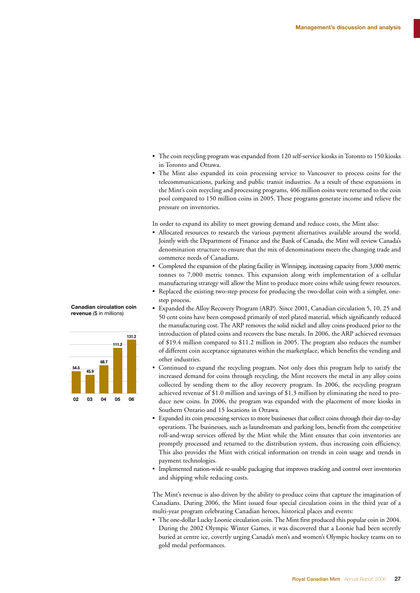- The coin recycling program was expanded from 120 self-service kiosks in Toronto to 150 kiosks in Toronto and Ottawa.
- The Mint also expanded its coin processing service to Vancouver to process coins for the telecommunications, parking and public transit industries. As a result of these expansions in the Mint's coin recycling and processing programs, 406 million coins were returned to the coin pool compared to 150 million coins in 2005. These programs generate income and relieve the pressure on inventories.

In order to expand its ability to meet growing demand and reduce costs, the Mint also:

- Allocated resources to research the various payment alternatives available around the world. Jointly with the Department of Finance and the Bank of Canada, the Mint will review Canada's denomination structure to ensure that the mix of denominations meets the changing trade and commerce needs of Canadians.
- Completed the expansion of the plating facility in Winnipeg, increasing capacity from 3,000 metric tonnes to 7,000 metric tonnes. This expansion along with implementation of a cellular manufacturing strategy will allow the Mint to produce more coins while using fewer resources.
- Replaced the existing two-step process for producing the two-dollar coin with a simpler, onestep process.
- Expanded the Alloy Recovery Program (ARP). Since 2001, Canadian circulation 5, 10, 25 and **W** 50 cent coins have been composed primarily of steel plated material, which significantly reduced the manufacturing cost. The ARP removes the solid nickel and alloy coins produced prior to the introduction of plated coins and recovers the base metals. In 2006, the ARP achieved revenues of \$19.4 million compared to \$11.2 million in 2005. The program also reduces the number of different coin acceptance signatures within the marketplace, which benefits the vending and other industries.
- Continued to expand the recycling program. Not only does this program help to satisfy the increased demand for coins through recycling, the Mint recovers the metal in any alloy coins collected by sending them to the alloy recovery program. In 2006, the recycling program achieved revenue of \$1.0 million and savings of \$1.3 million by eliminating the need to produce new coins. In 2006, the program was expanded with the placement of more kiosks in Southern Ontario and 15 locations in Ottawa.
- Expanded its coin processing services to more businesses that collect coins through their day-to-day operations. The businesses, such as laundromats and parking lots, benefit from the competitive roll-and-wrap services offered by the Mint while the Mint ensures that coin inventories are promptly processed and returned to the distribution system, thus increasing coin efficiency. This also provides the Mint with critical information on trends in coin usage and trends in payment technologies.
- Implemented nation-wide re-usable packaging that improves tracking and control over inventories and shipping while reducing costs.

The Mint's revenue is also driven by the ability to produce coins that capture the imagination of Canadians. During 2006, the Mint issued four special circulation coins in the third year of a multi-year program celebrating Canadian heroes, historical places and events:

• The one-dollar Lucky Loonie circulation coin. The Mint first produced this popular coin in 2004. During the 2002 Olympic Winter Games, it was discovered that a Loonie had been secretly buried at centre ice, covertly urging Canada's men's and women's Olympic hockey teams on to gold medal performances.

#### **Canadian circulation coin revenue** (\$ in millions)

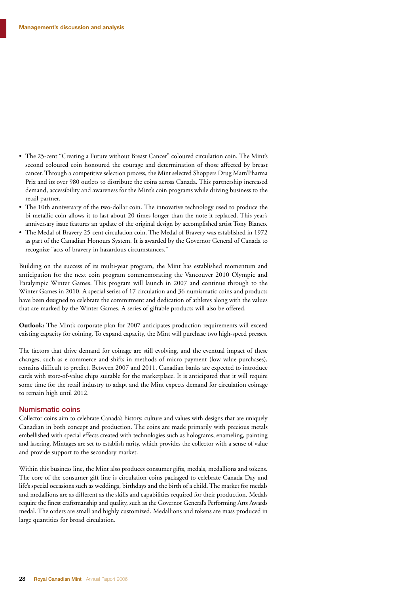- The 25-cent "Creating a Future without Breast Cancer" coloured circulation coin. The Mint's second coloured coin honoured the courage and determination of those affected by breast cancer. Through a competitive selection process, the Mint selected Shoppers Drug Mart/Pharma Prix and its over 980 outlets to distribute the coins across Canada. This partnership increased demand, accessibility and awareness for the Mint's coin programs while driving business to the retail partner.
- The 10th anniversary of the two-dollar coin. The innovative technology used to produce the bi-metallic coin allows it to last about 20 times longer than the note it replaced. This year's anniversary issue features an update of the original design by accomplished artist Tony Bianco.
- The Medal of Bravery 25-cent circulation coin. The Medal of Bravery was established in 1972 as part of the Canadian Honours System. It is awarded by the Governor General of Canada to recognize "acts of bravery in hazardous circumstances."

Building on the success of its multi-year program, the Mint has established momentum and anticipation for the next coin program commemorating the Vancouver 2010 Olympic and Paralympic Winter Games. This program will launch in 2007 and continue through to the Winter Games in 2010. A special series of 17 circulation and 36 numismatic coins and products have been designed to celebrate the commitment and dedication of athletes along with the values that are marked by the Winter Games. A series of giftable products will also be offered.

**Outlook:** The Mint's corporate plan for 2007 anticipates production requirements will exceed existing capacity for coining. To expand capacity, the Mint will purchase two high-speed presses.

The factors that drive demand for coinage are still evolving, and the eventual impact of these changes, such as e-commerce and shifts in methods of micro payment (low value purchases), remains difficult to predict. Between 2007 and 2011, Canadian banks are expected to introduce cards with store-of-value chips suitable for the marketplace. It is anticipated that it will require some time for the retail industry to adapt and the Mint expects demand for circulation coinage to remain high until 2012.

#### Numismatic coins

Collector coins aim to celebrate Canada's history, culture and values with designs that are uniquely Canadian in both concept and production. The coins are made primarily with precious metals embellished with special effects created with technologies such as holograms, enameling, painting and lasering. Mintages are set to establish rarity, which provides the collector with a sense of value and provide support to the secondary market.

Within this business line, the Mint also produces consumer gifts, medals, medallions and tokens. The core of the consumer gift line is circulation coins packaged to celebrate Canada Day and life's special occasions such as weddings, birthdays and the birth of a child. The market for medals and medallions are as different as the skills and capabilities required for their production. Medals require the finest craftsmanship and quality, such as the Governor General's Performing Arts Awards medal. The orders are small and highly customized. Medallions and tokens are mass produced in large quantities for broad circulation.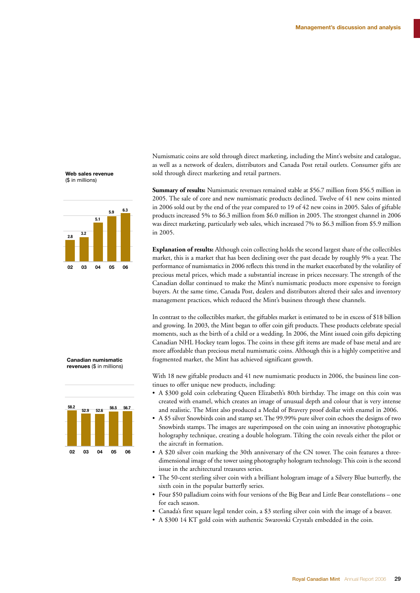Numismatic coins are sold through direct marketing, including the Mint's website and catalogue, as well as a network of dealers, distributors and Canada Post retail outlets. Consumer gifts are sold through direct marketing and retail partners.

**Summary of results:** Numismatic revenues remained stable at \$56.7 million from \$56.5 million in 2005. The sale of core and new numismatic products declined. Twelve of 41 new coins minted in 2006 sold out by the end of the year compared to 19 of 42 new coins in 2005. Sales of giftable products increased 5% to \$6.3 million from \$6.0 million in 2005. The strongest channel in 2006 was direct marketing, particularly web sales, which increased 7% to \$6.3 million from \$5.9 million in 2005.

**Explanation of results:** Although coin collecting holds the second largest share of the collectibles market, this is a market that has been declining over the past decade by roughly 9% a year. The performance of numismatics in 2006 reflects this trend in the market exacerbated by the volatility of precious metal prices, which made a substantial increase in prices necessary. The strength of the Canadian dollar continued to make the Mint's numismatic products more expensive to foreign buyers. At the same time, Canada Post, dealers and distributors altered their sales and inventory management practices, which reduced the Mint's business through these channels.

In contrast to the collectibles market, the giftables market is estimated to be in excess of \$18 billion and growing. In 2003, the Mint began to offer coin gift products. These products celebrate special moments, such as the birth of a child or a wedding. In 2006, the Mint issued coin gifts depicting Canadian NHL Hockey team logos. The coins in these gift items are made of base metal and are more affordable than precious metal numismatic coins. Although this is a highly competitive and **F**fragmented market, the Mint has achieved significant growth.

With 18 new giftable products and 41 new numismatic products in 2006, the business line continues to offer unique new products, including:

- A \$300 gold coin celebrating Queen Elizabeth's 80th birthday. The image on this coin was created with enamel, which creates an image of unusual depth and colour that is very intense and realistic. The Mint also produced a Medal of Bravery proof dollar with enamel in 2006.
- A \$5 silver Snowbirds coin and stamp set. The 99.99% pure silver coin echoes the designs of two Snowbirds stamps. The images are superimposed on the coin using an innovative photographic holography technique, creating a double hologram. Tilting the coin reveals either the pilot or the aircraft in formation.
- A \$20 silver coin marking the 30th anniversary of the CN tower. The coin features a threedimensional image of the tower using photography hologram technology. This coin is the second issue in the architectural treasures series.
- The 50-cent sterling silver coin with a brilliant hologram image of a Silvery Blue butterfly, the sixth coin in the popular butterfly series.
- Four \$50 palladium coins with four versions of the Big Bear and Little Bear constellations one for each season.
- Canada's first square legal tender coin, a \$3 sterling silver coin with the image of a beaver.
- A \$300 14 KT gold coin with authentic Swarovski Crystals embedded in the coin.





#### **Canadian numismatic revenues** (\$ in millions)

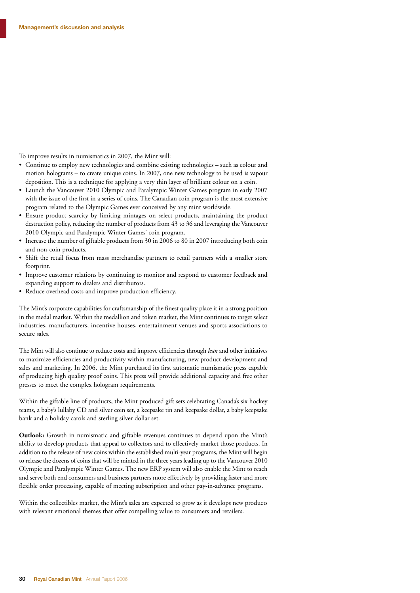To improve results in numismatics in 2007, the Mint will:

- Continue to employ new technologies and combine existing technologies such as colour and motion holograms – to create unique coins. In 2007, one new technology to be used is vapour deposition. This is a technique for applying a very thin layer of brilliant colour on a coin.
- Launch the Vancouver 2010 Olympic and Paralympic Winter Games program in early 2007 with the issue of the first in a series of coins. The Canadian coin program is the most extensive program related to the Olympic Games ever conceived by any mint worldwide.
- Ensure product scarcity by limiting mintages on select products, maintaining the product destruction policy, reducing the number of products from 43 to 36 and leveraging the Vancouver 2010 Olympic and Paralympic Winter Games' coin program.
- Increase the number of giftable products from 30 in 2006 to 80 in 2007 introducing both coin and non-coin products.
- Shift the retail focus from mass merchandise partners to retail partners with a smaller store footprint.
- Improve customer relations by continuing to monitor and respond to customer feedback and expanding support to dealers and distributors.
- Reduce overhead costs and improve production efficiency.

The Mint's corporate capabilities for craftsmanship of the finest quality place it in a strong position in the medal market. Within the medallion and token market, the Mint continues to target select industries, manufacturers, incentive houses, entertainment venues and sports associations to secure sales.

The Mint will also continue to reduce costs and improve efficiencies through *lean* and other initiatives to maximize efficiencies and productivity within manufacturing, new product development and sales and marketing. In 2006, the Mint purchased its first automatic numismatic press capable of producing high quality proof coins. This press will provide additional capacity and free other presses to meet the complex hologram requirements.

Within the giftable line of products, the Mint produced gift sets celebrating Canada's six hockey teams, a baby's lullaby CD and silver coin set, a keepsake tin and keepsake dollar, a baby keepsake bank and a holiday carols and sterling silver dollar set.

**Outlook:** Growth in numismatic and giftable revenues continues to depend upon the Mint's ability to develop products that appeal to collectors and to effectively market those products. In addition to the release of new coins within the established multi-year programs, the Mint will begin to release the dozens of coins that will be minted in the three years leading up to the Vancouver 2010 Olympic and Paralympic Winter Games. The new ERP system will also enable the Mint to reach and serve both end consumers and business partners more effectively by providing faster and more flexible order processing, capable of meeting subscription and other pay-in-advance programs.

Within the collectibles market, the Mint's sales are expected to grow as it develops new products with relevant emotional themes that offer compelling value to consumers and retailers.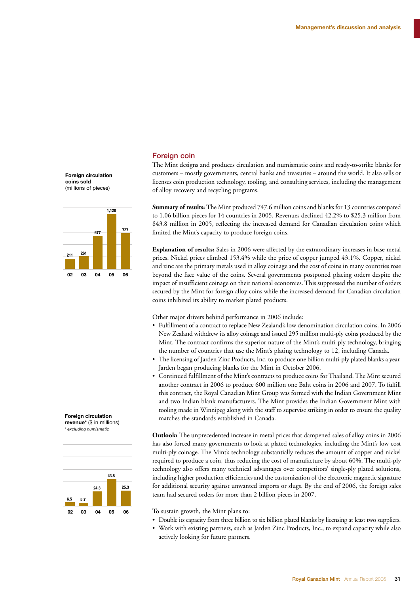#### Foreign coin

The Mint designs and produces circulation and numismatic coins and ready-to-strike blanks for customers – mostly governments, central banks and treasuries – around the world. It also sells or licenses coin production technology, tooling, and consulting services, including the management of alloy recovery and recycling programs.

**Summary of results:** The Mint produced 747.6 million coins and blanks for 13 countries compared to 1.06 billion pieces for 14 countries in 2005. Revenues declined 42.2% to \$25.3 million from \$43.8 million in 2005, reflecting the increased demand for Canadian circulation coins which limited the Mint's capacity to produce foreign coins.

**Explanation of results:** Sales in 2006 were affected by the extraordinary increases in base metal prices. Nickel prices climbed 153.4% while the price of copper jumped 43.1%. Copper, nickel and zinc are the primary metals used in alloy coinage and the cost of coins in many countries rose beyond the face value of the coins. Several governments postponed placing orders despite the impact of insufficient coinage on their national economies. This suppressed the number of orders secured by the Mint for foreign alloy coins while the increased demand for Canadian circulation coins inhibited its ability to market plated products.

Other major drivers behind performance in 2006 include:

- Fulfillment of a contract to replace New Zealand's low denomination circulation coins. In 2006 New Zealand withdrew its alloy coinage and issued 295 million multi-ply coins produced by the Mint. The contract confirms the superior nature of the Mint's multi-ply technology, bringing the number of countries that use the Mint's plating technology to 12, including Canada.
- The licensing of Jarden Zinc Products, Inc. to produce one billion multi-ply plated blanks a year. **0** Jarden began producing blanks for the Mint in October 2006.
- Continued fulfillment of the Mint's contracts to produce coins for Thailand. The Mint secured another contract in 2006 to produce 600 million one Baht coins in 2006 and 2007. To fulfill this contract, the Royal Canadian Mint Group was formed with the Indian Government Mint and two Indian blank manufacturers. The Mint provides the Indian Government Mint with tooling made in Winnipeg along with the staff to supervise striking in order to ensure the quality matches the standards established in Canada.

**Outlook:** The unprecedented increase in metal prices that dampened sales of alloy coins in 2006 has also forced many governments to look at plated technologies, including the Mint's low cost multi-ply coinage. The Mint's technology substantially reduces the amount of copper and nickel required to produce a coin, thus reducing the cost of manufacture by about 60%. The multi-ply technology also offers many technical advantages over competitors' single-ply plated solutions, including higher production efficiencies and the customization of the electronic magnetic signature for additional security against unwanted imports or slugs. By the end of 2006, the foreign sales team had secured orders for more than 2 billion pieces in 2007.

To sustain growth, the Mint plans to:

- Double its capacity from three billion to six billion plated blanks by licensing at least two suppliers.
- Work with existing partners, such as Jarden Zinc Products, Inc., to expand capacity while also actively looking for future partners.

**Foreign circulation coins sold**  (millions of pieces)



#### **Foreign circulation**

**revenue\*** (\$ in millions) *\* excluding numismatic*

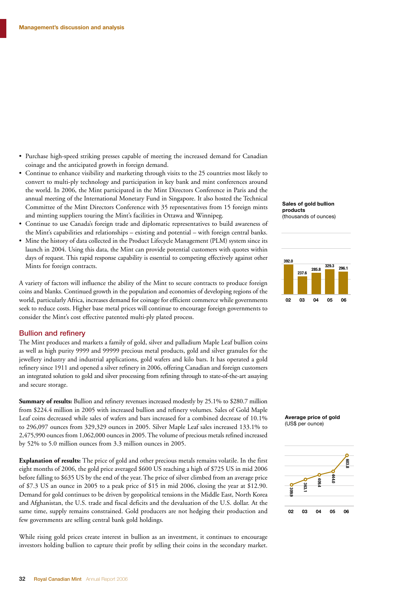- Purchase high-speed striking presses capable of meeting the increased demand for Canadian coinage and the anticipated growth in foreign demand.
- Continue to enhance visibility and marketing through visits to the 25 countries most likely to convert to multi-ply technology and participation in key bank and mint conferences around the world. In 2006, the Mint participated in the Mint Directors Conference in Paris and the annual meeting of the International Monetary Fund in Singapore. It also hosted the Technical Committee of the Mint Directors Conference with 35 representatives from 15 foreign mints and minting suppliers touring the Mint's facilities in Ottawa and Winnipeg.
- Continue to use Canada's foreign trade and diplomatic representatives to build awareness of the Mint's capabilities and relationships – existing and potential – with foreign central banks.
- Mine the history of data collected in the Product Lifecycle Management (PLM) system since its launch in 2004. Using this data, the Mint can provide potential customers with quotes within days of request. This rapid response capability is essential to competing effectively against other Mints for foreign contracts.

A variety of factors will influence the ability of the Mint to secure contracts to produce foreign coins and blanks. Continued growth in the population and economies of developing regions of the world, particularly Africa, increases demand for coinage for efficient commerce while governments seek to reduce costs. Higher base metal prices will continue to encourage foreign governments to consider the Mint's cost effective patented multi-ply plated process.

#### Bullion and refinery

The Mint produces and markets a family of gold, silver and palladium Maple Leaf bullion coins as well as high purity 9999 and 99999 precious metal products, gold and silver granules for the jewellery industry and industrial applications, gold wafers and kilo bars. It has operated a gold refinery since 1911 and opened a silver refinery in 2006, offering Canadian and foreign customers an integrated solution to gold and silver processing from refining through to state-of-the-art assaying and secure storage.

**Summary of results:** Bullion and refinery revenues increased modestly by 25.1% to \$280.7 million from \$224.4 million in 2005 with increased bullion and refinery volumes. Sales of Gold Maple Leaf coins decreased while sales of wafers and bars increased for a combined decrease of 10.1% to 296,097 ounces from 329,329 ounces in 2005. Silver Maple Leaf sales increased 133.1% to 2,475,990 ounces from 1,062,000 ounces in 2005. The volume of precious metals refined increased by 52% to 5.0 million ounces from 3.3 million ounces in 2005.

**Explanation of results:** The price of gold and other precious metals remains volatile. In the first eight months of 2006, the gold price averaged \$600 US reaching a high of \$725 US in mid 2006 before falling to \$635 US by the end of the year. The price of silver climbed from an average price of \$7.3 US an ounce in 2005 to a peak price of \$15 in mid 2006, closing the year at \$12.90. Demand for gold continues to be driven by geopolitical tensions in the Middle East, North Korea and Afghanistan, the U.S. trade and fiscal deficits and the devaluation of the U.S. dollar. At the same time, supply remains constrained. Gold producers are not hedging their production and few governments are selling central bank gold holdings.

While rising gold prices create interest in bullion as an investment, it continues to encourage investors holding bullion to capture their profit by selling their coins in the secondary market.

#### **Sales of gold bullion products**

#### (thousands of ounces)





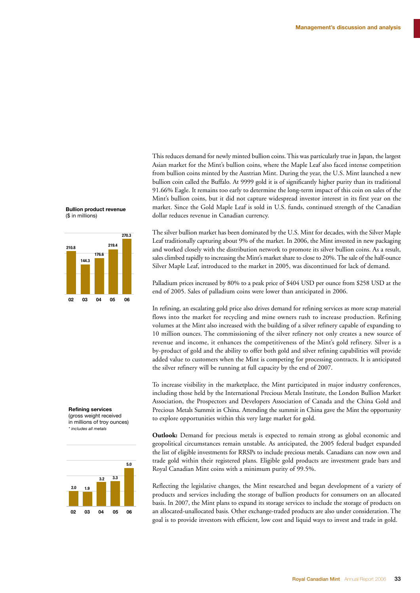This reduces demand for newly minted bullion coins. This was particularly true in Japan, the largest Asian market for the Mint's bullion coins, where the Maple Leaf also faced intense competition from bullion coins minted by the Austrian Mint. During the year, the U.S. Mint launched a new bullion coin called the Buffalo. At 9999 gold it is of significantly higher purity than its traditional 91.66% Eagle. It remains too early to determine the long-term impact of this coin on sales of the Mint's bullion coins, but it did not capture widespread investor interest in its first year on the market. Since the Gold Maple Leaf is sold in U.S. funds, continued strength of the Canadian dollar reduces revenue in Canadian currency.

The silver bullion market has been dominated by the U.S. Mint for decades, with the Silver Maple Leaf traditionally capturing about 9% of the market. In 2006, the Mint invested in new packaging and worked closely with the distribution network to promote its silver bullion coins. As a result, sales climbed rapidly to increasing the Mint's market share to close to 20%. The sale of the half-ounce Silver Maple Leaf, introduced to the market in 2005, was discontinued for lack of demand.

Palladium prices increased by 80% to a peak price of \$404 USD per ounce from \$258 USD at the end of 2005. Sales of palladium coins were lower than anticipated in 2006.

In refining, an escalating gold price also drives demand for refining services as more scrap material flows into the market for recycling and mine owners rush to increase production. Refining volumes at the Mint also increased with the building of a silver refinery capable of expanding to 10 million ounces. The commissioning of the silver refinery not only creates a new source of revenue and income, it enhances the competitiveness of the Mint's gold refinery. Silver is a by-product of gold and the ability to offer both gold and silver refining capabilities will provide added value to customers when the Mint is competing for processing contracts. It is anticipated the silver refinery will be running at full capacity by the end of 2007.

To increase visibility in the marketplace, the Mint participated in major industry conferences, including those held by the International Precious Metals Institute, the London Bullion Market Association, the Prospectors and Developers Association of Canada and the China Gold and Precious Metals Summit in China. Attending the summit in China gave the Mint the opportunity to explore opportunities within this very large market for gold.

**Outlook:** Demand for precious metals is expected to remain strong as global economic and geopolitical circumstances remain unstable. As anticipated, the 2005 federal budget expanded the list of eligible investments for RRSPs to include precious metals. Canadians can now own and trade gold within their registered plans. Eligible gold products are investment grade bars and Royal Canadian Mint coins with a minimum purity of 99.5%.

Reflecting the legislative changes, the Mint researched and began development of a variety of products and services including the storage of bullion products for consumers on an allocated basis. In 2007, the Mint plans to expand its storage services to include the storage of products on an allocated-unallocated basis. Other exchange-traded products are also under consideration. The goal is to provide investors with efficient, low cost and liquid ways to invest and trade in gold.

#### **Bullion product revenue**  (\$ in millions)



#### **Refining services**

(gross weight received in millions of troy ounces) *\* includes all metals*

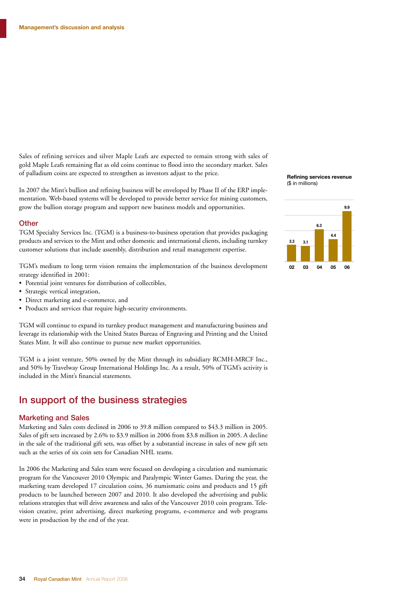Sales of refining services and silver Maple Leafs are expected to remain strong with sales of gold Maple Leafs remaining flat as old coins continue to flood into the secondary market. Sales of palladium coins are expected to strengthen as investors adjust to the price.

In 2007 the Mint's bullion and refining business will be enveloped by Phase II of the ERP implementation. Web-based systems will be developed to provide better service for mining customers, grow the bullion storage program and support new business models and opportunities.

#### **Other**

TGM Specialty Services Inc. (TGM) is a business-to-business operation that provides packaging products and services to the Mint and other domestic and international clients, including turnkey customer solutions that include assembly, distribution and retail management expertise.

TGM's medium to long term vision remains the implementation of the business development strategy identified in 2001:

- Potential joint ventures for distribution of collectibles,
- Strategic vertical integration,
- Direct marketing and e-commerce, and
- Products and services that require high-security environments.

TGM will continue to expand its turnkey product management and manufacturing business and leverage its relationship with the United States Bureau of Engraving and Printing and the United States Mint. It will also continue to pursue new market opportunities.

TGM is a joint venture, 50% owned by the Mint through its subsidiary RCMH-MRCF Inc., and 50% by Travelway Group International Holdings Inc. As a result, 50% of TGM's activity is included in the Mint's financial statements.

#### In support of the business strategies

#### Marketing and Sales

Marketing and Sales costs declined in 2006 to 39.8 million compared to \$43.3 million in 2005. Sales of gift sets increased by 2.6% to \$3.9 million in 2006 from \$3.8 million in 2005. A decline in the sale of the traditional gift sets, was offset by a substantial increase in sales of new gift sets such as the series of six coin sets for Canadian NHL teams.

In 2006 the Marketing and Sales team were focused on developing a circulation and numismatic program for the Vancouver 2010 Olympic and Paralympic Winter Games. During the year, the marketing team developed 17 circulation coins, 36 numismatic coins and products and 15 gift products to be launched between 2007 and 2010. It also developed the advertising and public relations strategies that will drive awareness and sales of the Vancouver 2010 coin program. Television creative, print advertising, direct marketing programs, e-commerce and web programs were in production by the end of the year.

#### **Refining services revenue** (\$ in millions)

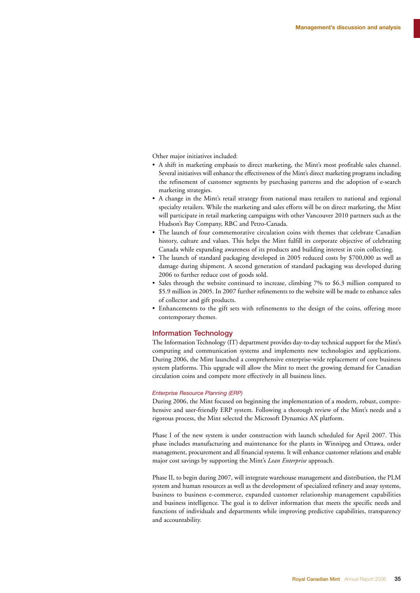Other major initiatives included:

- A shift in marketing emphasis to direct marketing, the Mint's most profitable sales channel. Several initiatives will enhance the effectiveness of the Mint's direct marketing programs including the refinement of customer segments by purchasing patterns and the adoption of e-search marketing strategies.
- A change in the Mint's retail strategy from national mass retailers to national and regional specialty retailers. While the marketing and sales efforts will be on direct marketing, the Mint will participate in retail marketing campaigns with other Vancouver 2010 partners such as the Hudson's Bay Company, RBC and Petro-Canada.
- The launch of four commemorative circulation coins with themes that celebrate Canadian history, culture and values. This helps the Mint fulfill its corporate objective of celebrating Canada while expanding awareness of its products and building interest in coin collecting.
- The launch of standard packaging developed in 2005 reduced costs by \$700,000 as well as damage during shipment. A second generation of standard packaging was developed during 2006 to further reduce cost of goods sold.
- Sales through the website continued to increase, climbing 7% to \$6.3 million compared to \$5.9 million in 2005. In 2007 further refinements to the website will be made to enhance sales of collector and gift products.
- Enhancements to the gift sets with refinements to the design of the coins, offering more contemporary themes.

#### Information Technology

The Information Technology (IT) department provides day-to-day technical support for the Mint's computing and communication systems and implements new technologies and applications. During 2006, the Mint launched a comprehensive enterprise-wide replacement of core business system platforms. This upgrade will allow the Mint to meet the growing demand for Canadian circulation coins and compete more effectively in all business lines.

#### *Enterprise Resource Planning (ERP)*

During 2006, the Mint focused on beginning the implementation of a modern, robust, comprehensive and user-friendly ERP system. Following a thorough review of the Mint's needs and a rigorous process, the Mint selected the Microsoft Dynamics AX platform.

Phase I of the new system is under construction with launch scheduled for April 2007. This phase includes manufacturing and maintenance for the plants in Winnipeg and Ottawa, order management, procurement and all financial systems. It will enhance customer relations and enable major cost savings by supporting the Mint's *Lean Enterprise* approach.

Phase II, to begin during 2007, will integrate warehouse management and distribution, the PLM system and human resources as well as the development of specialized refinery and assay systems, business to business e-commerce, expanded customer relationship management capabilities and business intelligence. The goal is to deliver information that meets the specific needs and functions of individuals and departments while improving predictive capabilities, transparency and accountability.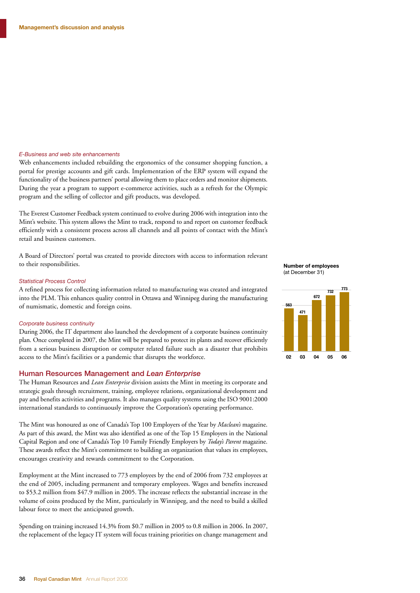#### *E-Business and web site enhancements*

Web enhancements included rebuilding the ergonomics of the consumer shopping function, a portal for prestige accounts and gift cards. Implementation of the ERP system will expand the functionality of the business partners' portal allowing them to place orders and monitor shipments. During the year a program to support e-commerce activities, such as a refresh for the Olympic program and the selling of collector and gift products, was developed.

The Everest Customer Feedback system continued to evolve during 2006 with integration into the Mint's website. This system allows the Mint to track, respond to and report on customer feedback efficiently with a consistent process across all channels and all points of contact with the Mint's retail and business customers.

A Board of Directors' portal was created to provide directors with access to information relevant to their responsibilities.

#### *Statistical Process Control*

A refined process for collecting information related to manufacturing was created and integrated into the PLM. This enhances quality control in Ottawa and Winnipeg during the manufacturing of numismatic, domestic and foreign coins.

#### *Corporate business continuity*

During 2006, the IT department also launched the development of a corporate business continuity plan. Once completed in 2007, the Mint will be prepared to protect its plants and recover efficiently from a serious business disruption or computer related failure such as a disaster that prohibits access to the Mint's facilities or a pandemic that disrupts the workforce.

#### Human Resources Management and *Lean Enterprise*

The Human Resources and *Lean Enterprise* division assists the Mint in meeting its corporate and strategic goals through recruitment, training, employee relations, organizational development and pay and benefits activities and programs. It also manages quality systems using the ISO 9001:2000 international standards to continuously improve the Corporation's operating performance.

The Mint was honoured as one of Canada's Top 100 Employers of the Year by *Maclean's* magazine. As part of this award, the Mint was also identified as one of the Top 15 Employers in the National Capital Region and one of Canada's Top 10 Family Friendly Employers by *Today's Parent* magazine. These awards reflect the Mint's commitment to building an organization that values its employees, encourages creativity and rewards commitment to the Corporation.

Employment at the Mint increased to 773 employees by the end of 2006 from 732 employees at the end of 2005, including permanent and temporary employees. Wages and benefits increased to \$53.2 million from \$47.9 million in 2005. The increase reflects the substantial increase in the volume of coins produced by the Mint, particularly in Winnipeg, and the need to build a skilled labour force to meet the anticipated growth.

Spending on training increased 14.3% from \$0.7 million in 2005 to 0.8 million in 2006. In 2007, the replacement of the legacy IT system will focus training priorities on change management and

#### **Number of employees**  (at December 31)

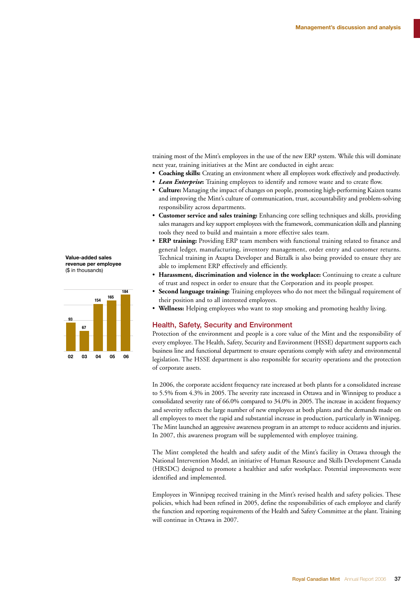training most of the Mint's employees in the use of the new ERP system. While this will dominate next year, training initiatives at the Mint are conducted in eight areas:

- **Coaching skills:** Creating an environment where all employees work effectively and productively.
- *Lean Enterprise***:** Training employees to identify and remove waste and to create flow.
- **Culture:** Managing the impact of changes on people, promoting high-performing Kaizen teams and improving the Mint's culture of communication, trust, accountability and problem-solving responsibility across departments.
- **Customer service and sales training:** Enhancing core selling techniques and skills, providing sales managers and key support employees with the framework, communication skills and planning tools they need to build and maintain a more effective sales team.
- **ERP training:** Providing ERP team members with functional training related to finance and general ledger, manufacturing, inventory management, order entry and customer returns. Technical training in Axapta Developer and Biztalk is also being provided to ensure they are able to implement ERP effectively and efficiently.
- **Harassment, discrimination and violence in the workplace:** Continuing to create a culture of trust and respect in order to ensure that the Corporation and its people prosper.
- **Second language training:** Training employees who do not meet the bilingual requirement of their position and to all interested employees.
- **Wellness:** Helping employees who want to stop smoking and promoting healthy living. **1**

#### Health, Safety, Security and Environment

Protection of the environment and people is a core value of the Mint and the responsibility of every employee. The Health, Safety, Security and Environment (HSSE) department supports each business line and functional department to ensure operations comply with safety and environmental legislation. The HSSE department is also responsible for security operations and the protection of corporate assets.

In 2006, the corporate accident frequency rate increased at both plants for a consolidated increase to 5.5% from 4.3% in 2005. The severity rate increased in Ottawa and in Winnipeg to produce a consolidated severity rate of 66.0% compared to 34.0% in 2005. The increase in accident frequency and severity reflects the large number of new employees at both plants and the demands made on all employees to meet the rapid and substantial increase in production, particularly in Winnipeg. The Mint launched an aggressive awareness program in an attempt to reduce accidents and injuries. In 2007, this awareness program will be supplemented with employee training.

The Mint completed the health and safety audit of the Mint's facility in Ottawa through the National Intervention Model, an initiative of Human Resource and Skills Development Canada (HRSDC) designed to promote a healthier and safer workplace. Potential improvements were identified and implemented.

Employees in Winnipeg received training in the Mint's revised health and safety policies. These policies, which had been refined in 2005, define the responsibilities of each employee and clarify the function and reporting requirements of the Health and Safety Committee at the plant. Training will continue in Ottawa in 2007.

**Value-added sales revenue per employee** (\$ in thousands)

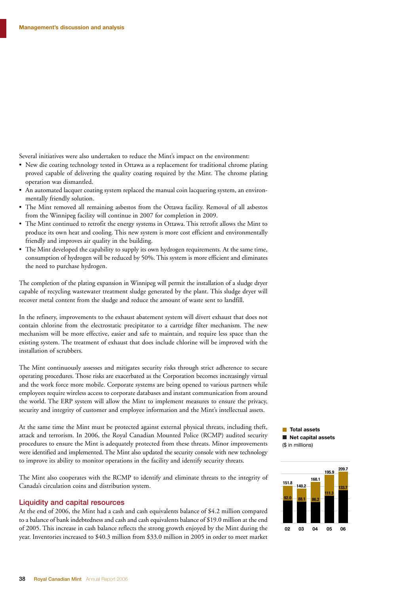Several initiatives were also undertaken to reduce the Mint's impact on the environment:

- New die coating technology tested in Ottawa as a replacement for traditional chrome plating proved capable of delivering the quality coating required by the Mint. The chrome plating operation was dismantled.
- An automated lacquer coating system replaced the manual coin lacquering system, an environ-**5**mentally friendly solution.
- The Mint removed all remaining asbestos from the Ottawa facility. Removal of all asbestos from the Winnipeg facility will continue in 2007 for completion in 2009.
- The Mint continued to retrofit the energy systems in Ottawa. This retrofit allows the Mint to produce its own heat and cooling. This new system is more cost efficient and environmentally friendly and improves air quality in the building.
- The Mint developed the capability to supply its own hydrogen requirements. At the same time, consumption of hydrogen will be reduced by 50%. This system is more efficient and eliminates the need to purchase hydrogen.

The completion of the plating expansion in Winnipeg will permit the installation of a sludge dryer capable of recycling wastewater treatment sludge generated by the plant. This sludge dryer will recover metal content from the sludge and reduce the amount of waste sent to landfill.

In the refinery, improvements to the exhaust abatement system will divert exhaust that does not contain chlorine from the electrostatic precipitator to a cartridge filter mechanism. The new mechanism will be more effective, easier and safe to maintain, and require less space than the existing system. The treatment of exhaust that does include chlorine will be improved with the installation of scrubbers.

The Mint continuously assesses and mitigates security risks through strict adherence to secure operating procedures. Those risks are exacerbated as the Corporation becomes increasingly virtual and the work force more mobile. Corporate systems are being opened to various partners while employees require wireless access to corporate databases and instant communication from around the world. The ERP system will allow the Mint to implement measures to ensure the privacy, security and integrity of customer and employee information and the Mint's intellectual assets.

At the same time the Mint must be protected against external physical threats, including theft, attack and terrorism. In 2006, the Royal Canadian Mounted Police (RCMP) audited security procedures to ensure the Mint is adequately protected from these threats. Minor improvements were identified and implemented. The Mint also updated the security console with new technology to improve its ability to monitor operations in the facility and identify security threats. **1**

The Mint also cooperates with the RCMP to identify and eliminate threats to the integrity of Canada's circulation coins and distribution system.

#### Liquidity and capital resources

At the end of 2006, the Mint had a cash and cash equivalents balance of \$4.2 million compared to a balance of bank indebtedness and cash and cash equivalents balance of \$19.0 million at the end of 2005. This increase in cash balance reflects the strong growth enjoyed by the Mint during the year. Inventories increased to \$40.3 million from \$33.0 million in 2005 in order to meet market **Total assets Net capital assets** (\$ in millions)

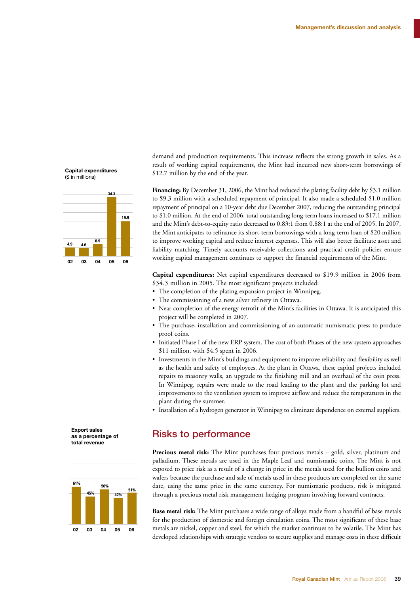demand and production requirements. This increase reflects the strong growth in sales. As a result of working capital requirements, the Mint had incurred new short-term borrowings of \$12.7 million by the end of the year.

**Financing:** By December 31, 2006, the Mint had reduced the plating facility debt by \$3.1 million to \$9.3 million with a scheduled repayment of principal. It also made a scheduled \$1.0 million repayment of principal on a 10-year debt due December 2007, reducing the outstanding principal to \$1.0 million. At the end of 2006, total outstanding long-term loans increased to \$17.1 million and the Mint's debt-to-equity ratio decreased to 0.83:1 from 0.88:1 at the end of 2005. In 2007, the Mint anticipates to refinance its short-term borrowings with a long-term loan of \$20 million to improve working capital and reduce interest expenses. This will also better facilitate asset and liability matching. Timely accounts receivable collections and practical credit policies ensure working capital management continues to support the financial requirements of the Mint.

**Capital expenditures:** Net capital expenditures decreased to \$19.9 million in 2006 from \$34.3 million in 2005. The most significant projects included:

- The completion of the plating expansion project in Winnipeg.
- The commissioning of a new silver refinery in Ottawa.
- Near completion of the energy retrofit of the Mint's facilities in Ottawa. It is anticipated this project will be completed in 2007.
- The purchase, installation and commissioning of an automatic numismatic press to produce proof coins.
- Initiated Phase I of the new ERP system. The cost of both Phases of the new system approaches \$11 million, with \$4.5 spent in 2006.
- Investments in the Mint's buildings and equipment to improve reliability and flexibility as well as the health and safety of employees. At the plant in Ottawa, these capital projects included repairs to masonry walls, an upgrade to the finishing mill and an overhaul of the coin press. In Winnipeg, repairs were made to the road leading to the plant and the parking lot and improvements to the ventilation system to improve airflow and reduce the temperatures in the plant during the summer.
- Installation of a hydrogen generator in Winnipeg to eliminate dependence on external suppliers. **0**

#### Risks to performance

**Precious metal risk:** The Mint purchases four precious metals – gold, silver, platinum and palladium. These metals are used in the Maple Leaf and numismatic coins. The Mint is not exposed to price risk as a result of a change in price in the metals used for the bullion coins and wafers because the purchase and sale of metals used in these products are completed on the same date, using the same price in the same currency. For numismatic products, risk is mitigated through a precious metal risk management hedging program involving forward contracts.

**Base metal risk:** The Mint purchases a wide range of alloys made from a handful of base metals for the production of domestic and foreign circulation coins. The most significant of these base metals are nickel, copper and steel, for which the market continues to be volatile. The Mint has developed relationships with strategic vendors to secure supplies and manage costs in these difficult

**Capital expenditures**  (\$ in millions)



**Export sales as a percentage of total revenue**

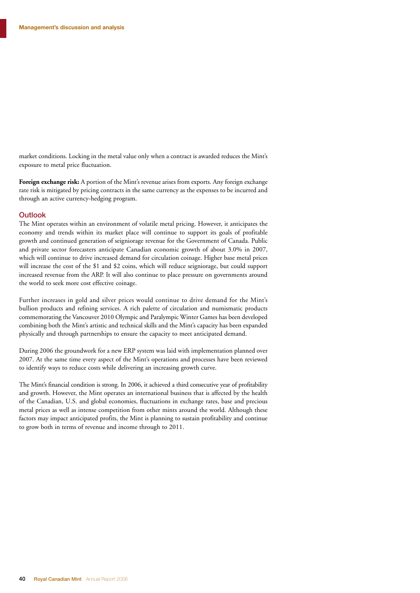market conditions. Locking in the metal value only when a contract is awarded reduces the Mint's exposure to metal price fluctuation.

**Foreign exchange risk:** A portion of the Mint's revenue arises from exports. Any foreign exchange rate risk is mitigated by pricing contracts in the same currency as the expenses to be incurred and through an active currency-hedging program.

#### **Outlook**

The Mint operates within an environment of volatile metal pricing. However, it anticipates the economy and trends within its market place will continue to support its goals of profitable growth and continued generation of seigniorage revenue for the Government of Canada. Public and private sector forecasters anticipate Canadian economic growth of about 3.0% in 2007, which will continue to drive increased demand for circulation coinage. Higher base metal prices will increase the cost of the \$1 and \$2 coins, which will reduce seigniorage, but could support increased revenue from the ARP. It will also continue to place pressure on governments around the world to seek more cost effective coinage.

Further increases in gold and silver prices would continue to drive demand for the Mint's bullion products and refining services. A rich palette of circulation and numismatic products commemorating the Vancouver 2010 Olympic and Paralympic Winter Games has been developed combining both the Mint's artistic and technical skills and the Mint's capacity has been expanded physically and through partnerships to ensure the capacity to meet anticipated demand.

During 2006 the groundwork for a new ERP system was laid with implementation planned over 2007. At the same time every aspect of the Mint's operations and processes have been reviewed to identify ways to reduce costs while delivering an increasing growth curve.

The Mint's financial condition is strong. In 2006, it achieved a third consecutive year of profitability and growth. However, the Mint operates an international business that is affected by the health of the Canadian, U.S. and global economies, fluctuations in exchange rates, base and precious metal prices as well as intense competition from other mints around the world. Although these factors may impact anticipated profits, the Mint is planning to sustain profitability and continue to grow both in terms of revenue and income through to 2011.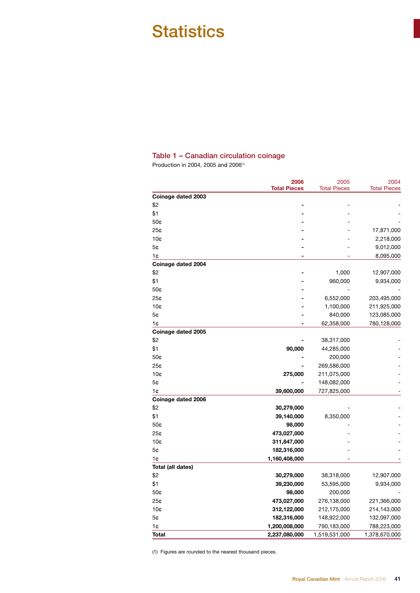## **Statistics**

#### Table 1 – Canadian circulation coinage

Production in 2004, 2005 and 2006(1)

|                    | 2006                | 2005                | 2004                |
|--------------------|---------------------|---------------------|---------------------|
| Coinage dated 2003 | <b>Total Pieces</b> | <b>Total Pieces</b> | <b>Total Pieces</b> |
| \$2                |                     |                     |                     |
| \$1                |                     |                     |                     |
| 50¢                |                     |                     |                     |
| 25¢                |                     |                     | 17,871,000          |
| 10 <sub>0</sub>    |                     |                     | 2,218,000           |
| 5¢                 |                     |                     | 9,012,000           |
| 1¢                 |                     |                     | 8,095,000           |
| Coinage dated 2004 |                     |                     |                     |
| \$2                |                     | 1,000               | 12,907,000          |
| \$1                |                     | 960,000             | 9,934,000           |
| 50¢                |                     |                     |                     |
| 25¢                |                     | 6,552,000           | 203,495,000         |
| 10 <sub>¢</sub>    |                     | 1,100,000           | 211,925,000         |
| 5¢                 |                     | 840,000             | 123,085,000         |
| 1¢                 |                     | 62,358,000          | 780,128,000         |
| Coinage dated 2005 |                     |                     |                     |
| \$2                |                     | 38,317,000          |                     |
| \$1                | 90,000              | 44,285,000          |                     |
| 50¢                |                     | 200,000             |                     |
| 25¢                |                     | 269,586,000         |                     |
| 10 <sub>0</sub>    | 275,000             | 211,075,000         |                     |
| 5¢                 |                     | 148,082,000         |                     |
| 1¢                 | 39,600,000          | 727,825,000         |                     |
| Coinage dated 2006 |                     |                     |                     |
| \$2                | 30,279,000          |                     |                     |
| \$1                | 39,140,000          | 8,350,000           |                     |
| 50¢                | 98,000              |                     |                     |
| 25¢                | 473,027,000         |                     |                     |
| 10 <sub>¢</sub>    | 311,847,000         |                     |                     |
| 5¢                 | 182,316,000         |                     |                     |
| 1¢                 | 1,160,408,000       |                     |                     |
| Total (all dates)  |                     |                     |                     |
| \$2                | 30,279,000          | 38,318,000          | 12,907,000          |
| \$1                | 39,230,000          | 53,595,000          | 9,934,000           |
| 50¢                | 98,000              | 200,000             |                     |
| 25¢                | 473,027,000         | 276,138,000         | 221,366,000         |
| 10¢                | 312,122,000         | 212,175,000         | 214,143,000         |
| 5¢                 | 182,316,000         | 148,922,000         | 132,097,000         |
| 1¢                 | 1,200,008,000       | 790,183,000         | 788,223,000         |
| Total              | 2,237,080,000       | 1,519,531,000       | 1,378,670,000       |

(1) Figures are rounded to the nearest thousand pieces.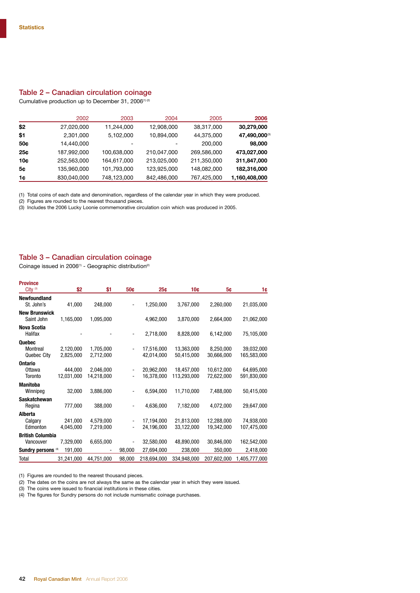#### Table 2 – Canadian circulation coinage

Cumulative production up to December 31, 2006(1) (2)

|     | 2002        | 2003        | 2004        | 2005        | 2006          |
|-----|-------------|-------------|-------------|-------------|---------------|
| \$2 | 27,020,000  | 11,244,000  | 12,908,000  | 38,317,000  | 30,279,000    |
| \$1 | 2,301,000   | 5,102,000   | 10,894,000  | 44,375,000  | 47,490,000(3) |
| 50¢ | 14,440,000  |             |             | 200,000     | 98,000        |
| 25¢ | 187,992,000 | 100,638,000 | 210,047,000 | 269,586,000 | 473,027,000   |
| 10¢ | 252,563,000 | 164,617,000 | 213,025,000 | 211,350,000 | 311,847,000   |
| 5¢  | 135,960,000 | 101,793,000 | 123,925,000 | 148,082,000 | 182,316,000   |
| 1¢  | 830,040,000 | 748,123,000 | 842,486,000 | 767,425,000 | 1,160,408,000 |

(1) Total coins of each date and denomination, regardless of the calendar year in which they were produced.

(2) Figures are rounded to the nearest thousand pieces.

(3) Includes the 2006 Lucky Loonie commemorative circulation coin which was produced in 2005.

#### Table 3 – Canadian circulation coinage

Coinage issued in 2006<sup>(1)</sup> - Geographic distribution<sup>(2)</sup>

| <b>Province</b>                      |                        |                         |        |                          |                           |                          |                           |
|--------------------------------------|------------------------|-------------------------|--------|--------------------------|---------------------------|--------------------------|---------------------------|
| City $(3)$                           | \$2                    | \$1                     | 50¢    | 25c                      | 10¢                       | 5¢                       | 1¢                        |
| <b>Newfoundland</b><br>St. John's    | 41,000                 | 248,000                 |        | 1,250,000                | 3,767,000                 | 2,260,000                | 21,035,000                |
| <b>New Brunswick</b><br>Saint John   | 1,165,000              | 1,095,000               |        | 4,962,000                | 3,870,000                 | 2,664,000                | 21,062,000                |
| <b>Nova Scotia</b><br>Halifax        |                        |                         |        | 2,718,000                | 8,828,000                 | 6,142,000                | 75,105,000                |
| Quebec<br>Montreal<br>Quebec Citv    | 2,120,000<br>2.825.000 | 1,705,000<br>2,712,000  |        | 17,516,000<br>42.014.000 | 13,363,000<br>50.415.000  | 8,250,000<br>30,666,000  | 39,032,000<br>165.583.000 |
| <b>Ontario</b><br>Ottawa<br>Toronto  | 444.000<br>12.031.000  | 2,046,000<br>14.218.000 | ٠      | 20,962,000<br>16,378,000 | 18,457,000<br>113.293.000 | 10,612,000<br>72.622.000 | 64,695,000<br>591,830,000 |
| <b>Manitoba</b><br>Winnipeg          | 32,000                 | 3,886,000               |        | 6,594,000                | 11,710,000                | 7.488.000                | 50,415,000                |
| <b>Saskatchewan</b><br>Regina        | 777,000                | 388,000                 |        | 4,636,000                | 7,182,000                 | 4,072,000                | 29.647.000                |
| Alberta<br>Calgary<br>Edmonton       | 241.000<br>4,045,000   | 4,579,000<br>7,219,000  |        | 17,194,000<br>24,196,000 | 21,813,000<br>33,122,000  | 12,288,000<br>19,342,000 | 74,938,000<br>107,475,000 |
| <b>British Columbia</b><br>Vancouver | 7,329,000              | 6,655,000               |        | 32,580,000               | 48,890,000                | 30,846,000               | 162,542,000               |
| Sundry persons <sup>(4)</sup>        | 191,000                |                         | 98,000 | 27,694,000               | 238,000                   | 350,000                  | 2,418,000                 |
| Total                                | 31,241,000             | 44,751,000              | 98,000 | 218,694,000              | 334,948,000               | 207,602,000              | 1,405,777,000             |

(1) Figures are rounded to the nearest thousand pieces.

 $(2)$  The dates on the coins are not always the same as the calendar year in which they were issued.

(3) The coins were issued to financial institutions in these cities.

(4) The figures for Sundry persons do not include numismatic coinage purchases.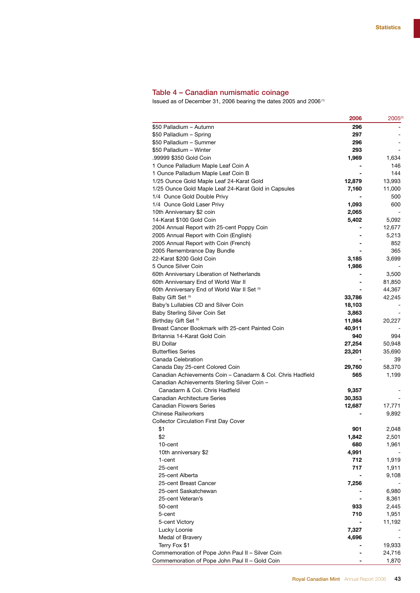#### Table 4 – Canadian numismatic coinage

Issued as of December 31, 2006 bearing the dates 2005 and 2006 (1)

|                                                             | 2006   | $2005^{\circ}$ |
|-------------------------------------------------------------|--------|----------------|
| \$50 Palladium - Autumn                                     | 296    |                |
| \$50 Palladium - Spring                                     | 297    |                |
| \$50 Palladium - Summer                                     | 296    |                |
| \$50 Palladium - Winter                                     | 293    |                |
| .99999 \$350 Gold Coin                                      | 1,969  | 1,634          |
| 1 Ounce Palladium Maple Leaf Coin A                         |        | 146            |
| 1 Ounce Palladium Maple Leaf Coin B                         |        | 144            |
| 1/25 Ounce Gold Maple Leaf 24-Karat Gold                    | 12,879 | 13,993         |
| 1/25 Ounce Gold Maple Leaf 24-Karat Gold in Capsules        | 7,160  | 11,000         |
| 1/4 Ounce Gold Double Privy                                 |        | 500            |
| 1/4 Ounce Gold Laser Privy                                  | 1,093  | 600            |
| 10th Anniversary \$2 coin                                   | 2,065  |                |
| 14-Karat \$100 Gold Coin                                    | 5,402  | 5,092          |
| 2004 Annual Report with 25-cent Poppy Coin                  |        | 12,677         |
| 2005 Annual Report with Coin (English)                      |        | 5,213          |
| 2005 Annual Report with Coin (French)                       |        | 852            |
| 2005 Remembrance Day Bundle                                 |        | 365            |
| 22-Karat \$200 Gold Coin                                    | 3,185  | 3,699          |
| 5 Ounce Silver Coin                                         | 1,986  |                |
| 60th Anniversary Liberation of Netherlands                  |        | 3,500          |
| 60th Anniversary End of World War II                        |        | 81,850         |
| 60th Anniversary End of World War II Set (3)                |        | 44,367         |
| Baby Gift Set <sup>(5)</sup>                                | 33,786 | 42,245         |
| Baby's Lullabies CD and Silver Coin                         | 18,103 |                |
| Baby Sterling Silver Coin Set                               | 3,863  |                |
| Birthday Gift Set <sup>(5)</sup>                            | 11,984 | 20,227         |
| Breast Cancer Bookmark with 25-cent Painted Coin            | 40,911 |                |
| Britannia 14-Karat Gold Coin                                | 940    | 994            |
| <b>BU Dollar</b>                                            | 27,254 | 50,948         |
| <b>Butterflies Series</b>                                   | 23,201 | 35,690         |
| Canada Celebration                                          |        | 39             |
| Canada Day 25-cent Colored Coin                             | 29,760 | 58,370         |
| Canadian Achievements Coin – Canadarm & Col. Chris Hadfield | 565    | 1,199          |
| Canadian Achievements Sterling Silver Coin -                |        |                |
| Canadarm & Col. Chris Hadfield                              | 9,357  |                |
| <b>Canadian Architecture Series</b>                         | 30,353 |                |
| <b>Canadian Flowers Series</b>                              | 12,687 | 17,771         |
| <b>Chinese Railworkers</b>                                  |        | 9,892          |
| <b>Collector Circulation First Day Cover</b>                |        |                |
| \$1                                                         | 901    | 2,048          |
| \$2                                                         | 1,842  | 2,501          |
| 10-cent                                                     | 680    | 1,961          |
| 10th anniversary \$2                                        | 4,991  |                |
| 1-cent                                                      | 712    | 1,919          |
| 25-cent                                                     | 717    | 1,911          |
| 25-cent Alberta                                             |        | 9,108          |
| 25-cent Breast Cancer                                       | 7,256  |                |
| 25-cent Saskatchewan                                        |        | 6,980          |
| 25-cent Veteran's                                           |        | 8,361          |
| 50-cent                                                     | 933    | 2,445          |
| 5-cent                                                      | 710    | 1,951          |
| 5-cent Victory                                              |        | 11,192         |
| Lucky Loonie                                                | 7,327  |                |
| Medal of Bravery                                            | 4,696  |                |
| Terry Fox \$1                                               |        | 19,933         |
| Commemoration of Pope John Paul II - Silver Coin            |        | 24,716         |
| Commemoration of Pope John Paul II - Gold Coin              |        | 1,870          |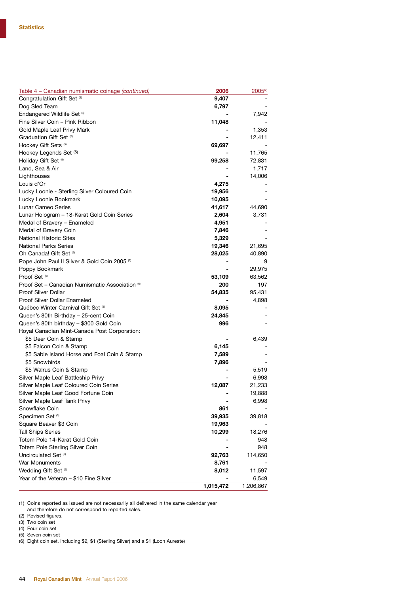| Congratulation Gift Set (5)<br>9,407<br>Dog Sled Team<br>6,797<br>Endangered Wildlife Set (4)<br>7,942<br>Fine Silver Coin - Pink Ribbon<br>11,048<br>Gold Maple Leaf Privy Mark<br>1,353<br>Graduation Gift Set <sup>6)</sup><br>12,411<br>Hockey Gift Sets <sup>(5)</sup><br>69,697<br>Hockey Legends Set (5)<br>11,765<br>Holiday Gift Set <sup>(5)</sup><br>99,258<br>72,831<br>Land, Sea & Air<br>1,717<br>Lighthouses<br>14,006<br>Louis d'Or<br>4,275<br>19,956<br>Lucky Loonie - Sterling Silver Coloured Coin<br>Lucky Loonie Bookmark<br>10,095<br>Lunar Cameo Series<br>44,690<br>41,617<br>Lunar Hologram - 18-Karat Gold Coin Series<br>2,604<br>3,731<br>Medal of Bravery - Enameled<br>4,951<br>Medal of Bravery Coin<br>7,846<br><b>National Historic Sites</b><br>5,329<br><b>National Parks Series</b><br>19,346<br>21,695<br>Oh Canada! Gift Set (5)<br>28,025<br>40,890<br>Pope John Paul II Silver & Gold Coin 2005 <sup>(3)</sup><br>9<br>29,975<br>Poppy Bookmark<br>Proof Set (6)<br>53,109<br>63,562<br>Proof Set - Canadian Numismatic Association <sup>60</sup><br>200<br>197<br><b>Proof Silver Dollar</b><br>54,835<br>95,431<br>Proof Silver Dollar Enameled<br>4,898<br>Québec Winter Carnival Gift Set (5)<br>8,095<br>Queen's 80th Birthday - 25-cent Coin<br>24,845<br>Queen's 80th birthday - \$300 Gold Coin<br>996<br>Royal Canadian Mint-Canada Post Corporation:<br>\$5 Deer Coin & Stamp<br>6,439<br>\$5 Falcon Coin & Stamp<br>6,145<br>\$5 Sable Island Horse and Foal Coin & Stamp<br>7,589<br>\$5 Snowbirds<br>7,896<br>\$5 Walrus Coin & Stamp<br>5,519<br>Silver Maple Leaf Battleship Privy<br>6,998<br>Silver Maple Leaf Coloured Coin Series<br>12,087<br>21,233<br>Silver Maple Leaf Good Fortune Coin<br>19,888<br>Silver Maple Leaf Tank Privy<br>6,998<br>861<br>Snowflake Coin<br>Specimen Set <sup>(5)</sup><br>39,935<br>39,818<br>Square Beaver \$3 Coin<br>19,963<br><b>Tall Ships Series</b><br>10,299<br>18,276<br>Totem Pole 14-Karat Gold Coin<br>948<br>Totem Pole Sterling Silver Coin<br>948<br>Uncirculated Set <sup>(5)</sup><br>92,763<br>114,650<br>War Monuments<br>8,761<br>Wedding Gift Set <sup>(5)</sup><br>8,012<br>11,597<br>Year of the Veteran - \$10 Fine Silver<br>6,549 | Table 4 - Canadian numismatic coinage (continued) | 2006      | 2005 <sup>(2)</sup> |
|----------------------------------------------------------------------------------------------------------------------------------------------------------------------------------------------------------------------------------------------------------------------------------------------------------------------------------------------------------------------------------------------------------------------------------------------------------------------------------------------------------------------------------------------------------------------------------------------------------------------------------------------------------------------------------------------------------------------------------------------------------------------------------------------------------------------------------------------------------------------------------------------------------------------------------------------------------------------------------------------------------------------------------------------------------------------------------------------------------------------------------------------------------------------------------------------------------------------------------------------------------------------------------------------------------------------------------------------------------------------------------------------------------------------------------------------------------------------------------------------------------------------------------------------------------------------------------------------------------------------------------------------------------------------------------------------------------------------------------------------------------------------------------------------------------------------------------------------------------------------------------------------------------------------------------------------------------------------------------------------------------------------------------------------------------------------------------------------------------------------------------------------------------------------------------------------------------------------------------------------------------|---------------------------------------------------|-----------|---------------------|
|                                                                                                                                                                                                                                                                                                                                                                                                                                                                                                                                                                                                                                                                                                                                                                                                                                                                                                                                                                                                                                                                                                                                                                                                                                                                                                                                                                                                                                                                                                                                                                                                                                                                                                                                                                                                                                                                                                                                                                                                                                                                                                                                                                                                                                                          |                                                   |           |                     |
|                                                                                                                                                                                                                                                                                                                                                                                                                                                                                                                                                                                                                                                                                                                                                                                                                                                                                                                                                                                                                                                                                                                                                                                                                                                                                                                                                                                                                                                                                                                                                                                                                                                                                                                                                                                                                                                                                                                                                                                                                                                                                                                                                                                                                                                          |                                                   |           |                     |
|                                                                                                                                                                                                                                                                                                                                                                                                                                                                                                                                                                                                                                                                                                                                                                                                                                                                                                                                                                                                                                                                                                                                                                                                                                                                                                                                                                                                                                                                                                                                                                                                                                                                                                                                                                                                                                                                                                                                                                                                                                                                                                                                                                                                                                                          |                                                   |           |                     |
|                                                                                                                                                                                                                                                                                                                                                                                                                                                                                                                                                                                                                                                                                                                                                                                                                                                                                                                                                                                                                                                                                                                                                                                                                                                                                                                                                                                                                                                                                                                                                                                                                                                                                                                                                                                                                                                                                                                                                                                                                                                                                                                                                                                                                                                          |                                                   |           |                     |
|                                                                                                                                                                                                                                                                                                                                                                                                                                                                                                                                                                                                                                                                                                                                                                                                                                                                                                                                                                                                                                                                                                                                                                                                                                                                                                                                                                                                                                                                                                                                                                                                                                                                                                                                                                                                                                                                                                                                                                                                                                                                                                                                                                                                                                                          |                                                   |           |                     |
|                                                                                                                                                                                                                                                                                                                                                                                                                                                                                                                                                                                                                                                                                                                                                                                                                                                                                                                                                                                                                                                                                                                                                                                                                                                                                                                                                                                                                                                                                                                                                                                                                                                                                                                                                                                                                                                                                                                                                                                                                                                                                                                                                                                                                                                          |                                                   |           |                     |
|                                                                                                                                                                                                                                                                                                                                                                                                                                                                                                                                                                                                                                                                                                                                                                                                                                                                                                                                                                                                                                                                                                                                                                                                                                                                                                                                                                                                                                                                                                                                                                                                                                                                                                                                                                                                                                                                                                                                                                                                                                                                                                                                                                                                                                                          |                                                   |           |                     |
|                                                                                                                                                                                                                                                                                                                                                                                                                                                                                                                                                                                                                                                                                                                                                                                                                                                                                                                                                                                                                                                                                                                                                                                                                                                                                                                                                                                                                                                                                                                                                                                                                                                                                                                                                                                                                                                                                                                                                                                                                                                                                                                                                                                                                                                          |                                                   |           |                     |
|                                                                                                                                                                                                                                                                                                                                                                                                                                                                                                                                                                                                                                                                                                                                                                                                                                                                                                                                                                                                                                                                                                                                                                                                                                                                                                                                                                                                                                                                                                                                                                                                                                                                                                                                                                                                                                                                                                                                                                                                                                                                                                                                                                                                                                                          |                                                   |           |                     |
|                                                                                                                                                                                                                                                                                                                                                                                                                                                                                                                                                                                                                                                                                                                                                                                                                                                                                                                                                                                                                                                                                                                                                                                                                                                                                                                                                                                                                                                                                                                                                                                                                                                                                                                                                                                                                                                                                                                                                                                                                                                                                                                                                                                                                                                          |                                                   |           |                     |
|                                                                                                                                                                                                                                                                                                                                                                                                                                                                                                                                                                                                                                                                                                                                                                                                                                                                                                                                                                                                                                                                                                                                                                                                                                                                                                                                                                                                                                                                                                                                                                                                                                                                                                                                                                                                                                                                                                                                                                                                                                                                                                                                                                                                                                                          |                                                   |           |                     |
|                                                                                                                                                                                                                                                                                                                                                                                                                                                                                                                                                                                                                                                                                                                                                                                                                                                                                                                                                                                                                                                                                                                                                                                                                                                                                                                                                                                                                                                                                                                                                                                                                                                                                                                                                                                                                                                                                                                                                                                                                                                                                                                                                                                                                                                          |                                                   |           |                     |
|                                                                                                                                                                                                                                                                                                                                                                                                                                                                                                                                                                                                                                                                                                                                                                                                                                                                                                                                                                                                                                                                                                                                                                                                                                                                                                                                                                                                                                                                                                                                                                                                                                                                                                                                                                                                                                                                                                                                                                                                                                                                                                                                                                                                                                                          |                                                   |           |                     |
|                                                                                                                                                                                                                                                                                                                                                                                                                                                                                                                                                                                                                                                                                                                                                                                                                                                                                                                                                                                                                                                                                                                                                                                                                                                                                                                                                                                                                                                                                                                                                                                                                                                                                                                                                                                                                                                                                                                                                                                                                                                                                                                                                                                                                                                          |                                                   |           |                     |
|                                                                                                                                                                                                                                                                                                                                                                                                                                                                                                                                                                                                                                                                                                                                                                                                                                                                                                                                                                                                                                                                                                                                                                                                                                                                                                                                                                                                                                                                                                                                                                                                                                                                                                                                                                                                                                                                                                                                                                                                                                                                                                                                                                                                                                                          |                                                   |           |                     |
|                                                                                                                                                                                                                                                                                                                                                                                                                                                                                                                                                                                                                                                                                                                                                                                                                                                                                                                                                                                                                                                                                                                                                                                                                                                                                                                                                                                                                                                                                                                                                                                                                                                                                                                                                                                                                                                                                                                                                                                                                                                                                                                                                                                                                                                          |                                                   |           |                     |
|                                                                                                                                                                                                                                                                                                                                                                                                                                                                                                                                                                                                                                                                                                                                                                                                                                                                                                                                                                                                                                                                                                                                                                                                                                                                                                                                                                                                                                                                                                                                                                                                                                                                                                                                                                                                                                                                                                                                                                                                                                                                                                                                                                                                                                                          |                                                   |           |                     |
|                                                                                                                                                                                                                                                                                                                                                                                                                                                                                                                                                                                                                                                                                                                                                                                                                                                                                                                                                                                                                                                                                                                                                                                                                                                                                                                                                                                                                                                                                                                                                                                                                                                                                                                                                                                                                                                                                                                                                                                                                                                                                                                                                                                                                                                          |                                                   |           |                     |
|                                                                                                                                                                                                                                                                                                                                                                                                                                                                                                                                                                                                                                                                                                                                                                                                                                                                                                                                                                                                                                                                                                                                                                                                                                                                                                                                                                                                                                                                                                                                                                                                                                                                                                                                                                                                                                                                                                                                                                                                                                                                                                                                                                                                                                                          |                                                   |           |                     |
|                                                                                                                                                                                                                                                                                                                                                                                                                                                                                                                                                                                                                                                                                                                                                                                                                                                                                                                                                                                                                                                                                                                                                                                                                                                                                                                                                                                                                                                                                                                                                                                                                                                                                                                                                                                                                                                                                                                                                                                                                                                                                                                                                                                                                                                          |                                                   |           |                     |
|                                                                                                                                                                                                                                                                                                                                                                                                                                                                                                                                                                                                                                                                                                                                                                                                                                                                                                                                                                                                                                                                                                                                                                                                                                                                                                                                                                                                                                                                                                                                                                                                                                                                                                                                                                                                                                                                                                                                                                                                                                                                                                                                                                                                                                                          |                                                   |           |                     |
|                                                                                                                                                                                                                                                                                                                                                                                                                                                                                                                                                                                                                                                                                                                                                                                                                                                                                                                                                                                                                                                                                                                                                                                                                                                                                                                                                                                                                                                                                                                                                                                                                                                                                                                                                                                                                                                                                                                                                                                                                                                                                                                                                                                                                                                          |                                                   |           |                     |
|                                                                                                                                                                                                                                                                                                                                                                                                                                                                                                                                                                                                                                                                                                                                                                                                                                                                                                                                                                                                                                                                                                                                                                                                                                                                                                                                                                                                                                                                                                                                                                                                                                                                                                                                                                                                                                                                                                                                                                                                                                                                                                                                                                                                                                                          |                                                   |           |                     |
|                                                                                                                                                                                                                                                                                                                                                                                                                                                                                                                                                                                                                                                                                                                                                                                                                                                                                                                                                                                                                                                                                                                                                                                                                                                                                                                                                                                                                                                                                                                                                                                                                                                                                                                                                                                                                                                                                                                                                                                                                                                                                                                                                                                                                                                          |                                                   |           |                     |
|                                                                                                                                                                                                                                                                                                                                                                                                                                                                                                                                                                                                                                                                                                                                                                                                                                                                                                                                                                                                                                                                                                                                                                                                                                                                                                                                                                                                                                                                                                                                                                                                                                                                                                                                                                                                                                                                                                                                                                                                                                                                                                                                                                                                                                                          |                                                   |           |                     |
|                                                                                                                                                                                                                                                                                                                                                                                                                                                                                                                                                                                                                                                                                                                                                                                                                                                                                                                                                                                                                                                                                                                                                                                                                                                                                                                                                                                                                                                                                                                                                                                                                                                                                                                                                                                                                                                                                                                                                                                                                                                                                                                                                                                                                                                          |                                                   |           |                     |
|                                                                                                                                                                                                                                                                                                                                                                                                                                                                                                                                                                                                                                                                                                                                                                                                                                                                                                                                                                                                                                                                                                                                                                                                                                                                                                                                                                                                                                                                                                                                                                                                                                                                                                                                                                                                                                                                                                                                                                                                                                                                                                                                                                                                                                                          |                                                   |           |                     |
|                                                                                                                                                                                                                                                                                                                                                                                                                                                                                                                                                                                                                                                                                                                                                                                                                                                                                                                                                                                                                                                                                                                                                                                                                                                                                                                                                                                                                                                                                                                                                                                                                                                                                                                                                                                                                                                                                                                                                                                                                                                                                                                                                                                                                                                          |                                                   |           |                     |
|                                                                                                                                                                                                                                                                                                                                                                                                                                                                                                                                                                                                                                                                                                                                                                                                                                                                                                                                                                                                                                                                                                                                                                                                                                                                                                                                                                                                                                                                                                                                                                                                                                                                                                                                                                                                                                                                                                                                                                                                                                                                                                                                                                                                                                                          |                                                   |           |                     |
|                                                                                                                                                                                                                                                                                                                                                                                                                                                                                                                                                                                                                                                                                                                                                                                                                                                                                                                                                                                                                                                                                                                                                                                                                                                                                                                                                                                                                                                                                                                                                                                                                                                                                                                                                                                                                                                                                                                                                                                                                                                                                                                                                                                                                                                          |                                                   |           |                     |
|                                                                                                                                                                                                                                                                                                                                                                                                                                                                                                                                                                                                                                                                                                                                                                                                                                                                                                                                                                                                                                                                                                                                                                                                                                                                                                                                                                                                                                                                                                                                                                                                                                                                                                                                                                                                                                                                                                                                                                                                                                                                                                                                                                                                                                                          |                                                   |           |                     |
|                                                                                                                                                                                                                                                                                                                                                                                                                                                                                                                                                                                                                                                                                                                                                                                                                                                                                                                                                                                                                                                                                                                                                                                                                                                                                                                                                                                                                                                                                                                                                                                                                                                                                                                                                                                                                                                                                                                                                                                                                                                                                                                                                                                                                                                          |                                                   |           |                     |
|                                                                                                                                                                                                                                                                                                                                                                                                                                                                                                                                                                                                                                                                                                                                                                                                                                                                                                                                                                                                                                                                                                                                                                                                                                                                                                                                                                                                                                                                                                                                                                                                                                                                                                                                                                                                                                                                                                                                                                                                                                                                                                                                                                                                                                                          |                                                   |           |                     |
|                                                                                                                                                                                                                                                                                                                                                                                                                                                                                                                                                                                                                                                                                                                                                                                                                                                                                                                                                                                                                                                                                                                                                                                                                                                                                                                                                                                                                                                                                                                                                                                                                                                                                                                                                                                                                                                                                                                                                                                                                                                                                                                                                                                                                                                          |                                                   |           |                     |
|                                                                                                                                                                                                                                                                                                                                                                                                                                                                                                                                                                                                                                                                                                                                                                                                                                                                                                                                                                                                                                                                                                                                                                                                                                                                                                                                                                                                                                                                                                                                                                                                                                                                                                                                                                                                                                                                                                                                                                                                                                                                                                                                                                                                                                                          |                                                   |           |                     |
|                                                                                                                                                                                                                                                                                                                                                                                                                                                                                                                                                                                                                                                                                                                                                                                                                                                                                                                                                                                                                                                                                                                                                                                                                                                                                                                                                                                                                                                                                                                                                                                                                                                                                                                                                                                                                                                                                                                                                                                                                                                                                                                                                                                                                                                          |                                                   |           |                     |
|                                                                                                                                                                                                                                                                                                                                                                                                                                                                                                                                                                                                                                                                                                                                                                                                                                                                                                                                                                                                                                                                                                                                                                                                                                                                                                                                                                                                                                                                                                                                                                                                                                                                                                                                                                                                                                                                                                                                                                                                                                                                                                                                                                                                                                                          |                                                   |           |                     |
|                                                                                                                                                                                                                                                                                                                                                                                                                                                                                                                                                                                                                                                                                                                                                                                                                                                                                                                                                                                                                                                                                                                                                                                                                                                                                                                                                                                                                                                                                                                                                                                                                                                                                                                                                                                                                                                                                                                                                                                                                                                                                                                                                                                                                                                          |                                                   |           |                     |
|                                                                                                                                                                                                                                                                                                                                                                                                                                                                                                                                                                                                                                                                                                                                                                                                                                                                                                                                                                                                                                                                                                                                                                                                                                                                                                                                                                                                                                                                                                                                                                                                                                                                                                                                                                                                                                                                                                                                                                                                                                                                                                                                                                                                                                                          |                                                   |           |                     |
|                                                                                                                                                                                                                                                                                                                                                                                                                                                                                                                                                                                                                                                                                                                                                                                                                                                                                                                                                                                                                                                                                                                                                                                                                                                                                                                                                                                                                                                                                                                                                                                                                                                                                                                                                                                                                                                                                                                                                                                                                                                                                                                                                                                                                                                          |                                                   |           |                     |
|                                                                                                                                                                                                                                                                                                                                                                                                                                                                                                                                                                                                                                                                                                                                                                                                                                                                                                                                                                                                                                                                                                                                                                                                                                                                                                                                                                                                                                                                                                                                                                                                                                                                                                                                                                                                                                                                                                                                                                                                                                                                                                                                                                                                                                                          |                                                   |           |                     |
|                                                                                                                                                                                                                                                                                                                                                                                                                                                                                                                                                                                                                                                                                                                                                                                                                                                                                                                                                                                                                                                                                                                                                                                                                                                                                                                                                                                                                                                                                                                                                                                                                                                                                                                                                                                                                                                                                                                                                                                                                                                                                                                                                                                                                                                          |                                                   |           |                     |
|                                                                                                                                                                                                                                                                                                                                                                                                                                                                                                                                                                                                                                                                                                                                                                                                                                                                                                                                                                                                                                                                                                                                                                                                                                                                                                                                                                                                                                                                                                                                                                                                                                                                                                                                                                                                                                                                                                                                                                                                                                                                                                                                                                                                                                                          |                                                   |           |                     |
|                                                                                                                                                                                                                                                                                                                                                                                                                                                                                                                                                                                                                                                                                                                                                                                                                                                                                                                                                                                                                                                                                                                                                                                                                                                                                                                                                                                                                                                                                                                                                                                                                                                                                                                                                                                                                                                                                                                                                                                                                                                                                                                                                                                                                                                          |                                                   |           |                     |
|                                                                                                                                                                                                                                                                                                                                                                                                                                                                                                                                                                                                                                                                                                                                                                                                                                                                                                                                                                                                                                                                                                                                                                                                                                                                                                                                                                                                                                                                                                                                                                                                                                                                                                                                                                                                                                                                                                                                                                                                                                                                                                                                                                                                                                                          |                                                   |           |                     |
|                                                                                                                                                                                                                                                                                                                                                                                                                                                                                                                                                                                                                                                                                                                                                                                                                                                                                                                                                                                                                                                                                                                                                                                                                                                                                                                                                                                                                                                                                                                                                                                                                                                                                                                                                                                                                                                                                                                                                                                                                                                                                                                                                                                                                                                          |                                                   |           |                     |
|                                                                                                                                                                                                                                                                                                                                                                                                                                                                                                                                                                                                                                                                                                                                                                                                                                                                                                                                                                                                                                                                                                                                                                                                                                                                                                                                                                                                                                                                                                                                                                                                                                                                                                                                                                                                                                                                                                                                                                                                                                                                                                                                                                                                                                                          |                                                   |           |                     |
|                                                                                                                                                                                                                                                                                                                                                                                                                                                                                                                                                                                                                                                                                                                                                                                                                                                                                                                                                                                                                                                                                                                                                                                                                                                                                                                                                                                                                                                                                                                                                                                                                                                                                                                                                                                                                                                                                                                                                                                                                                                                                                                                                                                                                                                          |                                                   |           |                     |
|                                                                                                                                                                                                                                                                                                                                                                                                                                                                                                                                                                                                                                                                                                                                                                                                                                                                                                                                                                                                                                                                                                                                                                                                                                                                                                                                                                                                                                                                                                                                                                                                                                                                                                                                                                                                                                                                                                                                                                                                                                                                                                                                                                                                                                                          |                                                   |           |                     |
|                                                                                                                                                                                                                                                                                                                                                                                                                                                                                                                                                                                                                                                                                                                                                                                                                                                                                                                                                                                                                                                                                                                                                                                                                                                                                                                                                                                                                                                                                                                                                                                                                                                                                                                                                                                                                                                                                                                                                                                                                                                                                                                                                                                                                                                          |                                                   |           |                     |
|                                                                                                                                                                                                                                                                                                                                                                                                                                                                                                                                                                                                                                                                                                                                                                                                                                                                                                                                                                                                                                                                                                                                                                                                                                                                                                                                                                                                                                                                                                                                                                                                                                                                                                                                                                                                                                                                                                                                                                                                                                                                                                                                                                                                                                                          |                                                   | 1,015,472 | 1,206,867           |

(1) Coins reported as issued are not necessarily all delivered in the same calendar year and therefore do not correspond to reported sales.

<sup>(2)</sup> Revised figures.

<sup>(3)</sup> Two coin set

<sup>(4)</sup> Four coin set (5) Seven coin set

<sup>(6)</sup> Eight coin set, including \$2, \$1 (Sterling Silver) and a \$1 (Loon Aureate)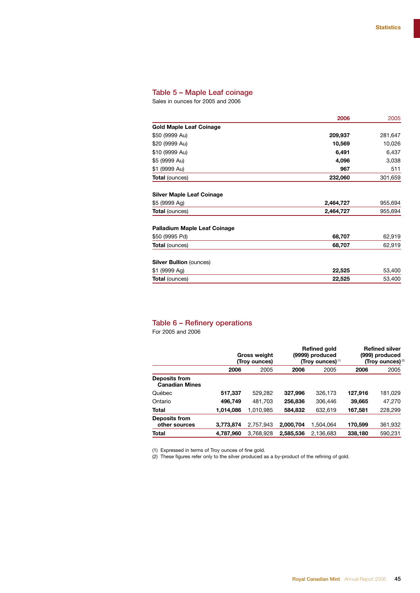#### Table 5 – Maple Leaf coinage

Sales in ounces for 2005 and 2006

| 2006      | 2005    |
|-----------|---------|
|           |         |
| 209,937   | 281,647 |
| 10,569    | 10,026  |
| 6,491     | 6,437   |
| 4,096     | 3,038   |
| 967       | 511     |
| 232,060   | 301,659 |
|           |         |
| 2,464,727 | 955,694 |
| 2,464,727 | 955,694 |
|           |         |
| 68,707    | 62,919  |
| 68,707    | 62,919  |
|           |         |
| 22,525    | 53,400  |
| 22,525    | 53,400  |
|           |         |

#### Table 6 – Refinery operations

For 2005 and 2006

|                                               |           | <b>Gross weight</b><br>(Troy ounces) |           | Refined gold<br>(9999) produced<br>(Troy ounces) <sup>(1)</sup> |         | <b>Refined silver</b><br>(999) produced<br>(Troy ounces) <sup>2</sup> |
|-----------------------------------------------|-----------|--------------------------------------|-----------|-----------------------------------------------------------------|---------|-----------------------------------------------------------------------|
|                                               | 2006      | 2005                                 | 2006      | 2005                                                            | 2006    | 2005                                                                  |
| <b>Deposits from</b><br><b>Canadian Mines</b> |           |                                      |           |                                                                 |         |                                                                       |
| Québec                                        | 517,337   | 529,282                              | 327,996   | 326.173                                                         | 127,916 | 181,029                                                               |
| Ontario                                       | 496,749   | 481,703                              | 256,836   | 306,446                                                         | 39,665  | 47,270                                                                |
| <b>Total</b>                                  | 1,014,086 | 1,010,985                            | 584,832   | 632,619                                                         | 167,581 | 228,299                                                               |
| Deposits from<br>other sources                | 3,773,874 | 2,757,943                            | 2,000,704 | 1.504.064                                                       | 170,599 | 361,932                                                               |
| <b>Total</b>                                  | 4,787,960 | 3,768,928                            | 2,585,536 | 2.136.683                                                       | 338,180 | 590,231                                                               |

(1) Expressed in terms of Troy ounces of fine gold.

(2) These figures refer only to the silver produced as a by-product of the refining of gold.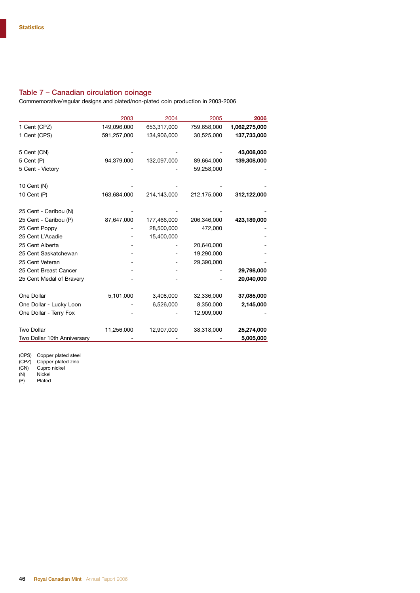#### Table 7 – Canadian circulation coinage

Commemorative/regular designs and plated/non-plated coin production in 2003-2006

|                             | 2003        | 2004        | 2005        | 2006          |
|-----------------------------|-------------|-------------|-------------|---------------|
| 1 Cent (CPZ)                | 149,096,000 | 653,317,000 | 759,658,000 | 1,062,275,000 |
| 1 Cent (CPS)                | 591,257,000 | 134,906,000 | 30,525,000  | 137,733,000   |
| 5 Cent (CN)                 |             |             |             | 43,008,000    |
| 5 Cent (P)                  | 94,379,000  | 132,097,000 | 89,664,000  | 139,308,000   |
| 5 Cent - Victory            |             |             | 59,258,000  |               |
| 10 Cent (N)                 |             |             |             |               |
| 10 Cent (P)                 | 163,684,000 | 214,143,000 | 212,175,000 | 312,122,000   |
| 25 Cent - Caribou (N)       |             |             |             |               |
| 25 Cent - Caribou (P)       | 87,647,000  | 177,466,000 | 206,346,000 | 423,189,000   |
| 25 Cent Poppy               |             | 28,500,000  | 472,000     |               |
| 25 Cent L'Acadie            |             | 15,400,000  |             |               |
| 25 Cent Alberta             |             |             | 20,640,000  |               |
| 25 Cent Saskatchewan        |             |             | 19,290,000  |               |
| 25 Cent Veteran             |             |             | 29,390,000  |               |
| 25 Cent Breast Cancer       |             |             |             | 29,798,000    |
| 25 Cent Medal of Bravery    |             |             |             | 20,040,000    |
| One Dollar                  | 5,101,000   | 3,408,000   | 32,336,000  | 37,085,000    |
| One Dollar - Lucky Loon     |             | 6,526,000   | 8,350,000   | 2,145,000     |
| One Dollar - Terry Fox      |             |             | 12,909,000  |               |
| <b>Two Dollar</b>           | 11,256,000  | 12,907,000  | 38,318,000  | 25,274,000    |
| Two Dollar 10th Anniversary |             |             |             | 5,005,000     |

(CPS) Copper plated steel

(CPZ) Copper plated zinc

(CN) Cupro nickel

(N) Cupro<br>(N) Nickel<br>(P) Plated

Plated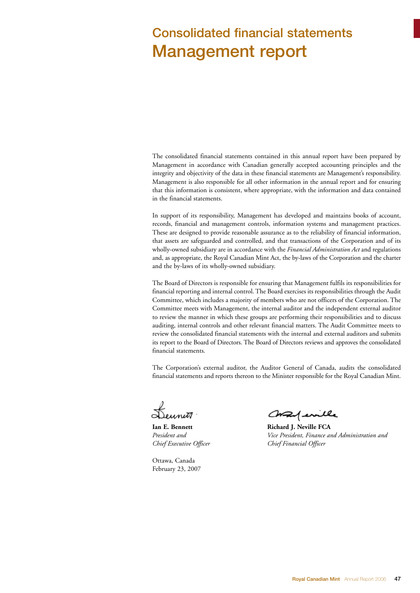## Consolidated financial statements Management report

The consolidated financial statements contained in this annual report have been prepared by Management in accordance with Canadian generally accepted accounting principles and the integrity and objectivity of the data in these financial statements are Management's responsibility. Management is also responsible for all other information in the annual report and for ensuring that this information is consistent, where appropriate, with the information and data contained in the financial statements.

In support of its responsibility, Management has developed and maintains books of account, records, financial and management controls, information systems and management practices. These are designed to provide reasonable assurance as to the reliability of financial information, that assets are safeguarded and controlled, and that transactions of the Corporation and of its wholly-owned subsidiary are in accordance with the *Financial Administration Act* and regulations and, as appropriate, the Royal Canadian Mint Act, the by-laws of the Corporation and the charter and the by-laws of its wholly-owned subsidiary.

The Board of Directors is responsible for ensuring that Management fulfils its responsibilities for financial reporting and internal control. The Board exercises its responsibilities through the Audit Committee, which includes a majority of members who are not officers of the Corporation. The Committee meets with Management, the internal auditor and the independent external auditor to review the manner in which these groups are performing their responsibilities and to discuss auditing, internal controls and other relevant financial matters. The Audit Committee meets to review the consolidated financial statements with the internal and external auditors and submits its report to the Board of Directors. The Board of Directors reviews and approves the consolidated financial statements.

The Corporation's external auditor, the Auditor General of Canada, audits the consolidated financial statements and reports thereon to the Minister responsible for the Royal Canadian Mint.

*Chief Executive Officer Chief Financial Officer*

Ottawa, Canada February 23, 2007

Consequently

**Ian E. Bennett** Richard J. Neville FCA *President and Vice President, Finance and Administration and*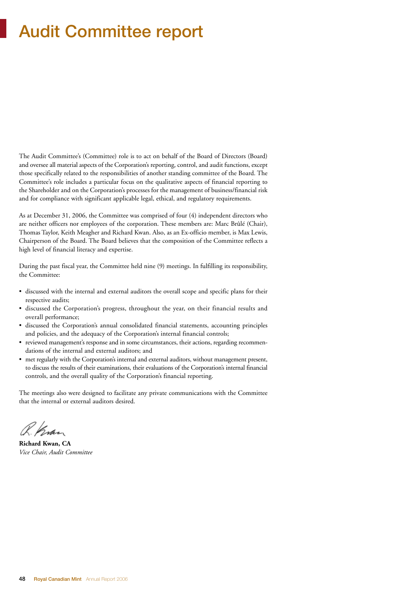## Audit Committee report

The Audit Committee's (Committee) role is to act on behalf of the Board of Directors (Board) and oversee all material aspects of the Corporation's reporting, control, and audit functions, except those specifically related to the responsibilities of another standing committee of the Board. The Committee's role includes a particular focus on the qualitative aspects of financial reporting to the Shareholder and on the Corporation's processes for the management of business/financial risk and for compliance with significant applicable legal, ethical, and regulatory requirements.

As at December 31, 2006, the Committee was comprised of four (4) independent directors who are neither officers nor employees of the corporation. These members are: Marc Brûlé (Chair), Thomas Taylor, Keith Meagher and Richard Kwan. Also, as an Ex-officio member, is Max Lewis, Chairperson of the Board. The Board believes that the composition of the Committee reflects a high level of financial literacy and expertise.

During the past fiscal year, the Committee held nine (9) meetings. In fulfilling its responsibility, the Committee:

- discussed with the internal and external auditors the overall scope and specific plans for their respective audits;
- discussed the Corporation's progress, throughout the year, on their financial results and overall performance;
- discussed the Corporation's annual consolidated financial statements, accounting principles and policies, and the adequacy of the Corporation's internal financial controls;
- reviewed management's response and in some circumstances, their actions, regarding recommendations of the internal and external auditors; and
- met regularly with the Corporation's internal and external auditors, without management present, to discuss the results of their examinations, their evaluations of the Corporation's internal financial controls, and the overall quality of the Corporation's financial reporting.

The meetings also were designed to facilitate any private communications with the Committee that the internal or external auditors desired.

R. Krøn

**Richard Kwan, CA** *Vice Chair, Audit Committee*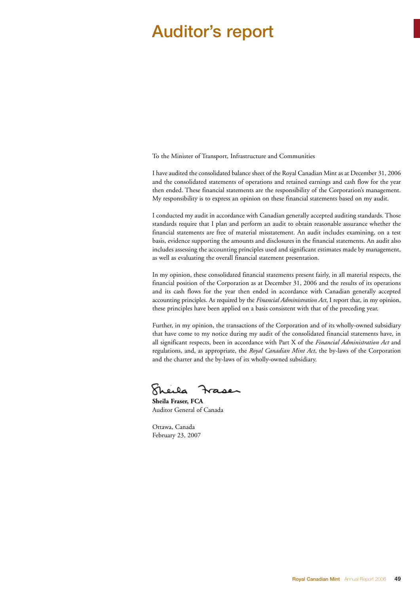## Auditor's report

To the Minister of Transport, Infrastructure and Communities

I have audited the consolidated balance sheet of the Royal Canadian Mint as at December 31, 2006 and the consolidated statements of operations and retained earnings and cash flow for the year then ended. These financial statements are the responsibility of the Corporation's management. My responsibility is to express an opinion on these financial statements based on my audit.

I conducted my audit in accordance with Canadian generally accepted auditing standards. Those standards require that I plan and perform an audit to obtain reasonable assurance whether the financial statements are free of material misstatement. An audit includes examining, on a test basis, evidence supporting the amounts and disclosures in the financial statements. An audit also includes assessing the accounting principles used and significant estimates made by management, as well as evaluating the overall financial statement presentation.

In my opinion, these consolidated financial statements present fairly, in all material respects, the financial position of the Corporation as at December 31, 2006 and the results of its operations and its cash flows for the year then ended in accordance with Canadian generally accepted accounting principles. As required by the *Financial Administration Act*, I report that, in my opinion, these principles have been applied on a basis consistent with that of the preceding year.

Further, in my opinion, the transactions of the Corporation and of its wholly-owned subsidiary that have come to my notice during my audit of the consolidated financial statements have, in all significant respects, been in accordance with Part X of the *Financial Administration Act* and regulations, and, as appropriate, the *Royal Canadian Mint Act*, the by-laws of the Corporation and the charter and the by-laws of its wholly-owned subsidiary.

Kheila Fraser

**Sheila Fraser, FCA** Auditor General of Canada

Ottawa, Canada February 23, 2007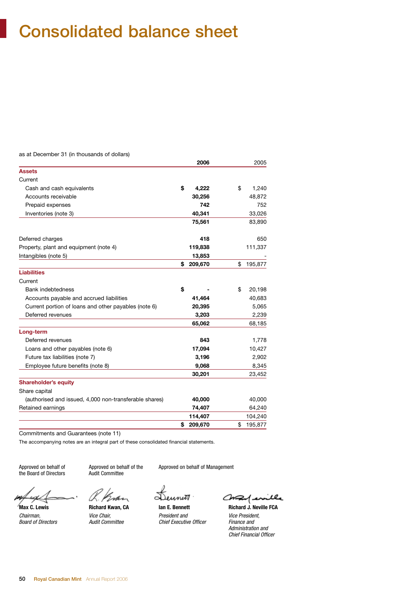## Consolidated balance sheet

as at December 31 (in thousands of dollars)

|                                                        | 2006          | 2005          |
|--------------------------------------------------------|---------------|---------------|
| <b>Assets</b>                                          |               |               |
| Current                                                |               |               |
| Cash and cash equivalents                              | \$<br>4,222   | \$<br>1,240   |
| Accounts receivable                                    | 30,256        | 48,872        |
| Prepaid expenses                                       | 742           | 752           |
| Inventories (note 3)                                   | 40,341        | 33,026        |
|                                                        | 75,561        | 83,890        |
| Deferred charges                                       | 418           | 650           |
| Property, plant and equipment (note 4)                 | 119,838       | 111,337       |
| Intangibles (note 5)                                   | 13,853        |               |
|                                                        | \$<br>209,670 | \$<br>195,877 |
| <b>Liabilities</b>                                     |               |               |
| Current                                                |               |               |
| Bank indebtedness                                      | \$            | \$<br>20,198  |
| Accounts payable and accrued liabilities               | 41,464        | 40,683        |
| Current portion of loans and other payables (note 6)   | 20,395        | 5,065         |
| Deferred revenues                                      | 3,203         | 2,239         |
|                                                        | 65,062        | 68,185        |
| Long-term                                              |               |               |
| Deferred revenues                                      | 843           | 1,778         |
| Loans and other payables (note 6)                      | 17,094        | 10,427        |
| Future tax liabilities (note 7)                        | 3,196         | 2,902         |
| Employee future benefits (note 8)                      | 9,068         | 8,345         |
|                                                        | 30,201        | 23,452        |
| <b>Shareholder's equity</b>                            |               |               |
| Share capital                                          |               |               |
| (authorised and issued, 4,000 non-transferable shares) | 40,000        | 40,000        |
| Retained earnings                                      | 74,407        | 64,240        |
|                                                        | 114,407       | 104,240       |
|                                                        | \$<br>209,670 | \$<br>195,877 |

Commitments and Guarantees (note 11)

The accompanying notes are an integral part of these consolidated financial statements.

the Board of Directors

Approved on behalf of approved on behalf of the Approved on behalf of Management<br>the Board of Directors Audit Committee

(K. ) Em

Dennett

*Chairman, Vice Chair, President and Vice President, Chief Executive Officer* 

Consequentle **Max C. Lewis Richard Kwan, CA Ian E. Bennett Richard J. Neville FCA** 

*Administration and Chief Financial Officer*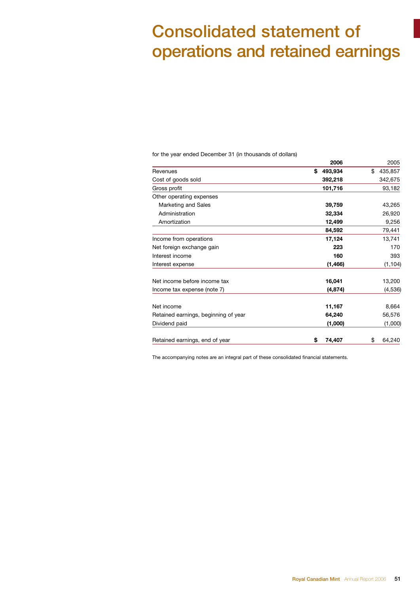## Consolidated statement of operations and retained earnings

for the year ended December 31 (in thousands of dollars)

|                                      | 2006          | 2005          |
|--------------------------------------|---------------|---------------|
| Revenues                             | 493,934<br>\$ | \$<br>435,857 |
| Cost of goods sold                   | 392,218       | 342,675       |
| Gross profit                         | 101,716       | 93,182        |
| Other operating expenses             |               |               |
| Marketing and Sales                  | 39,759        | 43,265        |
| Administration                       | 32,334        | 26,920        |
| Amortization                         | 12,499        | 9,256         |
|                                      | 84,592        | 79,441        |
| Income from operations               | 17,124        | 13,741        |
| Net foreign exchange gain            | 223           | 170           |
| Interest income                      | 160           | 393           |
| Interest expense                     | (1, 466)      | (1, 104)      |
| Net income before income tax         | 16,041        | 13,200        |
| Income tax expense (note 7)          | (4, 874)      | (4, 536)      |
| Net income                           | 11,167        | 8,664         |
| Retained earnings, beginning of year | 64,240        | 56,576        |
| Dividend paid                        | (1,000)       | (1,000)       |
| Retained earnings, end of year       | 74,407<br>\$  | \$<br>64,240  |

The accompanying notes are an integral part of these consolidated financial statements.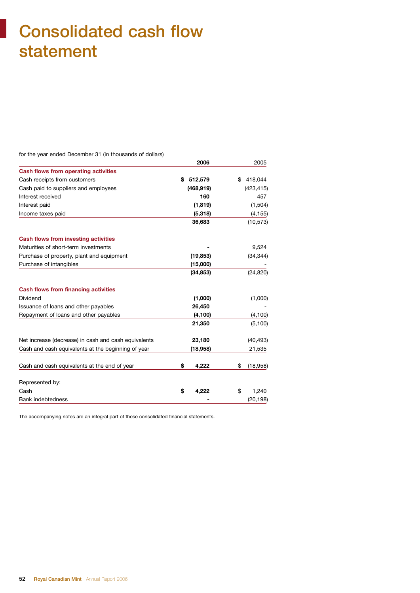## Consolidated cash flow statement

for the year ended December 31 (in thousands of dollars)

|                                                      | 2006        | 2005            |
|------------------------------------------------------|-------------|-----------------|
| <b>Cash flows from operating activities</b>          |             |                 |
| Cash receipts from customers                         | \$512,579   | 418,044<br>\$   |
| Cash paid to suppliers and employees                 | (468, 919)  | (423, 415)      |
| Interest received                                    | 160         | 457             |
| Interest paid                                        | (1, 819)    | (1,504)         |
| Income taxes paid                                    | (5,318)     | (4, 155)        |
|                                                      | 36,683      | (10, 573)       |
| <b>Cash flows from investing activities</b>          |             |                 |
| Maturities of short-term investments                 |             | 9,524           |
| Purchase of property, plant and equipment            | (19, 853)   | (34, 344)       |
| Purchase of intangibles                              | (15,000)    |                 |
|                                                      | (34, 853)   | (24, 820)       |
| <b>Cash flows from financing activities</b>          |             |                 |
| Dividend                                             | (1,000)     | (1,000)         |
| Issuance of loans and other payables                 | 26,450      |                 |
| Repayment of loans and other payables                | (4, 100)    | (4, 100)        |
|                                                      | 21,350      | (5, 100)        |
| Net increase (decrease) in cash and cash equivalents | 23,180      | (40, 493)       |
| Cash and cash equivalents at the beginning of year   | (18,958)    | 21,535          |
| Cash and cash equivalents at the end of year         | 4,222<br>\$ | \$<br>(18, 958) |
|                                                      |             |                 |
| Represented by:                                      |             |                 |
| Cash                                                 | \$<br>4,222 | 1,240<br>\$     |
| <b>Bank indebtedness</b>                             |             | (20, 198)       |

The accompanying notes are an integral part of these consolidated financial statements.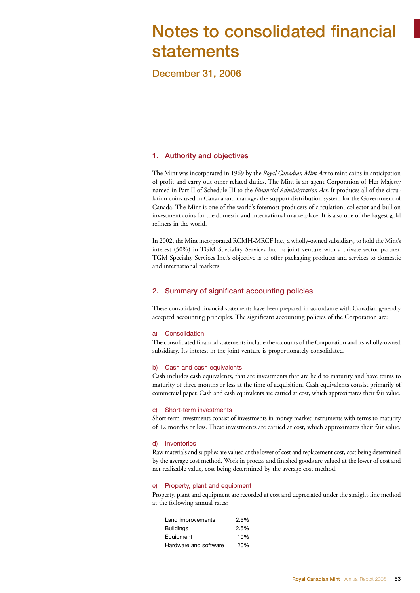## Notes to consolidated financial statements

December 31, 2006

#### 1. Authority and objectives

The Mint was incorporated in 1969 by the *Royal Canadian Mint Act* to mint coins in anticipation of profit and carry out other related duties. The Mint is an agent Corporation of Her Majesty named in Part II of Schedule III to the *Financial Administration Act*. It produces all of the circulation coins used in Canada and manages the support distribution system for the Government of Canada. The Mint is one of the world's foremost producers of circulation, collector and bullion investment coins for the domestic and international marketplace. It is also one of the largest gold refiners in the world.

In 2002, the Mint incorporated RCMH-MRCF Inc., a wholly-owned subsidiary, to hold the Mint's interest (50%) in TGM Speciality Services Inc., a joint venture with a private sector partner. TGM Specialty Services Inc.'s objective is to offer packaging products and services to domestic and international markets.

#### 2. Summary of significant accounting policies

These consolidated financial statements have been prepared in accordance with Canadian generally accepted accounting principles. The significant accounting policies of the Corporation are:

#### a) Consolidation

The consolidated financial statements include the accounts of the Corporation and its wholly-owned subsidiary. Its interest in the joint venture is proportionately consolidated.

#### b) Cash and cash equivalents

Cash includes cash equivalents, that are investments that are held to maturity and have terms to maturity of three months or less at the time of acquisition. Cash equivalents consist primarily of commercial paper. Cash and cash equivalents are carried at cost, which approximates their fair value.

#### c) Short-term investments

Short-term investments consist of investments in money market instruments with terms to maturity of 12 months or less. These investments are carried at cost, which approximates their fair value.

#### d) Inventories

Raw materials and supplies are valued at the lower of cost and replacement cost, cost being determined by the average cost method. Work in process and finished goods are valued at the lower of cost and net realizable value, cost being determined by the average cost method.

#### e) Property, plant and equipment

Property, plant and equipment are recorded at cost and depreciated under the straight-line method at the following annual rates:

| Land improvements     | 2.5% |
|-----------------------|------|
| <b>Buildings</b>      | 2.5% |
| Equipment             | 10%  |
| Hardware and software | 20%  |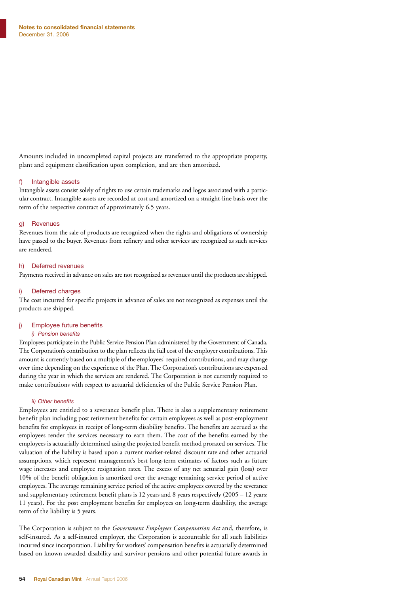Amounts included in uncompleted capital projects are transferred to the appropriate property, plant and equipment classification upon completion, and are then amortized.

#### f) Intangible assets

Intangible assets consist solely of rights to use certain trademarks and logos associated with a particular contract. Intangible assets are recorded at cost and amortized on a straight-line basis over the term of the respective contract of approximately 6.5 years.

#### g) Revenues

Revenues from the sale of products are recognized when the rights and obligations of ownership have passed to the buyer. Revenues from refinery and other services are recognized as such services are rendered.

#### h) Deferred revenues

Payments received in advance on sales are not recognized as revenues until the products are shipped.

#### i) Deferred charges

The cost incurred for specific projects in advance of sales are not recognized as expenses until the products are shipped.

#### j) Employee future benefits

#### *i) Pension benefits*

Employees participate in the Public Service Pension Plan administered by the Government of Canada. The Corporation's contribution to the plan reflects the full cost of the employer contributions. This amount is currently based on a multiple of the employees' required contributions, and may change over time depending on the experience of the Plan. The Corporation's contributions are expensed during the year in which the services are rendered. The Corporation is not currently required to make contributions with respect to actuarial deficiencies of the Public Service Pension Plan.

#### *ii) Other benefits*

Employees are entitled to a severance benefit plan. There is also a supplementary retirement benefit plan including post retirement benefits for certain employees as well as post-employment benefits for employees in receipt of long-term disability benefits. The benefits are accrued as the employees render the services necessary to earn them. The cost of the benefits earned by the employees is actuarially determined using the projected benefit method prorated on services. The valuation of the liability is based upon a current market-related discount rate and other actuarial assumptions, which represent management's best long-term estimates of factors such as future wage increases and employee resignation rates. The excess of any net actuarial gain (loss) over 10% of the benefit obligation is amortized over the average remaining service period of active employees. The average remaining service period of the active employees covered by the severance and supplementary retirement benefit plans is 12 years and 8 years respectively (2005 – 12 years; 11 years). For the post employment benefits for employees on long-term disability, the average term of the liability is 5 years.

The Corporation is subject to the *Government Employees Compensation Act* and, therefore, is self-insured. As a self-insured employer, the Corporation is accountable for all such liabilities incurred since incorporation. Liability for workers' compensation benefits is actuarially determined based on known awarded disability and survivor pensions and other potential future awards in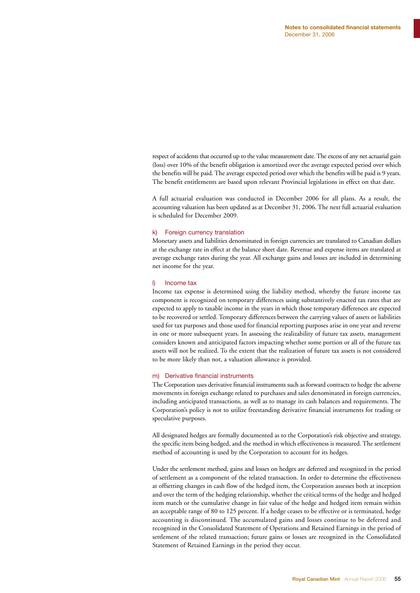respect of accidents that occurred up to the value measurement date. The excess of any net actuarial gain (loss) over 10% of the benefit obligation is amortized over the average expected period over which the benefits will be paid. The average expected period over which the benefits will be paid is 9 years. The benefit entitlements are based upon relevant Provincial legislations in effect on that date.

A full actuarial evaluation was conducted in December 2006 for all plans. As a result, the accounting valuation has been updated as at December 31, 2006. The next full actuarial evaluation is scheduled for December 2009.

#### k) Foreign currency translation

Monetary assets and liabilities denominated in foreign currencies are translated to Canadian dollars at the exchange rate in effect at the balance sheet date. Revenue and expense items are translated at average exchange rates during the year. All exchange gains and losses are included in determining net income for the year.

#### l) Income tax

Income tax expense is determined using the liability method, whereby the future income tax component is recognized on temporary differences using substantively enacted tax rates that are expected to apply to taxable income in the years in which those temporary differences are expected to be recovered or settled. Temporary differences between the carrying values of assets or liabilities used for tax purposes and those used for financial reporting purposes arise in one year and reverse in one or more subsequent years. In assessing the realizability of future tax assets, management considers known and anticipated factors impacting whether some portion or all of the future tax assets will not be realized. To the extent that the realization of future tax assets is not considered to be more likely than not, a valuation allowance is provided.

#### m) Derivative financial instruments

The Corporation uses derivative financial instruments such as forward contracts to hedge the adverse movements in foreign exchange related to purchases and sales denominated in foreign currencies, including anticipated transactions, as well as to manage its cash balances and requirements. The Corporation's policy is not to utilize freestanding derivative financial instruments for trading or speculative purposes.

All designated hedges are formally documented as to the Corporation's risk objective and strategy, the specific item being hedged, and the method in which effectiveness is measured. The settlement method of accounting is used by the Corporation to account for its hedges.

Under the settlement method, gains and losses on hedges are deferred and recognized in the period of settlement as a component of the related transaction. In order to determine the effectiveness at offsetting changes in cash flow of the hedged item, the Corporation assesses both at inception and over the term of the hedging relationship, whether the critical terms of the hedge and hedged item match or the cumulative change in fair value of the hedge and hedged item remain within an acceptable range of 80 to 125 percent. If a hedge ceases to be effective or is terminated, hedge accounting is discontinued. The accumulated gains and losses continue to be deferred and recognized in the Consolidated Statement of Operations and Retained Earnings in the period of settlement of the related transaction; future gains or losses are recognized in the Consolidated Statement of Retained Earnings in the period they occur.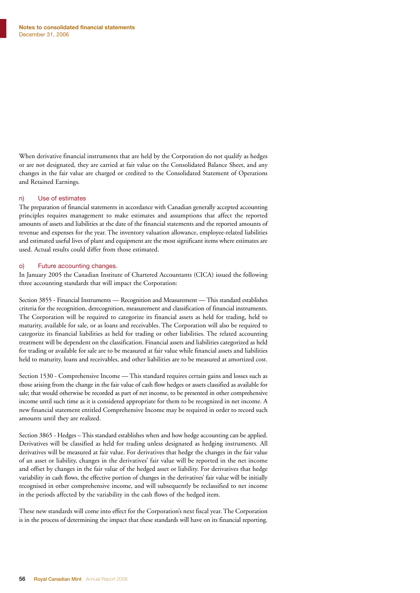When derivative financial instruments that are held by the Corporation do not qualify as hedges or are not designated, they are carried at fair value on the Consolidated Balance Sheet, and any changes in the fair value are charged or credited to the Consolidated Statement of Operations and Retained Earnings.

#### n) Use of estimates

The preparation of financial statements in accordance with Canadian generally accepted accounting principles requires management to make estimates and assumptions that affect the reported amounts of assets and liabilities at the date of the financial statements and the reported amounts of revenue and expenses for the year. The inventory valuation allowance, employee-related liabilities and estimated useful lives of plant and equipment are the most significant items where estimates are used. Actual results could differ from those estimated.

#### o) Future accounting changes.

In January 2005 the Canadian Institute of Chartered Accountants (CICA) issued the following three accounting standards that will impact the Corporation:

Section 3855 - Financial Instruments — Recognition and Measurement — This standard establishes criteria for the recognition, derecognition, measurement and classification of financial instruments. The Corporation will be required to categorize its financial assets as held for trading, held to maturity, available for sale, or as loans and receivables. The Corporation will also be required to categorize its financial liabilities as held for trading or other liabilities. The related accounting treatment will be dependent on the classification. Financial assets and liabilities categorized as held for trading or available for sale are to be measured at fair value while financial assets and liabilities held to maturity, loans and receivables, and other liabilities are to be measured at amortized cost.

Section 1530 - Comprehensive Income — This standard requires certain gains and losses such as those arising from the change in the fair value of cash flow hedges or assets classified as available for sale; that would otherwise be recorded as part of net income, to be presented in other comprehensive income until such time as it is considered appropriate for them to be recognized in net income. A new financial statement entitled Comprehensive Income may be required in order to record such amounts until they are realized.

Section 3865 - Hedges – This standard establishes when and how hedge accounting can be applied. Derivatives will be classified as held for trading unless designated as hedging instruments. All derivatives will be measured at fair value. For derivatives that hedge the changes in the fair value of an asset or liability, changes in the derivatives' fair value will be reported in the net income and offset by changes in the fair value of the hedged asset or liability. For derivatives that hedge variability in cash flows, the effective portion of changes in the derivatives' fair value will be initially recognised in other comprehensive income, and will subsequently be reclassified to net income in the periods affected by the variability in the cash flows of the hedged item.

These new standards will come into effect for the Corporation's next fiscal year. The Corporation is in the process of determining the impact that these standards will have on its financial reporting.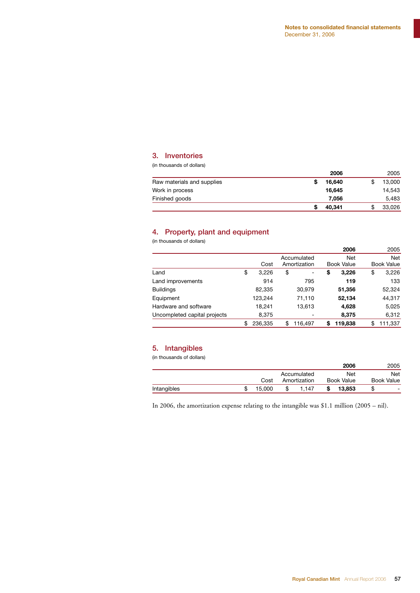#### 3. Inventories

(in thousands of dollars)

|                            | 2006   | 2005   |
|----------------------------|--------|--------|
| Raw materials and supplies | 16.640 | 13.000 |
| Work in process            | 16.645 | 14.543 |
| Finished goods             | 7.056  | 5,483  |
|                            | 40,341 | 33,026 |

#### 4. Property, plant and equipment

(in thousands of dollars)

|                              |               |                                    |    | 2006                            | 2005                            |
|------------------------------|---------------|------------------------------------|----|---------------------------------|---------------------------------|
|                              | Cost          | Accumulated<br>Amortization        |    | <b>Net</b><br><b>Book Value</b> | <b>Net</b><br><b>Book Value</b> |
| Land                         | \$<br>3,226   | \$<br>$\qquad \qquad \blacksquare$ | \$ | 3,226                           | \$<br>3,226                     |
| Land improvements            | 914           | 795                                |    | 119                             | 133                             |
| <b>Buildings</b>             | 82,335        | 30,979                             |    | 51,356                          | 52,324                          |
| Equipment                    | 123,244       | 71,110                             |    | 52,134                          | 44,317                          |
| Hardware and software        | 18,241        | 13,613                             |    | 4,628                           | 5,025                           |
| Uncompleted capital projects | 8,375         | -                                  |    | 8.375                           | 6,312                           |
|                              | \$<br>236.335 | \$<br>116.497                      | S  | 119,838                         | \$<br>111.337                   |

#### 5. Intangibles

(in thousands of dollars)

|        |      |       |                             | 2006   |                   | 2005              |
|--------|------|-------|-----------------------------|--------|-------------------|-------------------|
|        |      |       |                             | Net    |                   | Net               |
|        |      |       |                             |        |                   |                   |
| 15.000 |      | 1.147 |                             | 13.853 | S                 | -                 |
|        | Cost |       | Accumulated<br>Amortization |        | <b>Book Value</b> | <b>Book Value</b> |

In 2006, the amortization expense relating to the intangible was \$1.1 million (2005 – nil).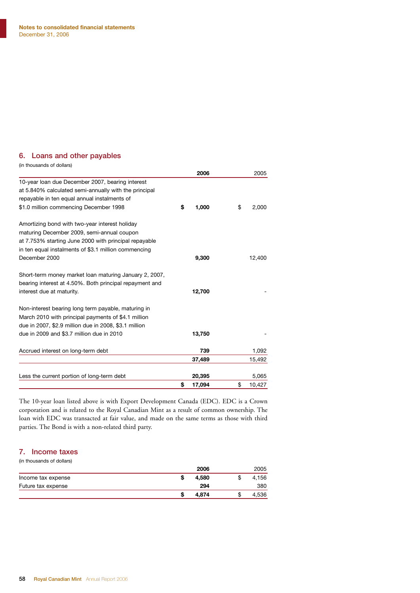#### 6. Loans and other payables

| (in thousands of dollars)                               |              |              |
|---------------------------------------------------------|--------------|--------------|
|                                                         | 2006         | 2005         |
| 10-year loan due December 2007, bearing interest        |              |              |
| at 5.840% calculated semi-annually with the principal   |              |              |
| repayable in ten equal annual instalments of            |              |              |
| \$1.0 million commencing December 1998                  | \$<br>1,000  | \$<br>2,000  |
| Amortizing bond with two-year interest holiday          |              |              |
| maturing December 2009, semi-annual coupon              |              |              |
| at 7.753% starting June 2000 with principal repayable   |              |              |
| in ten equal instalments of \$3.1 million commencing    |              |              |
| December 2000                                           | 9,300        | 12,400       |
| Short-term money market loan maturing January 2, 2007,  |              |              |
| bearing interest at 4.50%. Both principal repayment and |              |              |
| interest due at maturity.                               | 12,700       |              |
| Non-interest bearing long term payable, maturing in     |              |              |
| March 2010 with principal payments of \$4.1 million     |              |              |
| due in 2007, \$2.9 million due in 2008, \$3.1 million   |              |              |
| due in 2009 and \$3.7 million due in 2010               | 13,750       |              |
| Accrued interest on long-term debt                      | 739          | 1,092        |
|                                                         | 37,489       | 15,492       |
| Less the current portion of long-term debt              | 20,395       | 5,065        |
|                                                         | \$<br>17,094 | \$<br>10,427 |

The 10-year loan listed above is with Export Development Canada (EDC). EDC is a Crown corporation and is related to the Royal Canadian Mint as a result of common ownership. The loan with EDC was transacted at fair value, and made on the same terms as those with third parties. The Bond is with a non-related third party.

#### 7. Income taxes

(in thousands of dollars)

|                    | 2006  | 2005  |
|--------------------|-------|-------|
| Income tax expense | 4.580 | 4,156 |
| Future tax expense | 294   | 380   |
|                    | 4.874 | 4,536 |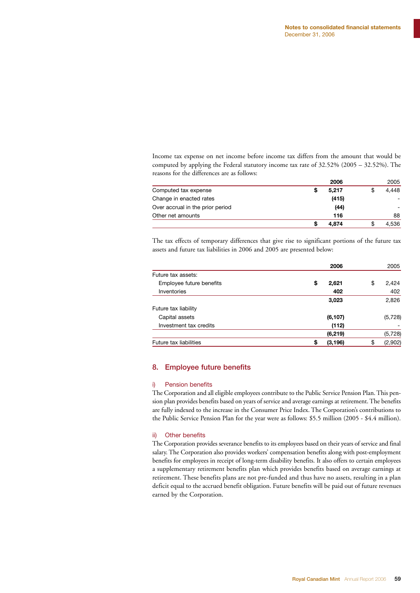Income tax expense on net income before income tax differs from the amount that would be computed by applying the Federal statutory income tax rate of 32.52% (2005 – 32.52%). The reasons for the differences are as follows:

|                                  | 2006  | 2005  |
|----------------------------------|-------|-------|
| Computed tax expense             | 5.217 | 4.448 |
| Change in enacted rates          | (415) |       |
| Over accrual in the prior period | (44)  |       |
| Other net amounts                | 116   | 88    |
|                                  | 4.874 | 4.536 |

The tax effects of temporary differences that give rise to significant portions of the future tax assets and future tax liabilities in 2006 and 2005 are presented below:

|                          | 2006          | 2005          |
|--------------------------|---------------|---------------|
| Future tax assets:       |               |               |
| Employee future benefits | \$<br>2,621   | \$<br>2,424   |
| Inventories              | 402           | 402           |
|                          | 3,023         | 2,826         |
| Future tax liability     |               |               |
| Capital assets           | (6, 107)      | (5, 728)      |
| Investment tax credits   | (112)         |               |
|                          | (6, 219)      | (5, 728)      |
| Future tax liabilities   | (3, 196)<br>S | \$<br>(2,902) |
|                          |               |               |

#### 8. Employee future benefits

#### i) Pension benefits

The Corporation and all eligible employees contribute to the Public Service Pension Plan. This pension plan provides benefits based on years of service and average earnings at retirement. The benefits are fully indexed to the increase in the Consumer Price Index. The Corporation's contributions to the Public Service Pension Plan for the year were as follows: \$5.5 million (2005 - \$4.4 million).

#### ii) Other benefits

The Corporation provides severance benefits to its employees based on their years of service and final salary. The Corporation also provides workers' compensation benefits along with post-employment benefits for employees in receipt of long-term disability benefits. It also offers to certain employees a supplementary retirement benefits plan which provides benefits based on average earnings at retirement. These benefits plans are not pre-funded and thus have no assets, resulting in a plan deficit equal to the accrued benefit obligation. Future benefits will be paid out of future revenues earned by the Corporation.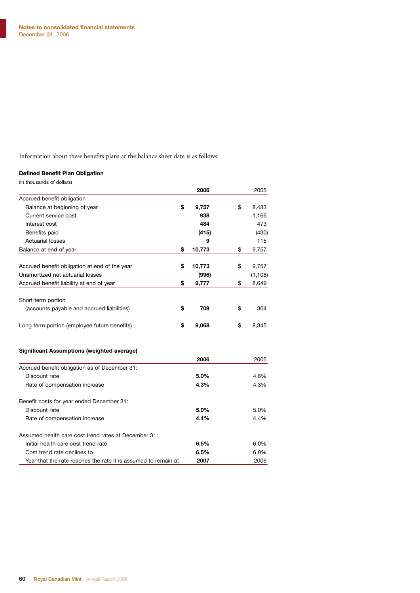Information about these benefits plans at the balance sheet date is as follows:

#### **Defined Benefit Plan Obligation**

| (in thousands of dollars)                                      |              |             |
|----------------------------------------------------------------|--------------|-------------|
|                                                                | 2006         | 2005        |
| Accrued benefit obligation                                     |              |             |
| Balance at beginning of year                                   | \$<br>9,757  | \$<br>8,433 |
| Current service cost                                           | 938          | 1,166       |
| Interest cost                                                  | 484          | 473         |
| Benefits paid                                                  | (415)        | (430)       |
| <b>Actuarial losses</b>                                        | 9            | 115         |
| Balance at end of year                                         | \$<br>10,773 | \$<br>9,757 |
| Accrued benefit obligation at end of the year                  | \$<br>10,773 | \$<br>9,757 |
| Unamortized net actuarial losses                               | (996)        | (1, 108)    |
| Accrued benefit liability at end of year                       | \$<br>9,777  | \$<br>8,649 |
|                                                                |              |             |
| Short term portion                                             |              |             |
| (accounts payable and accrued liabilities)                     | \$<br>709    | \$<br>304   |
| Long term portion (employee future benefits)                   | \$<br>9,068  | \$<br>8,345 |
| <b>Significant Assumptions (weighted average)</b>              |              |             |
|                                                                | 2006         | 2005        |
| Accrued benefit obligation as of December 31:                  |              |             |
| Discount rate                                                  | 5.0%         | 4.8%        |
| Rate of compensation increase                                  | 4.3%         | 4.3%        |
| Benefit costs for year ended December 31:                      |              |             |
| Discount rate                                                  | 5.0%         | 5.0%        |
| Rate of compensation increase                                  | 4.4%         | 4.4%        |
| Assumed health care cost trend rates at December 31:           |              |             |
| Initial health care cost trend rate                            | 6.5%         | 6.0%        |
| Cost trend rate declines to                                    | 6.5%         | 6.0%        |
| Year that the rate reaches the rate it is assumed to remain at | 2007         | 2006        |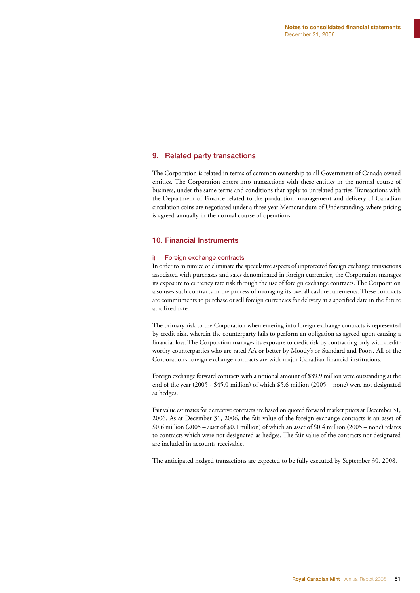#### 9. Related party transactions

The Corporation is related in terms of common ownership to all Government of Canada owned entities. The Corporation enters into transactions with these entities in the normal course of business, under the same terms and conditions that apply to unrelated parties. Transactions with the Department of Finance related to the production, management and delivery of Canadian circulation coins are negotiated under a three year Memorandum of Understanding, where pricing is agreed annually in the normal course of operations.

#### 10. Financial Instruments

#### i) Foreign exchange contracts

In order to minimize or eliminate the speculative aspects of unprotected foreign exchange transactions associated with purchases and sales denominated in foreign currencies, the Corporation manages its exposure to currency rate risk through the use of foreign exchange contracts. The Corporation also uses such contracts in the process of managing its overall cash requirements. These contracts are commitments to purchase or sell foreign currencies for delivery at a specified date in the future at a fixed rate.

The primary risk to the Corporation when entering into foreign exchange contracts is represented by credit risk, wherein the counterparty fails to perform an obligation as agreed upon causing a financial loss. The Corporation manages its exposure to credit risk by contracting only with creditworthy counterparties who are rated AA or better by Moody's or Standard and Poors. All of the Corporation's foreign exchange contracts are with major Canadian financial institutions.

Foreign exchange forward contracts with a notional amount of \$39.9 million were outstanding at the end of the year (2005 - \$45.0 million) of which \$5.6 million (2005 – none) were not designated as hedges.

Fair value estimates for derivative contracts are based on quoted forward market prices at December 31, 2006. As at December 31, 2006, the fair value of the foreign exchange contracts is an asset of \$0.6 million (2005 – asset of \$0.1 million) of which an asset of \$0.4 million (2005 – none) relates to contracts which were not designated as hedges. The fair value of the contracts not designated are included in accounts receivable.

The anticipated hedged transactions are expected to be fully executed by September 30, 2008.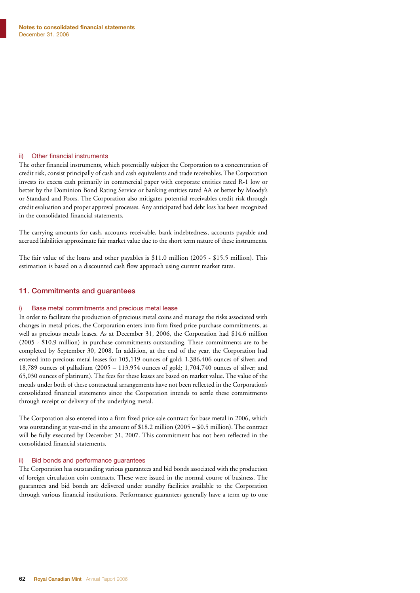#### ii) Other financial instruments

The other financial instruments, which potentially subject the Corporation to a concentration of credit risk, consist principally of cash and cash equivalents and trade receivables. The Corporation invests its excess cash primarily in commercial paper with corporate entities rated R-1 low or better by the Dominion Bond Rating Service or banking entities rated AA or better by Moody's or Standard and Poors. The Corporation also mitigates potential receivables credit risk through credit evaluation and proper approval processes. Any anticipated bad debt loss has been recognized in the consolidated financial statements.

The carrying amounts for cash, accounts receivable, bank indebtedness, accounts payable and accrued liabilities approximate fair market value due to the short term nature of these instruments.

The fair value of the loans and other payables is \$11.0 million (2005 - \$15.5 million). This estimation is based on a discounted cash flow approach using current market rates.

#### 11. Commitments and guarantees

#### i) Base metal commitments and precious metal lease

In order to facilitate the production of precious metal coins and manage the risks associated with changes in metal prices, the Corporation enters into firm fixed price purchase commitments, as well as precious metals leases. As at December 31, 2006, the Corporation had \$14.6 million (2005 - \$10.9 million) in purchase commitments outstanding. These commitments are to be completed by September 30, 2008. In addition, at the end of the year, the Corporation had entered into precious metal leases for 105,119 ounces of gold; 1,386,406 ounces of silver; and 18,789 ounces of palladium (2005 – 113,954 ounces of gold; 1,704,740 ounces of silver; and 65,030 ounces of platinum). The fees for these leases are based on market value. The value of the metals under both of these contractual arrangements have not been reflected in the Corporation's consolidated financial statements since the Corporation intends to settle these commitments through receipt or delivery of the underlying metal.

The Corporation also entered into a firm fixed price sale contract for base metal in 2006, which was outstanding at year-end in the amount of \$18.2 million (2005 – \$0.5 million). The contract will be fully executed by December 31, 2007. This commitment has not been reflected in the consolidated financial statements.

#### Bid bonds and performance guarantees

The Corporation has outstanding various guarantees and bid bonds associated with the production of foreign circulation coin contracts. These were issued in the normal course of business. The guarantees and bid bonds are delivered under standby facilities available to the Corporation through various financial institutions. Performance guarantees generally have a term up to one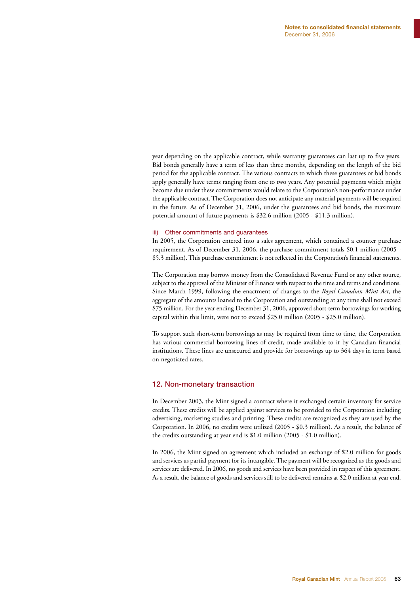year depending on the applicable contract, while warranty guarantees can last up to five years. Bid bonds generally have a term of less than three months, depending on the length of the bid period for the applicable contract. The various contracts to which these guarantees or bid bonds apply generally have terms ranging from one to two years. Any potential payments which might become due under these commitments would relate to the Corporation's non-performance under the applicable contract. The Corporation does not anticipate any material payments will be required in the future. As of December 31, 2006, under the guarantees and bid bonds, the maximum potential amount of future payments is \$32.6 million (2005 - \$11.3 million).

#### iii) Other commitments and guarantees

In 2005, the Corporation entered into a sales agreement, which contained a counter purchase requirement. As of December 31, 2006, the purchase commitment totals \$0.1 million (2005 - \$5.3 million). This purchase commitment is not reflected in the Corporation's financial statements.

The Corporation may borrow money from the Consolidated Revenue Fund or any other source, subject to the approval of the Minister of Finance with respect to the time and terms and conditions. Since March 1999, following the enactment of changes to the *Royal Canadian Mint Act*, the aggregate of the amounts loaned to the Corporation and outstanding at any time shall not exceed \$75 million. For the year ending December 31, 2006, approved short-term borrowings for working capital within this limit, were not to exceed \$25.0 million (2005 - \$25.0 million).

To support such short-term borrowings as may be required from time to time, the Corporation has various commercial borrowing lines of credit, made available to it by Canadian financial institutions. These lines are unsecured and provide for borrowings up to 364 days in term based on negotiated rates.

#### 12. Non-monetary transaction

In December 2003, the Mint signed a contract where it exchanged certain inventory for service credits. These credits will be applied against services to be provided to the Corporation including advertising, marketing studies and printing. These credits are recognized as they are used by the Corporation. In 2006, no credits were utilized (2005 - \$0.3 million). As a result, the balance of the credits outstanding at year end is \$1.0 million (2005 - \$1.0 million).

In 2006, the Mint signed an agreement which included an exchange of \$2.0 million for goods and services as partial payment for its intangible. The payment will be recognized as the goods and services are delivered. In 2006, no goods and services have been provided in respect of this agreement. As a result, the balance of goods and services still to be delivered remains at \$2.0 million at year end.